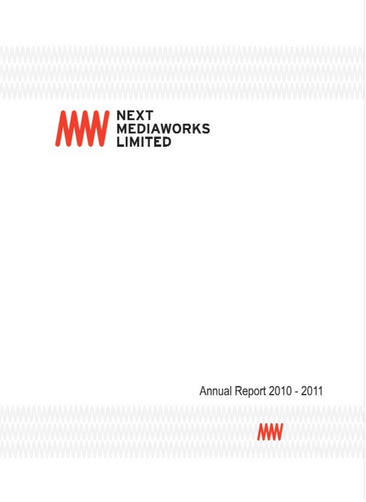# **MM NEXT<br>MEDIAWORKS<br>LIMITED**

Annual Report 2010 - 2011

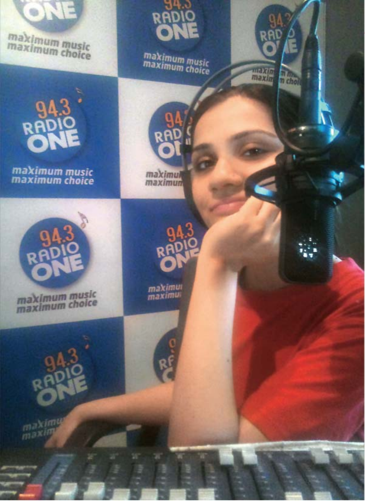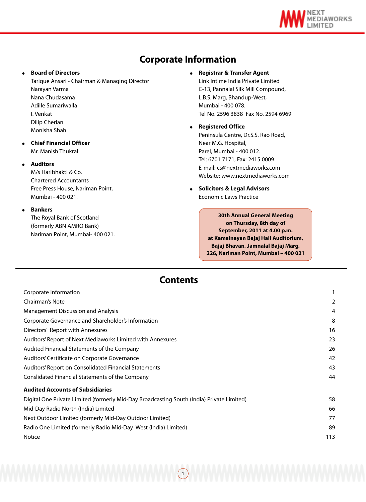

# **Corporate Information**

#### -**Board of Directors**

Tarique Ansari - Chairman & Managing Director Narayan Varma Nana Chudasama Adille Sumariwalla I. Venkat Dilip Cherian Monisha Shah

 $\bullet$  **Chief Financial Officer** Mr. Manish Thukral

#### -**Auditors**

M/s Haribhakti & Co. Chartered Accountants Free Press House, Nariman Point, Mumbai - 400 021.

#### $\bullet$ **Bankers**

The Royal Bank of Scotland (formerly ABN AMRO Bank) Nariman Point, Mumbai- 400 021.

#### $\bullet$  **Registrar & Transfer Agent** Link Intime India Private Limited C-13, Pannalal Silk Mill Compound, L.B.S. Marg, Bhandup-West, Mumbai - 400 078. Tel No. 2596 3838 Fax No. 2594 6969

- $\bullet$  **Registered Office** Peninsula Centre, Dr.S.S. Rao Road, Near M.G. Hospital, Parel, Mumbai - 400 012. Tel: 6701 7171, Fax: 2415 0009 E-mail: cs@nextmediaworks.com Website: www.nextmediaworks.com
- **Solicitors & Legal Advisors** Economic Laws Practice

**30th Annual General Meeting on Thursday, 8th day of September, 2011 at 4.00 p.m. at Kamalnayan Bajaj Hall Auditorium, Bajaj Bhavan, Jamnalal Bajaj Marg, 226, Nariman Point, Mumbai – 400 021**

# **Contents**

| Corporate Information                                                                     |     |
|-------------------------------------------------------------------------------------------|-----|
| Chairman's Note                                                                           | 2   |
| <b>Management Discussion and Analysis</b>                                                 | 4   |
| Corporate Governance and Shareholder's Information                                        | 8   |
| Directors' Report with Annexures                                                          | 16  |
| Auditors' Report of Next Mediaworks Limited with Annexures                                | 23  |
| Audited Financial Statements of the Company                                               | 26  |
| Auditors' Certificate on Corporate Governance                                             | 42  |
| Auditors' Report on Consolidated Financial Statements                                     | 43  |
| Conslidated Financial Statements of the Company                                           | 44  |
| <b>Audited Accounts of Subsidiaries</b>                                                   |     |
| Digital One Private Limited (formerly Mid-Day Broadcasting South (India) Private Limited) | 58  |
| Mid-Day Radio North (India) Limited                                                       | 66  |
| Next Outdoor Limited (formerly Mid-Day Outdoor Limited)                                   | 77  |
| Radio One Limited (formerly Radio Mid-Day West (India) Limited)                           | 89  |
| <b>Notice</b>                                                                             | 113 |

 $\left(\begin{array}{c} 1 \end{array}\right)$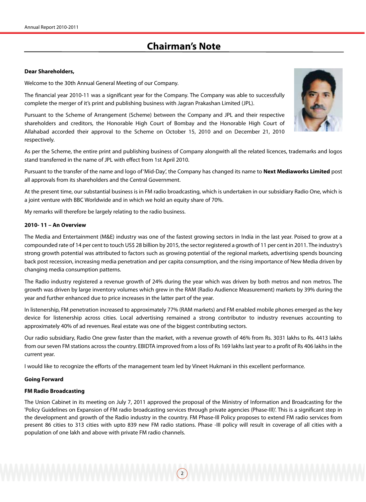# **Chairman's Note**

#### **Dear Shareholders,**

Welcome to the 30th Annual General Meeting of our Company.

The financial year 2010-11 was a significant year for the Company. The Company was able to successfully complete the merger of it's print and publishing business with Jagran Prakashan Limited (JPL).

Pursuant to the Scheme of Arrangement (Scheme) between the Company and JPL and their respective shareholders and creditors, the Honorable High Court of Bombay and the Honorable High Court of Allahabad accorded their approval to the Scheme on October 15, 2010 and on December 21, 2010 respectively.

As per the Scheme, the entire print and publishing business of Company alongwith all the related licences, trademarks and logos stand transferred in the name of JPL with effect from 1st April 2010.

Pursuant to the transfer of the name and logo of 'Mid-Day', the Company has changed its name to **Next Mediaworks Limited** post all approvals from its shareholders and the Central Government.

At the present time, our substantial business is in FM radio broadcasting, which is undertaken in our subsidiary Radio One, which is a joint venture with BBC Worldwide and in which we hold an equity share of 70%.

My remarks will therefore be largely relating to the radio business.

#### **2010- 11 – An Overview**

The Media and Entertainment (M&E) industry was one of the fastest growing sectors in India in the last year. Poised to grow at a compounded rate of 14 per cent to touch US\$ 28 billion by 2015, the sector registered a growth of 11 per cent in 2011. The industry's strong growth potential was attributed to factors such as growing potential of the regional markets, advertising spends bouncing back post recession, increasing media penetration and per capita consumption, and the rising importance of New Media driven by changing media consumption patterns.

The Radio industry registered a revenue growth of 24% during the year which was driven by both metros and non metros. The growth was driven by large inventory volumes which grew in the RAM (Radio Audience Measurement) markets by 39% during the year and further enhanced due to price increases in the latter part of the year.

In listenership, FM penetration increased to approximately 77% (RAM markets) and FM enabled mobile phones emerged as the key device for listenership across cities. Local advertising remained a strong contributor to industry revenues accounting to approximately 40% of ad revenues. Real estate was one of the biggest contributing sectors.

Our radio subsidiary, Radio One grew faster than the market, with a revenue growth of 46% from Rs. 3031 lakhs to Rs. 4413 lakhs from our seven FM stations across the country. EBIDTA improved from a loss of Rs 169 lakhs last year to a profit of Rs 406 lakhs in the current year.

I would like to recognize the efforts of the management team led by Vineet Hukmani in this excellent performance.

#### **Going Forward**

#### **FM Radio Broadcasting**

The Union Cabinet in its meeting on July 7, 2011 approved the proposal of the Ministry of Information and Broadcasting for the 'Policy Guidelines on Expansion of FM radio broadcasting services through private agencies (Phase-Ill)'. This is a significant step in the development and growth of the Radio industry in the country. FM Phase-Ill Policy proposes to extend FM radio services from present 86 cities to 313 cities with upto 839 new FM radio stations. Phase -III policy will result in coverage of all cities with a population of one lakh and above with private FM radio channels.

 $\begin{pmatrix} 2 \end{pmatrix}$ 

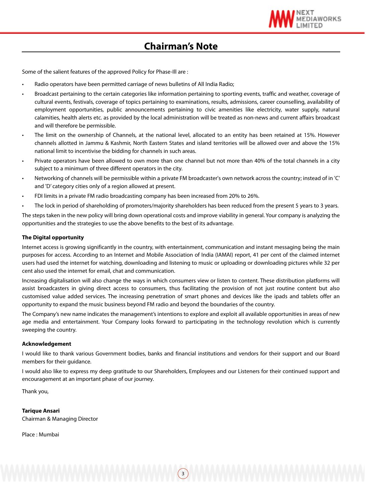# **Chairman's Note**

Some of the salient features of the approved Policy for Phase-Ill are :

- Radio operators have been permitted carriage of news bulletins of All India Radio;
- Broadcast pertaining to the certain categories like information pertaining to sporting events, traffic and weather, coverage of cultural events, festivals, coverage of topics pertaining to examinations, results, admissions, career counselling, availability of employment opportunities, public announcements pertaining to civic amenities like electricity, water supply, natural calamities, health alerts etc. as provided by the local administration will be treated as non-news and current affairs broadcast and will therefore be permissible.
- The limit on the ownership of Channels, at the national level, allocated to an entity has been retained at 15%. However channels allotted in Jammu & Kashmir, North Eastern States and island territories will be allowed over and above the 15% national limit to incentivise the bidding for channels in such areas.
- Private operators have been allowed to own more than one channel but not more than 40% of the total channels in a city subject to a minimum of three different operators in the city.
- Networking of channels will be permissible within a private FM broadcaster's own network across the country; instead of in 'C' and 'D' category cities only of a region allowed at present.
- FDI limits in a private FM radio broadcasting company has been increased from 20% to 26%.
- The lock in period of shareholding of promoters/majority shareholders has been reduced from the present 5 years to 3 years.

The steps taken in the new policy will bring down operational costs and improve viability in general. Your company is analyzing the opportunities and the strategies to use the above benefits to the best of its advantage.

#### **The Digital opportunity**

Internet access is growing significantly in the country, with entertainment, communication and instant messaging being the main purposes for access. According to an Internet and Mobile Association of India (IAMAI) report, 41 per cent of the claimed internet users had used the internet for watching, downloading and listening to music or uploading or downloading pictures while 32 per cent also used the internet for email, chat and communication.

Increasing digitalisation will also change the ways in which consumers view or listen to content. These distribution platforms will assist broadcasters in giving direct access to consumers, thus facilitating the provision of not just routine content but also customised value added services. The increasing penetration of smart phones and devices like the ipads and tablets offer an opportunity to expand the music business beyond FM radio and beyond the boundaries of the country.

The Company's new name indicates the management's intentions to explore and exploit all available opportunities in areas of new age media and entertainment. Your Company looks forward to participating in the technology revolution which is currently sweeping the country.

#### **Acknowledgement**

I would like to thank various Government bodies, banks and financial institutions and vendors for their support and our Board members for their guidance.

I would also like to express my deep gratitude to our Shareholders, Employees and our Listeners for their continued support and encouragement at an important phase of our journey.

 $\left(3\right)$ 

Thank you,

**Tarique Ansari** Chairman & Managing Director

Place : Mumbai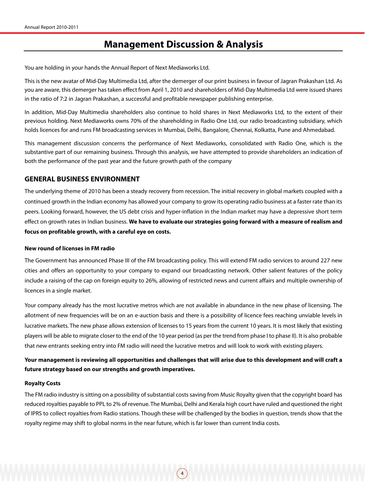You are holding in your hands the Annual Report of Next Mediaworks Ltd.

This is the new avatar of Mid-Day Multimedia Ltd, after the demerger of our print business in favour of Jagran Prakashan Ltd. As you are aware, this demerger has taken effect from April 1, 2010 and shareholders of Mid-Day Multimedia Ltd were issued shares in the ratio of 7:2 in Jagran Prakashan, a successful and profitable newspaper publishing enterprise.

In addition, Mid-Day Multimedia shareholders also continue to hold shares in Next Mediaworks Ltd, to the extent of their previous holding. Next Mediaworks owns 70% of the shareholding in Radio One Ltd, our radio broadcasting subsidiary, which holds licences for and runs FM broadcasting services in Mumbai, Delhi, Bangalore, Chennai, Kolkatta, Pune and Ahmedabad.

This management discussion concerns the performance of Next Mediaworks, consolidated with Radio One, which is the substantive part of our remaining business. Through this analysis, we have attempted to provide shareholders an indication of both the performance of the past year and the future growth path of the company

#### **GENERAL BUSINESS ENVIRONMENT**

The underlying theme of 2010 has been a steady recovery from recession. The initial recovery in global markets coupled with a continued growth in the Indian economy has allowed your company to grow its operating radio business at a faster rate than its peers. Looking forward, however, the US debt crisis and hyper-inflation in the Indian market may have a depressive short term effect on growth rates in Indian business. **We have to evaluate our strategies going forward with a measure of realism and focus on profitable growth, with a careful eye on costs.**

#### **New round of licenses in FM radio**

The Government has announced Phase III of the FM broadcasting policy. This will extend FM radio services to around 227 new cities and offers an opportunity to your company to expand our broadcasting network. Other salient features of the policy include a raising of the cap on foreign equity to 26%, allowing of restricted news and current affairs and multiple ownership of licences in a single market.

Your company already has the most lucrative metros which are not available in abundance in the new phase of licensing. The allotment of new frequencies will be on an e-auction basis and there is a possibility of licence fees reaching unviable levels in lucrative markets. The new phase allows extension of licenses to 15 years from the current 10 years. It is most likely that existing players will be able to migrate closer to the end of the 10 year period (as per the trend from phase I to phase II). It is also probable that new entrants seeking entry into FM radio will need the lucrative metros and will look to work with existing players.

**Your management is reviewing all opportunities and challenges that will arise due to this development and will craft a future strategy based on our strengths and growth imperatives.**

#### **Royalty Costs**

The FM radio industry is sitting on a possibility of substantial costs saving from Music Royalty given that the copyright board has reduced royalties payable to PPL to 2% of revenue. The Mumbai, Delhi and Kerala high court have ruled and questioned the right of IPRS to collect royalties from Radio stations. Though these will be challenged by the bodies in question, trends show that the royalty regime may shift to global norms in the near future, which is far lower than current India costs.

 $\left(4\right)$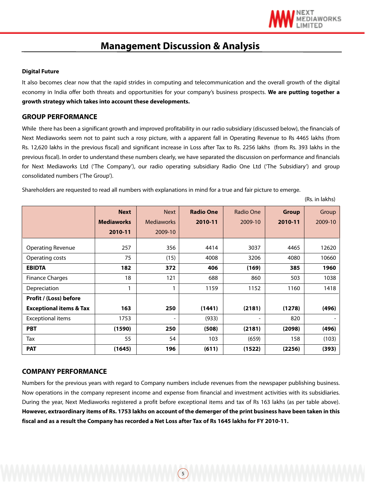

#### **Digital Future**

It also becomes clear now that the rapid strides in computing and telecommunication and the overall growth of the digital economy in India offer both threats and opportunities for your company's business prospects. **We are putting together a growth strategy which takes into account these developments.**

#### **GROUP PERFORMANCE**

While there has been a significant growth and improved profitability in our radio subsidiary (discussed below), the financials of Next Mediaworks seem not to paint such a rosy picture, with a apparent fall in Operating Revenue to Rs 4465 lakhs (from Rs. 12,620 lakhs in the previous fiscal) and significant increase in Loss after Tax to Rs. 2256 lakhs (from Rs. 393 lakhs in the previous fiscal). In order to understand these numbers clearly, we have separated the discussion on performance and financials for Next Mediaworks Ltd ('The Company'), our radio operating subsidiary Radio One Ltd ('The Subsidiary') and group consolidated numbers ('The Group').

Shareholders are requested to read all numbers with explanations in mind for a true and fair picture to emerge.

(Rs. in lakhs)

|                                    | <b>Next</b>       | <b>Next</b>       | <b>Radio One</b> | Radio One | <b>Group</b> | Group   |
|------------------------------------|-------------------|-------------------|------------------|-----------|--------------|---------|
|                                    | <b>Mediaworks</b> | <b>Mediaworks</b> | 2010-11          | 2009-10   | 2010-11      | 2009-10 |
|                                    | 2010-11           | 2009-10           |                  |           |              |         |
| <b>Operating Revenue</b>           | 257               | 356               | 4414             | 3037      | 4465         | 12620   |
| Operating costs                    | 75                | (15)              | 4008             | 3206      | 4080         | 10660   |
| <b>EBIDTA</b>                      | 182               | 372               | 406              | (169)     | 385          | 1960    |
| <b>Finance Charges</b>             | 18                | 121               | 688              | 860       | 503          | 1038    |
| Depreciation                       |                   |                   | 1159             | 1152      | 1160         | 1418    |
| <b>Profit / (Loss) before</b>      |                   |                   |                  |           |              |         |
| <b>Exceptional items &amp; Tax</b> | 163               | 250               | (1441)           | (2181)    | (1278)       | (496)   |
| <b>Exceptional items</b>           | 1753              |                   | (933)            |           | 820          |         |
| <b>PBT</b>                         | (1590)            | 250               | (508)            | (2181)    | (2098)       | (496)   |
| Tax                                | 55                | 54                | 103              | (659)     | 158          | (103)   |
| <b>PAT</b>                         | (1645)            | 196               | (611)            | (1522)    | (2256)       | (393)   |

#### **COMPANY PERFORMANCE**

Numbers for the previous years with regard to Company numbers include revenues from the newspaper publishing business. Now operations in the company represent income and expense from financial and investment activities with its subsidiaries. During the year, Next Mediaworks registered a profit before exceptional items and tax of Rs 163 lakhs (as per table above). **However, extraordinary items of Rs. 1753 lakhs on account of the demerger of the print business have been taken in this fiscal and as a result the Company has recorded a Net Loss after Tax of Rs 1645 lakhs for FY 2010-11.** 

 $\begin{pmatrix} 5 \end{pmatrix}$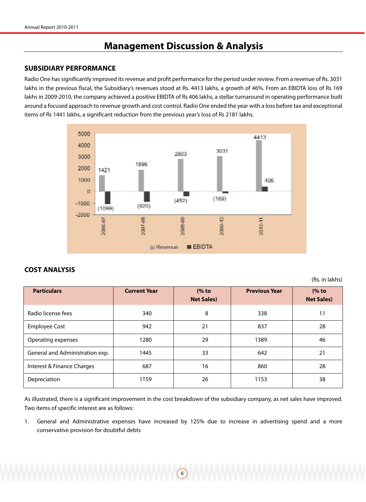#### **SUBSIDIARY PERFORMANCE**

Radio One has significantly improved its revenue and profit performance for the period under review. From a revenue of Rs. 3031 lakhs in the previous fiscal, the Subsidiary's revenues stood at Rs. 4413 lakhs, a growth of 46%. From an EBIDTA loss of Rs 169 lakhs in 2009-2010, the company achieved a positive EBIDTA of Rs 406 lakhs, a stellar turnaround in operating performance built around a focused approach to revenue growth and cost control. Radio One ended the year with a loss before tax and exceptional items of Rs 1441 lakhs, a significant reduction from the previous year's loss of Rs 2181 lakhs.



#### **COST ANALYSIS**

(Rs. in lakhs)

| <b>Particulars</b>              | <b>Current Year</b> | (% to<br><b>Net Sales)</b> | <b>Previous Year</b> | (% to<br><b>Net Sales)</b> |
|---------------------------------|---------------------|----------------------------|----------------------|----------------------------|
| Radio license fees              | 340                 | 8                          | 338                  | 11                         |
| <b>Employee Cost</b>            | 942                 | 21                         | 837                  | 28                         |
| Operating expenses              | 1280                | 29                         | 1389                 | 46                         |
| General and Administration exp. | 1445                | 33                         | 642                  | 21                         |
| Interest & Finance Charges      | 687                 | 16                         | 860                  | 28                         |
| Depreciation                    | 1159                | 26                         | 1153                 | 38                         |

As illustrated, there is a significant improvement in the cost breakdown of the subsidiary company, as net sales have improved. Two items of specific interest are as follows:

1. General and Administrative expenses have increased by 125% due to increase in advertising spend and a more conservative provision for doubtful debts

 $(6)$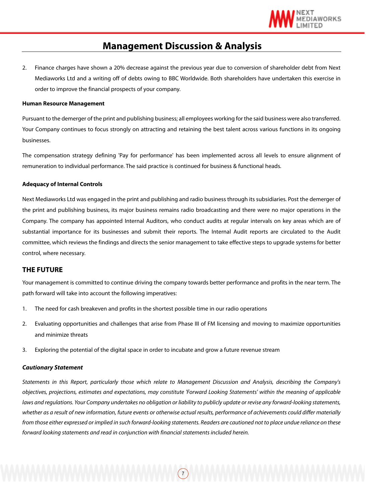

2. Finance charges have shown a 20% decrease against the previous year due to conversion of shareholder debt from Next Mediaworks Ltd and a writing off of debts owing to BBC Worldwide. Both shareholders have undertaken this exercise in order to improve the financial prospects of your company.

#### **Human Resource Management**

Pursuant to the demerger of the print and publishing business; all employees working for the said business were also transferred. Your Company continues to focus strongly on attracting and retaining the best talent across various functions in its ongoing businesses.

The compensation strategy defining 'Pay for performance' has been implemented across all levels to ensure alignment of remuneration to individual performance. The said practice is continued for business & functional heads.

#### **Adequacy of Internal Controls**

Next Mediaworks Ltd was engaged in the print and publishing and radio business through its subsidiaries. Post the demerger of the print and publishing business, its major business remains radio broadcasting and there were no major operations in the Company. The company has appointed Internal Auditors, who conduct audits at regular intervals on key areas which are of substantial importance for its businesses and submit their reports. The Internal Audit reports are circulated to the Audit committee, which reviews the findings and directs the senior management to take effective steps to upgrade systems for better control, where necessary.

#### **THE FUTURE**

Your management is committed to continue driving the company towards better performance and profits in the near term. The path forward will take into account the following imperatives:

- 1. The need for cash breakeven and profits in the shortest possible time in our radio operations
- 2. Evaluating opportunities and challenges that arise from Phase III of FM licensing and moving to maximize opportunities and minimize threats
- 3. Exploring the potential of the digital space in order to incubate and grow a future revenue stream

#### *Cautionary Statement*

*Statements in this Report, particularly those which relate to Management Discussion and Analysis, describing the Company's objectives, projections, estimates and expectations, may constitute 'Forward Looking Statements' within the meaning of applicable laws and regulations. Your Company undertakes no obligation or liability to publicly update or revise any forward-looking statements, whether as a result of new information, future events or otherwise actual results, performance of achievements could differ materially from those either expressed or implied in such forward-looking statements. Readers are cautioned not to place undue reliance on these forward looking statements and read in conjunction with financial statements included herein.*

7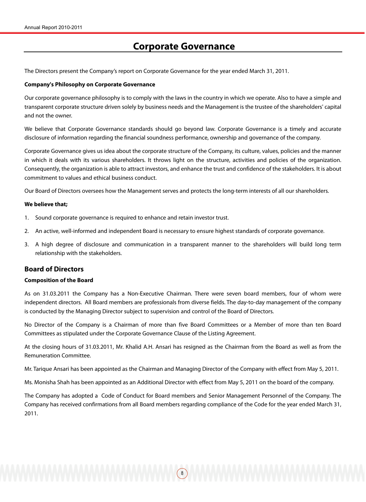The Directors present the Company's report on Corporate Governance for the year ended March 31, 2011.

#### **Company's Philosophy on Corporate Governance**

Our corporate governance philosophy is to comply with the laws in the country in which we operate. Also to have a simple and transparent corporate structure driven solely by business needs and the Management is the trustee of the shareholders' capital and not the owner.

We believe that Corporate Governance standards should go beyond law. Corporate Governance is a timely and accurate disclosure of information regarding the financial soundness performance, ownership and governance of the company.

Corporate Governance gives us idea about the corporate structure of the Company, its culture, values, policies and the manner in which it deals with its various shareholders. It throws light on the structure, activities and policies of the organization. Consequently, the organization is able to attract investors, and enhance the trust and confidence of the stakeholders. It is about commitment to values and ethical business conduct.

Our Board of Directors oversees how the Management serves and protects the long-term interests of all our shareholders.

#### **We believe that;**

- 1. Sound corporate governance is required to enhance and retain investor trust.
- 2. An active, well-informed and independent Board is necessary to ensure highest standards of corporate governance.
- 3. A high degree of disclosure and communication in a transparent manner to the shareholders will build long term relationship with the stakeholders.

#### **Board of Directors**

#### **Composition of the Board**

As on 31.03.2011 the Company has a Non-Executive Chairman. There were seven board members, four of whom were independent directors. All Board members are professionals from diverse fields. The day-to-day management of the company is conducted by the Managing Director subject to supervision and control of the Board of Directors.

No Director of the Company is a Chairman of more than five Board Committees or a Member of more than ten Board Committees as stipulated under the Corporate Governance Clause of the Listing Agreement.

At the closing hours of 31.03.2011, Mr. Khalid A.H. Ansari has resigned as the Chairman from the Board as well as from the Remuneration Committee.

Mr. Tarique Ansari has been appointed as the Chairman and Managing Director of the Company with effect from May 5, 2011.

Ms. Monisha Shah has been appointed as an Additional Director with effect from May 5, 2011 on the board of the company.

The Company has adopted a Code of Conduct for Board members and Senior Management Personnel of the Company. The Company has received confirmations from all Board members regarding compliance of the Code for the year ended March 31, 2011.

 $(8)$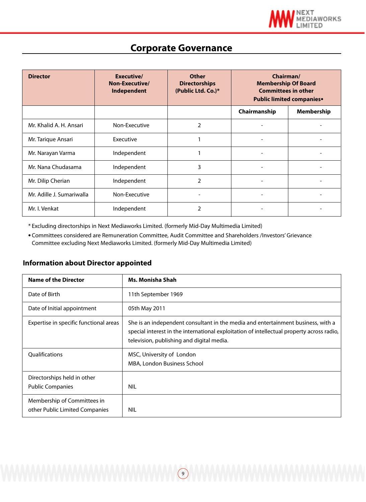

| <b>Director</b>           | Executive/<br>Non-Executive/<br>Independent | <b>Other</b><br><b>Directorships</b><br>(Public Ltd. Co.)* | Chairman/<br><b>Membership Of Board</b><br><b>Committees in other</b><br><b>Public limited companies</b> |                   |
|---------------------------|---------------------------------------------|------------------------------------------------------------|----------------------------------------------------------------------------------------------------------|-------------------|
|                           |                                             |                                                            | Chairmanship                                                                                             | <b>Membership</b> |
| Mr. Khalid A. H. Ansari   | Non-Executive                               | $\overline{2}$                                             |                                                                                                          |                   |
| Mr. Tarique Ansari        | Executive                                   |                                                            |                                                                                                          |                   |
| Mr. Narayan Varma         | Independent                                 |                                                            |                                                                                                          |                   |
| Mr. Nana Chudasama        | Independent                                 | 3                                                          |                                                                                                          |                   |
| Mr. Dilip Cherian         | Independent                                 | C                                                          |                                                                                                          |                   |
| Mr. Adille J. Sumariwalla | Non-Executive                               |                                                            |                                                                                                          |                   |
| Mr. I. Venkat             | Independent                                 | C                                                          |                                                                                                          |                   |

\* Excluding directorships in Next Mediaworks Limited. (formerly Mid-Day Multimedia Limited)

**•** Committees considered are Remuneration Committee, Audit Committee and Shareholders /Investors' Grievance Committee excluding Next Mediaworks Limited. (formerly Mid-Day Multimedia Limited)

### **Information about Director appointed**

| <b>Name of the Director</b>                                   | Ms. Monisha Shah                                                                                                                                                                                                           |
|---------------------------------------------------------------|----------------------------------------------------------------------------------------------------------------------------------------------------------------------------------------------------------------------------|
| Date of Birth                                                 | 11th September 1969                                                                                                                                                                                                        |
| Date of Initial appointment                                   | 05th May 2011                                                                                                                                                                                                              |
| Expertise in specific functional areas                        | She is an independent consultant in the media and entertainment business, with a<br>special interest in the international exploitation of intellectual property across radio,<br>television, publishing and digital media. |
| <b>Oualifications</b>                                         | MSC, University of London<br><b>MBA, London Business School</b>                                                                                                                                                            |
| Directorships held in other<br><b>Public Companies</b>        | <b>NIL</b>                                                                                                                                                                                                                 |
| Membership of Committees in<br>other Public Limited Companies | <b>NIL</b>                                                                                                                                                                                                                 |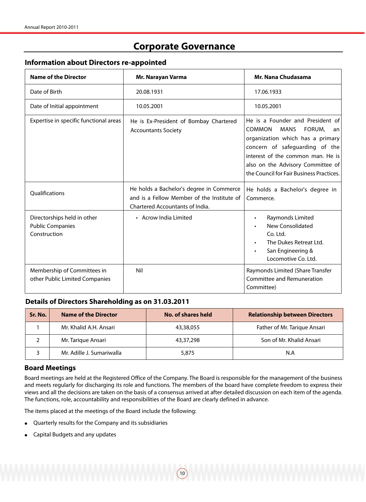#### **Information about Directors re-appointed**

| <b>Name of the Director</b>                                            | Mr. Narayan Varma                                                                                                         | Mr. Nana Chudasama                                                                                                                                                                                                                                                    |
|------------------------------------------------------------------------|---------------------------------------------------------------------------------------------------------------------------|-----------------------------------------------------------------------------------------------------------------------------------------------------------------------------------------------------------------------------------------------------------------------|
| Date of Birth                                                          | 20.08.1931                                                                                                                | 17.06.1933                                                                                                                                                                                                                                                            |
| Date of Initial appointment                                            | 10.05.2001                                                                                                                | 10.05.2001                                                                                                                                                                                                                                                            |
| Expertise in specific functional areas                                 | He is Ex-President of Bombay Chartered<br><b>Accountants Society</b>                                                      | He is a Founder and President of<br><b>COMMON</b><br>MANS<br>FORUM,<br>an<br>organization which has a primary<br>concern of safeguarding of the<br>interest of the common man. He is<br>also on the Advisory Committee of<br>the Council for Fair Business Practices. |
| <b>Oualifications</b>                                                  | He holds a Bachelor's degree in Commerce<br>and is a Fellow Member of the Institute of<br>Chartered Accountants of India. | He holds a Bachelor's degree in<br>Commerce.                                                                                                                                                                                                                          |
| Directorships held in other<br><b>Public Companies</b><br>Construction | • Acrow India Limited                                                                                                     | Raymonds Limited<br>$\bullet$<br>New Consolidated<br>Co. Ltd.<br>The Dukes Retreat Ltd.<br>San Engineering &<br>Locomotive Co. Ltd.                                                                                                                                   |
| Membership of Committees in<br>other Public Limited Companies          | Nil                                                                                                                       | Raymonds Limited (Share Transfer<br>Committee and Remuneration<br>Committee)                                                                                                                                                                                          |

#### **Details of Directors Shareholding as on 31.03.2011**

| Sr. No. | <b>Name of the Director</b> | No. of shares held | <b>Relationship between Directors</b> |
|---------|-----------------------------|--------------------|---------------------------------------|
|         | Mr. Khalid A.H. Ansari      | 43,38,055          | Father of Mr. Tarique Ansari          |
|         | Mr. Tarique Ansari          | 43,37,298          | Son of Mr. Khalid Ansari              |
|         | Mr. Adille J. Sumariwalla   | 5,875              | N.A                                   |

#### **Board Meetings**

Board meetings are held at the Registered Office of the Company. The Board is responsible for the management of the business and meets regularly for discharging its role and functions. The members of the board have complete freedom to express their views and all the decisions are taken on the basis of a consensus arrived at after detailed discussion on each item of the agenda. The functions, role, accountability and responsibilities of the Board are clearly defined in advance.

The items placed at the meetings of the Board include the following:

- $\bullet$ Quarterly results for the Company and its subsidiaries
- $\bullet$ Capital Budgets and any updates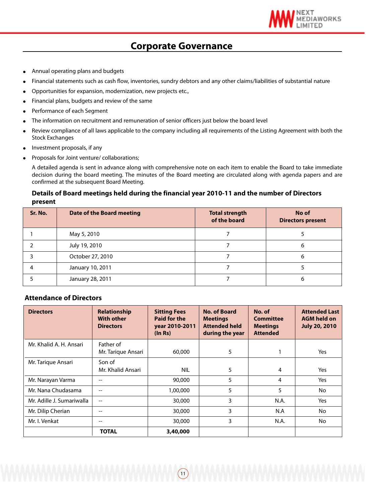- $\bullet$ Annual operating plans and budgets
- $\bullet$ Financial statements such as cash flow, inventories, sundry debtors and any other claims/liabilities of substantial nature
- $\bullet$ Opportunities for expansion, modernization, new projects etc.,
- $\bullet$ Financial plans, budgets and review of the same
- $\bullet$ Performance of each Segment
- $\bullet$ The information on recruitment and remuneration of senior officers just below the board level
- $\bullet$  Review compliance of all laws applicable to the company including all requirements of the Listing Agreement with both the Stock Exchanges
- $\bullet$ Investment proposals, if any
- $\bullet$ Proposals for Joint venture/ collaborations;

A detailed agenda is sent in advance along with comprehensive note on each item to enable the Board to take immediate decision during the board meeting. The minutes of the Board meeting are circulated along with agenda papers and are confirmed at the subsequent Board Meeting.

#### **Details of Board meetings held during the financial year 2010-11 and the number of Directors present**

| Sr. No. | <b>Date of the Board meeting</b> | <b>Total strength</b><br>of the board | No of<br><b>Directors present</b> |
|---------|----------------------------------|---------------------------------------|-----------------------------------|
|         | May 5, 2010                      |                                       |                                   |
|         | July 19, 2010                    |                                       |                                   |
|         | October 27, 2010                 |                                       | 6                                 |
|         | January 10, 2011                 |                                       |                                   |
|         | January 28, 2011                 |                                       |                                   |

#### **Attendance of Directors**

| <b>Directors</b>          | <b>Relationship</b><br><b>With other</b><br><b>Directors</b> | <b>Sitting Fees</b><br>Paid for the<br>year 2010-2011<br>(ln Rs) | <b>No. of Board</b><br><b>Meetings</b><br><b>Attended held</b><br>during the year | No. of<br><b>Committee</b><br><b>Meetings</b><br><b>Attended</b> | <b>Attended Last</b><br><b>AGM</b> held on<br><b>July 20, 2010</b> |
|---------------------------|--------------------------------------------------------------|------------------------------------------------------------------|-----------------------------------------------------------------------------------|------------------------------------------------------------------|--------------------------------------------------------------------|
| Mr. Khalid A. H. Ansari   | Father of<br>Mr. Tarique Ansari                              | 60,000                                                           | 5                                                                                 |                                                                  | Yes                                                                |
| Mr. Tarique Ansari        | Son of<br>Mr. Khalid Ansari                                  | <b>NIL</b>                                                       | 5                                                                                 | 4                                                                | Yes                                                                |
| Mr. Narayan Varma         |                                                              | 90,000                                                           | 5                                                                                 | 4                                                                | Yes                                                                |
| Mr. Nana Chudasama        | --                                                           | 1,00,000                                                         | 5                                                                                 | 5                                                                | No                                                                 |
| Mr. Adille J. Sumariwalla | $-$                                                          | 30,000                                                           | 3                                                                                 | N.A.                                                             | Yes                                                                |
| Mr. Dilip Cherian         |                                                              | 30,000                                                           | 3                                                                                 | N.A                                                              | No                                                                 |
| Mr. I. Venkat             | --                                                           | 30,000                                                           | 3                                                                                 | N.A.                                                             | No                                                                 |
|                           | <b>TOTAL</b>                                                 | 3,40,000                                                         |                                                                                   |                                                                  |                                                                    |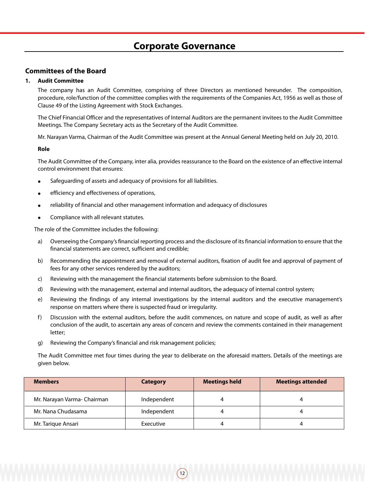#### **Committees of the Board**

#### **1. Audit Committee**

The company has an Audit Committee, comprising of three Directors as mentioned hereunder. The composition, procedure, role/function of the committee complies with the requirements of the Companies Act, 1956 as well as those of Clause 49 of the Listing Agreement with Stock Exchanges.

The Chief Financial Officer and the representatives of Internal Auditors are the permanent invitees to the Audit Committee Meetings. The Company Secretary acts as the Secretary of the Audit Committee.

Mr. Narayan Varma, Chairman of the Audit Committee was present at the Annual General Meeting held on July 20, 2010.

#### **Role**

The Audit Committee of the Company, inter alia, provides reassurance to the Board on the existence of an effective internal control environment that ensures:

- $\bullet$ Safeguarding of assets and adequacy of provisions for all liabilities.
- $\bullet$ efficiency and effectiveness of operations,
- $\bullet$ reliability of financial and other management information and adequacy of disclosures
- $\bullet$ Compliance with all relevant statutes.

The role of the Committee includes the following:

- a) Overseeing the Company's financial reporting process and the disclosure of its financial information to ensure that the financial statements are correct, sufficient and credible;
- b) Recommending the appointment and removal of external auditors, fixation of audit fee and approval of payment of fees for any other services rendered by the auditors;
- c) Reviewing with the management the financial statements before submission to the Board.
- d) Reviewing with the management, external and internal auditors, the adequacy of internal control system;
- e) Reviewing the findings of any internal investigations by the internal auditors and the executive management's response on matters where there is suspected fraud or irregularity.
- f) Discussion with the external auditors, before the audit commences, on nature and scope of audit, as well as after conclusion of the audit, to ascertain any areas of concern and review the comments contained in their management letter;
- g) Reviewing the Company's financial and risk management policies;

The Audit Committee met four times during the year to deliberate on the aforesaid matters. Details of the meetings are given below.

| <b>Members</b>              | Category    | <b>Meetings held</b> | <b>Meetings attended</b> |
|-----------------------------|-------------|----------------------|--------------------------|
| Mr. Narayan Varma- Chairman | Independent |                      |                          |
| Mr. Nana Chudasama          | Independent |                      |                          |
| Mr. Tarique Ansari          | Executive   |                      |                          |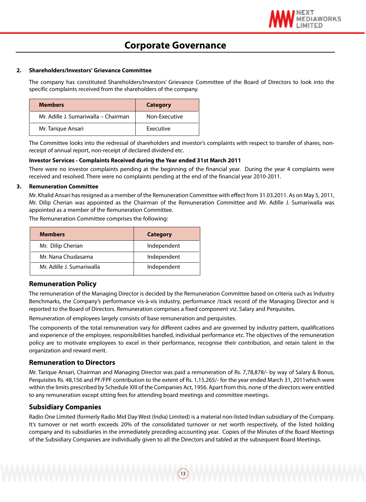#### **2. Shareholders/Investors' Grievance Committee**

The company has constituted Shareholders/Investors' Grievance Committee of the Board of Directors to look into the specific complaints received from the shareholders of the company.

| <b>Members</b>                       | Category         |
|--------------------------------------|------------------|
| Mr. Adille J. Sumariwalla - Chairman | Non-Executive    |
| Mr. Tarique Ansari                   | <b>Fxecutive</b> |

The Committee looks into the redressal of shareholders and investor's complaints with respect to transfer of shares, nonreceipt of annual report, non-receipt of declared dividend etc.

#### **Investor Services - Complaints Received during the Year ended 31st March 2011**

There were no investor complaints pending at the beginning of the financial year. During the year 4 complaints were received and resolved. There were no complaints pending at the end of the financial year 2010-2011.

#### **3. Remuneration Committee**

Mr. Khalid Ansari has resigned as a member of the Remuneration Committee with effect from 31.03.2011. As on May 5, 2011, Mr. Dilip Cherian was appointed as the Chairman of the Remuneration Committee and Mr. Adille J. Sumariwalla was appointed as a member of the Remuneration Committee.

The Remuneration Committee comprises the following:

| <b>Members</b>            | Category    |
|---------------------------|-------------|
| Mr. Dilip Cherian         | Independent |
| Mr. Nana Chudasama        | Independent |
| Mr. Adille J. Sumariwalla | Independent |

#### **Remuneration Policy**

The remuneration of the Managing Director is decided by the Remuneration Committee based on criteria such as Industry Benchmarks, the Company's performance vis-à-vis industry, performance /track record of the Managing Director and is reported to the Board of Directors. Remuneration comprises a fixed component viz. Salary and Perquisites.

Remuneration of employees largely consists of base remuneration and perquisites.

The components of the total remuneration vary for different cadres and are governed by industry pattern, qualifications and experience of the employee, responsibilities handled, individual performance etc. The objectives of the remuneration policy are to motivate employees to excel in their performance, recognise their contribution, and retain talent in the organization and reward merit.

#### **Remuneration to Directors**

Mr. Tarique Ansari, Chairman and Managing Director was paid a remuneration of Rs. 7,78,878/- by way of Salary & Bonus, Perquisites Rs. 48,156 and PF/FPF contribution to the extent of Rs. 1,15,265/- for the year ended March 31, 2011which were within the limits prescribed by Schedule XIII of the Companies Act, 1956. Apart from this, none of the directors were entitled to any remuneration except sitting fees for attending board meetings and committee meetings.

#### **Subsidiary Companies**

Radio One Limited (formerly Radio Mid Day West (India) Limited) is a material non-listed Indian subsidiary of the Company. It's turnover or net worth exceeds 20% of the consolidated turnover or net worth respectively, of the listed holding company and its subsidiaries in the immediately preceding accounting year. Copies of the Minutes of the Board Meetings of the Subsidiary Companies are individually given to all the Directors and tabled at the subsequent Board Meetings.

13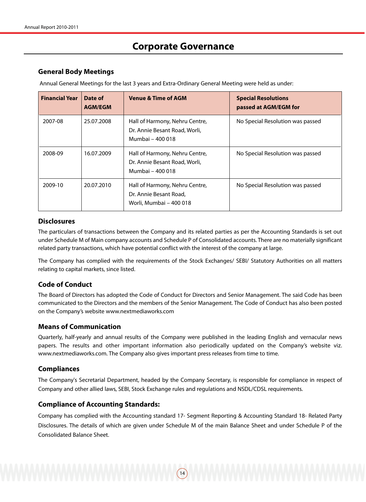#### **General Body Meetings**

Annual General Meetings for the last 3 years and Extra-Ordinary General Meeting were held as under:

| <b>Financial Year</b> | Date of<br><b>AGM/EGM</b> | <b>Venue &amp; Time of AGM</b>                                                      | <b>Special Resolutions</b><br>passed at AGM/EGM for |
|-----------------------|---------------------------|-------------------------------------------------------------------------------------|-----------------------------------------------------|
| 2007-08               | 25.07.2008                | Hall of Harmony, Nehru Centre,<br>Dr. Annie Besant Road, Worli,<br>Mumbai - 400 018 | No Special Resolution was passed                    |
| 2008-09               | 16.07.2009                | Hall of Harmony, Nehru Centre,<br>Dr. Annie Besant Road, Worli,<br>Mumbai - 400 018 | No Special Resolution was passed                    |
| 2009-10               | 20.07.2010                | Hall of Harmony, Nehru Centre,<br>Dr. Annie Besant Road,<br>Worli, Mumbai - 400 018 | No Special Resolution was passed                    |

#### **Disclosures**

The particulars of transactions between the Company and its related parties as per the Accounting Standards is set out under Schedule M of Main company accounts and Schedule P of Consolidated accounts. There are no materially significant related party transactions, which have potential conflict with the interest of the company at large.

The Company has complied with the requirements of the Stock Exchanges/ SEBI/ Statutory Authorities on all matters relating to capital markets, since listed.

#### **Code of Conduct**

The Board of Directors has adopted the Code of Conduct for Directors and Senior Management. The said Code has been communicated to the Directors and the members of the Senior Management. The Code of Conduct has also been posted on the Company's website www.nextmediaworks.com

#### **Means of Communication**

Quarterly, half-yearly and annual results of the Company were published in the leading English and vernacular news papers. The results and other important information also periodically updated on the Company's website viz. www.nextmediaworks.com. The Company also gives important press releases from time to time.

#### **Compliances**

The Company's Secretarial Department, headed by the Company Secretary, is responsible for compliance in respect of Company and other allied laws, SEBI, Stock Exchange rules and regulations and NSDL/CDSL requirements.

#### **Compliance of Accounting Standards:**

Company has complied with the Accounting standard 17- Segment Reporting & Accounting Standard 18- Related Party Disclosures. The details of which are given under Schedule M of the main Balance Sheet and under Schedule P of the Consolidated Balance Sheet.

 $(14)$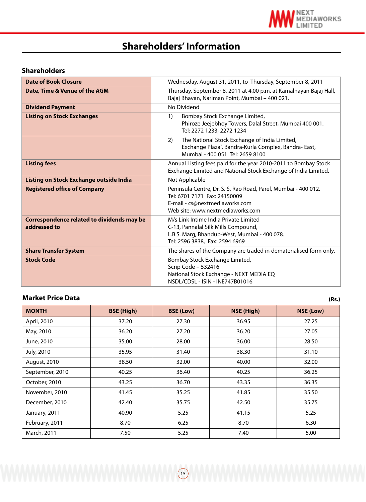

# **Shareholders' Information**

## **Shareholders**

| <b>Date of Book Closure</b>                                       | Wednesday, August 31, 2011, to Thursday, September 8, 2011                                                                                                                |  |  |
|-------------------------------------------------------------------|---------------------------------------------------------------------------------------------------------------------------------------------------------------------------|--|--|
| Date, Time & Venue of the AGM                                     | Thursday, September 8, 2011 at 4.00 p.m. at Kamalnayan Bajaj Hall,<br>Bajaj Bhavan, Nariman Point, Mumbai - 400 021.                                                      |  |  |
| <b>Dividend Payment</b>                                           | No Dividend                                                                                                                                                               |  |  |
| <b>Listing on Stock Exchanges</b>                                 | Bombay Stock Exchange Limited,<br>$\left( \begin{array}{c} 1 \end{array} \right)$<br>Phiroze Jeejebhoy Towers, Dalal Street, Mumbai 400 001.<br>Tel: 2272 1233, 2272 1234 |  |  |
|                                                                   | The National Stock Exchange of India Limited,<br>2)<br>Exchange Plaza", Bandra-Kurla Complex, Bandra- East,<br>Mumbai - 400 051 Tel: 2659 8100                            |  |  |
| <b>Listing fees</b>                                               | Annual Listing fees paid for the year 2010-2011 to Bombay Stock<br>Exchange Limited and National Stock Exchange of India Limited.                                         |  |  |
| <b>Listing on Stock Exchange outside India</b>                    | Not Applicable                                                                                                                                                            |  |  |
| <b>Registered office of Company</b>                               | Peninsula Centre, Dr. S. S. Rao Road, Parel, Mumbai - 400 012.<br>Tel: 6701 7171 Fax: 24150009<br>E-mail - cs@nextmediaworks.com<br>Web site: www.nextmediaworks.com      |  |  |
| <b>Correspondence related to dividends may be</b><br>addressed to | M/s Link Intime India Private Limited<br>C-13, Pannalal Silk Mills Compound,<br>L.B.S. Marg, Bhandup-West, Mumbai - 400 078.<br>Tel: 2596 3838, Fax: 2594 6969            |  |  |
| <b>Share Transfer System</b>                                      | The shares of the Company are traded in dematerialised form only.                                                                                                         |  |  |
| <b>Stock Code</b>                                                 | Bombay Stock Exchange Limited,<br>Scrip Code - 532416<br>National Stock Exchange - NEXT MEDIA EQ<br>NSDL/CDSL - ISIN - INE747B01016                                       |  |  |

## **Market Price Data**

| <b>MONTH</b>    | <b>BSE (High)</b> | <b>BSE (Low)</b> | <b>NSE (High)</b> | <b>NSE (Low)</b> |
|-----------------|-------------------|------------------|-------------------|------------------|
| April, 2010     | 37.20             | 27.30            | 36.95             | 27.25            |
| May, 2010       | 36.20             | 27.20            | 36.20             | 27.05            |
| June, 2010      | 35.00             | 28.00            | 36.00             | 28.50            |
| July, 2010      | 35.95             | 31.40            | 38.30             | 31.10            |
| August, 2010    | 38.50             | 32.00            | 40.00             | 32.00            |
| September, 2010 | 40.25             | 36.40            | 40.25             | 36.25            |
| October, 2010   | 43.25             | 36.70            | 43.35             | 36.35            |
| November, 2010  | 41.45             | 35.25            | 41.85             | 35.50            |
| December, 2010  | 42.40             | 35.75            | 42.50             | 35.75            |
| January, 2011   | 40.90             | 5.25             | 41.15             | 5.25             |
| February, 2011  | 8.70              | 6.25             | 8.70              | 6.30             |
| March, 2011     | 7.50              | 5.25             | 7.40              | 5.00             |

**(Rs.)**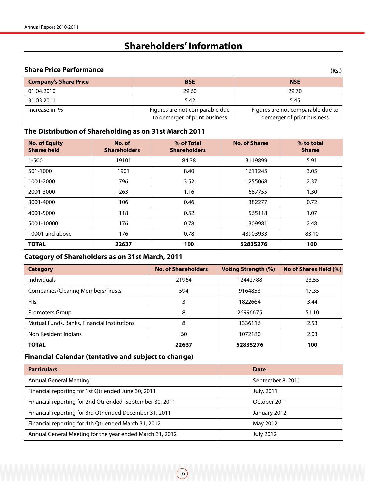# **Shareholders' Information**

**(Rs.)**

#### **Share Price Performance**

| <b>Company's Share Price</b> | <b>BSE</b>                                                      | <b>NSE</b>                                                      |
|------------------------------|-----------------------------------------------------------------|-----------------------------------------------------------------|
| 01.04.2010                   | 29.60                                                           | 29.70                                                           |
| 31.03.2011                   | 5.42                                                            | 5.45                                                            |
| Increase in %                | Figures are not comparable due<br>to demerger of print business | Figures are not comparable due to<br>demerger of print business |

### **The Distribution of Shareholding as on 31st March 2011**

| <b>No. of Equity</b><br><b>Shares held</b> | No. of<br><b>Shareholders</b> | % of Total<br><b>Shareholders</b> | <b>No. of Shares</b> | % to total<br><b>Shares</b> |
|--------------------------------------------|-------------------------------|-----------------------------------|----------------------|-----------------------------|
| $1 - 500$                                  | 19101                         | 84.38                             | 3119899              | 5.91                        |
| 501-1000                                   | 1901                          | 8.40                              | 1611245              | 3.05                        |
| 1001-2000                                  | 796                           | 3.52                              | 1255068              | 2.37                        |
| 2001-3000                                  | 263                           | 1.16                              | 687755               | 1.30                        |
| 3001-4000                                  | 106                           | 0.46                              | 382277               | 0.72                        |
| 4001-5000                                  | 118                           | 0.52                              | 565118               | 1.07                        |
| 5001-10000                                 | 176                           | 0.78                              | 1309981              | 2.48                        |
| 10001 and above                            | 176                           | 0.78                              | 43903933             | 83.10                       |
| <b>TOTAL</b>                               | 22637                         | 100                               | 52835276             | 100                         |

### **Category of Shareholders as on 31st March, 2011**

| <b>Category</b>                             | <b>No. of Shareholders</b> | <b>Voting Strength (%)</b> | No of Shares Held (%) |
|---------------------------------------------|----------------------------|----------------------------|-----------------------|
| <b>Individuals</b>                          | 21964                      | 12442788                   | 23.55                 |
| Companies/Clearing Members/Trusts           | 594                        | 9164853                    | 17.35                 |
| Flls                                        | 3                          | 1822664                    | 3.44                  |
| Promoters Group                             | 8                          | 26996675                   | 51.10                 |
| Mutual Funds, Banks, Financial Institutions | 8                          | 1336116                    | 2.53                  |
| Non Resident Indians                        | 60                         | 1072180                    | 2.03                  |
| <b>TOTAL</b>                                | 22637                      | 52835276                   | 100                   |

### **Financial Calendar (tentative and subject to change)**

| <b>Particulars</b>                                       | <b>Date</b>       |
|----------------------------------------------------------|-------------------|
| Annual General Meeting                                   | September 8, 2011 |
| Financial reporting for 1st Qtr ended June 30, 2011      | July, 2011        |
| Financial reporting for 2nd Qtr ended September 30, 2011 | October 2011      |
| Financial reporting for 3rd Qtr ended December 31, 2011  | January 2012      |
| Financial reporting for 4th Qtr ended March 31, 2012     | May 2012          |
| Annual General Meeting for the year ended March 31, 2012 | <b>July 2012</b>  |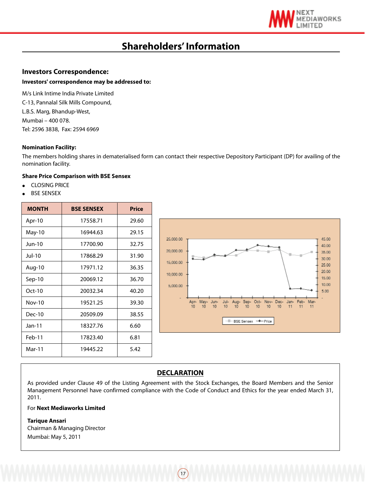# **Shareholders' Information**

#### **Investors Correspondence:**

#### **Investors' correspondence may be addressed to:**

M/s Link Intime India Private Limited C-13, Pannalal Silk Mills Compound, L.B.S. Marg, Bhandup-West, Mumbai – 400 078. Tel: 2596 3838, Fax: 2594 6969

#### **Nomination Facility:**

The members holding shares in dematerialised form can contact their respective Depository Participant (DP) for availing of the nomination facility.

#### **Share Price Comparison with BSE Sensex**

- $\bullet$ CLOSING PRICE
- $\bullet$ BSE SENSEX

| <b>MONTH</b>  | <b>BSE SENSEX</b> | <b>Price</b> |
|---------------|-------------------|--------------|
| Apr-10        | 17558.71          | 29.60        |
| May-10        | 16944.63          | 29.15        |
| Jun-10        | 17700.90          | 32.75        |
| <b>Jul-10</b> | 17868.29          | 31.90        |
| Aug-10        | 17971.12          | 36.35        |
| Sep-10        | 20069.12          | 36.70        |
| $Oct-10$      | 20032.34          | 40.20        |
| $Nov-10$      | 19521.25          | 39.30        |
| Dec-10        | 20509.09          | 38.55        |
| Jan-11        | 18327.76          | 6.60         |
| Feb-11        | 17823.40          | 6.81         |
| Mar-11        | 19445.22          | 5.42         |



#### **DECLARATION**

As provided under Clause 49 of the Listing Agreement with the Stock Exchanges, the Board Members and the Senior Management Personnel have confirmed compliance with the Code of Conduct and Ethics for the year ended March 31, 2011.

17

#### For **Next Mediaworks Limited**

**Tarique Ansari** Chairman & Managing Director Mumbai: May 5, 2011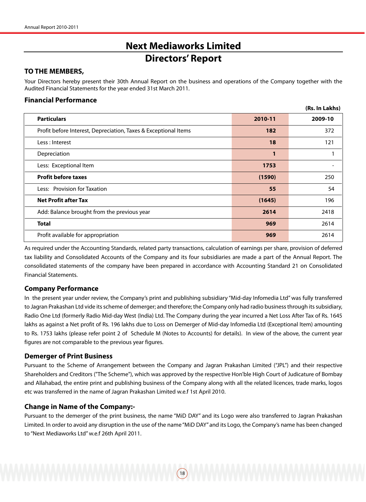# **Next Mediaworks Limited Directors' Report**

#### **TO THE MEMBERS,**

Your Directors hereby present their 30th Annual Report on the business and operations of the Company together with the Audited Financial Statements for the year ended 31st March 2011.

#### **Financial Performance**

|                                                                 |         | (Rs. In Lakhs) |
|-----------------------------------------------------------------|---------|----------------|
| <b>Particulars</b>                                              | 2010-11 | 2009-10        |
| Profit before Interest, Depreciation, Taxes & Exceptional Items | 182     | 372            |
| Less : Interest                                                 | 18      | 121            |
| Depreciation                                                    | 1       |                |
| Less: Exceptional Item                                          | 1753    |                |
| <b>Profit before taxes</b>                                      | (1590)  | 250            |
| Less: Provision for Taxation                                    | 55      | 54             |
| <b>Net Profit after Tax</b>                                     | (1645)  | 196            |
| Add: Balance brought from the previous year                     | 2614    | 2418           |
| <b>Total</b>                                                    | 969     | 2614           |
| Profit available for appropriation                              | 969     | 2614           |

As required under the Accounting Standards, related party transactions, calculation of earnings per share, provision of deferred tax liability and Consolidated Accounts of the Company and its four subsidiaries are made a part of the Annual Report. The consolidated statements of the company have been prepared in accordance with Accounting Standard 21 on Consolidated Financial Statements.

#### **Company Performance**

In the present year under review, the Company's print and publishing subsidiary "Mid-day Infomedia Ltd" was fully transferred to Jagran Prakashan Ltd vide its scheme of demerger; and therefore; the Company only had radio business through its subsidiary, Radio One Ltd (formerly Radio Mid-day West (India) Ltd. The Company during the year incurred a Net Loss After Tax of Rs. 1645 lakhs as against a Net profit of Rs. 196 lakhs due to Loss on Demerger of Mid-day Infomedia Ltd (Exceptional Item) amounting to Rs. 1753 lakhs (please refer point 2 of Schedule M (Notes to Accounts) for details). In view of the above, the current year figures are not comparable to the previous year figures.

#### **Demerger of Print Business**

Pursuant to the Scheme of Arrangement between the Company and Jagran Prakashan Limited ("JPL") and their respective Shareholders and Creditors ("The Scheme"), which was approved by the respective Hon'ble High Court of Judicature of Bombay and Allahabad, the entire print and publishing business of the Company along with all the related licences, trade marks, logos etc was transferred in the name of Jagran Prakashan Limited w.e.f 1st April 2010.

#### **Change in Name of the Company:-**

Pursuant to the demerger of the print business, the name "MiD DAY" and its Logo were also transferred to Jagran Prakashan Limited. In order to avoid any disruption in the use of the name "MiD DAY" and its Logo, the Company's name has been changed to "Next Mediaworks Ltd" w.e.f 26th April 2011.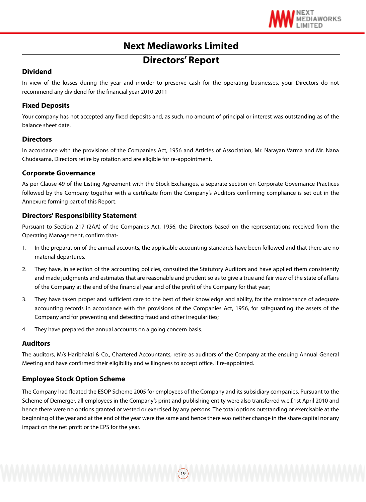

# **Next Mediaworks Limited**

**Directors' Report**

#### **Dividend**

In view of the losses during the year and inorder to preserve cash for the operating businesses, your Directors do not recommend any dividend for the financial year 2010-2011

#### **Fixed Deposits**

Your company has not accepted any fixed deposits and, as such, no amount of principal or interest was outstanding as of the balance sheet date.

#### **Directors**

In accordance with the provisions of the Companies Act, 1956 and Articles of Association, Mr. Narayan Varma and Mr. Nana Chudasama, Directors retire by rotation and are eligible for re-appointment.

#### **Corporate Governance**

As per Clause 49 of the Listing Agreement with the Stock Exchanges, a separate section on Corporate Governance Practices followed by the Company together with a certificate from the Company's Auditors confirming compliance is set out in the Annexure forming part of this Report.

#### **Directors' Responsibility Statement**

Pursuant to Section 217 (2AA) of the Companies Act, 1956, the Directors based on the representations received from the Operating Management, confirm that-

- 1. In the preparation of the annual accounts, the applicable accounting standards have been followed and that there are no material departures.
- 2. They have, in selection of the accounting policies, consulted the Statutory Auditors and have applied them consistently and made judgments and estimates that are reasonable and prudent so as to give a true and fair view of the state of affairs of the Company at the end of the financial year and of the profit of the Company for that year;
- 3. They have taken proper and sufficient care to the best of their knowledge and ability, for the maintenance of adequate accounting records in accordance with the provisions of the Companies Act, 1956, for safeguarding the assets of the Company and for preventing and detecting fraud and other irregularities;
- 4. They have prepared the annual accounts on a going concern basis.

#### **Auditors**

The auditors, M/s Haribhakti & Co., Chartered Accountants, retire as auditors of the Company at the ensuing Annual General Meeting and have confirmed their eligibility and willingness to accept office, if re-appointed.

### **Employee Stock Option Scheme**

The Company had floated the ESOP Scheme 2005 for employees of the Company and its subsidiary companies. Pursuant to the Scheme of Demerger, all employees in the Company's print and publishing entity were also transferred w.e.f.1st April 2010 and hence there were no options granted or vested or exercised by any persons. The total options outstanding or exercisable at the beginning of the year and at the end of the year were the same and hence there was neither change in the share capital nor any impact on the net profit or the EPS for the year.

 $(19)$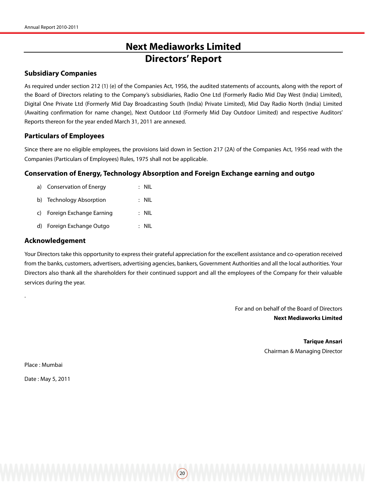# **Next Mediaworks Limited Directors' Report**

#### **Subsidiary Companies**

As required under section 212 (1) (e) of the Companies Act, 1956, the audited statements of accounts, along with the report of the Board of Directors relating to the Company's subsidiaries, Radio One Ltd (Formerly Radio Mid Day West (India) Limited), Digital One Private Ltd (Formerly Mid Day Broadcasting South (India) Private Limited), Mid Day Radio North (India) Limited (Awaiting confirmation for name change), Next Outdoor Ltd (Formerly Mid Day Outdoor Limited) and respective Auditors' Reports thereon for the year ended March 31, 2011 are annexed.

#### **Particulars of Employees**

Since there are no eligible employees, the provisions laid down in Section 217 (2A) of the Companies Act, 1956 read with the Companies (Particulars of Employees) Rules, 1975 shall not be applicable.

#### **Conservation of Energy, Technology Absorption and Foreign Exchange earning and outgo**

| a) Conservation of Energy   | : NIL   |
|-----------------------------|---------|
| b) Technology Absorption    | $:$ NIL |
| c) Foreign Exchange Earning | $:$ NIL |
| d) Foreign Exchange Outgo   | : NIL   |

#### **Acknowledgement**

Your Directors take this opportunity to express their grateful appreciation for the excellent assistance and co-operation received from the banks, customers, advertisers, advertising agencies, bankers, Government Authorities and all the local authorities. Your Directors also thank all the shareholders for their continued support and all the employees of the Company for their valuable services during the year.

20

For and on behalf of the Board of Directors **Next Mediaworks Limited** 

> **Tarique Ansari**  Chairman & Managing Director

Place : Mumbai

.

Date : May 5, 2011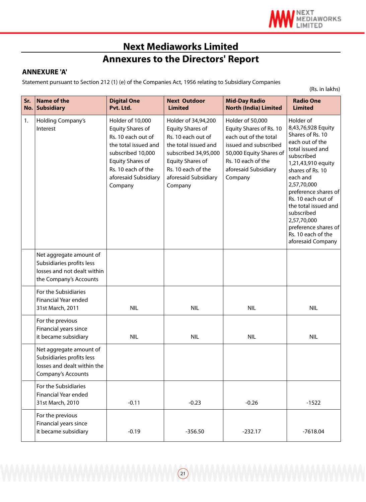

# **Next Mediaworks Limited Annexures to the Directors' Report**

#### **ANNEXURE 'A'**

Statement pursuant to Section 212 (1) (e) of the Companies Act, 1956 relating to Subsidiary Companies

|     | (Rs. in lakhs)                                                                                                |                                                                                                                                                                                                    |                                                                                                                                                                                                          |                                                                                                                                                                                   |                                                                                                                                                                                                                                                                                                                                                     |
|-----|---------------------------------------------------------------------------------------------------------------|----------------------------------------------------------------------------------------------------------------------------------------------------------------------------------------------------|----------------------------------------------------------------------------------------------------------------------------------------------------------------------------------------------------------|-----------------------------------------------------------------------------------------------------------------------------------------------------------------------------------|-----------------------------------------------------------------------------------------------------------------------------------------------------------------------------------------------------------------------------------------------------------------------------------------------------------------------------------------------------|
| Sr. | <b>Name of the</b><br>No. Subsidiary                                                                          | <b>Digital One</b><br>Pvt. Ltd.                                                                                                                                                                    | <b>Next Outdoor</b><br><b>Limited</b>                                                                                                                                                                    | <b>Mid-Day Radio</b><br><b>North (India) Limited</b>                                                                                                                              | <b>Radio One</b><br><b>Limited</b>                                                                                                                                                                                                                                                                                                                  |
| 1.  | Holding Company's<br>Interest                                                                                 | Holder of 10,000<br><b>Equity Shares of</b><br>Rs. 10 each out of<br>the total issued and<br>subscribed 10,000<br><b>Equity Shares of</b><br>Rs. 10 each of the<br>aforesaid Subsidiary<br>Company | Holder of 34,94,200<br><b>Equity Shares of</b><br>Rs. 10 each out of<br>the total issued and<br>subscribed 34,95,000<br><b>Equity Shares of</b><br>Rs. 10 each of the<br>aforesaid Subsidiary<br>Company | Holder of 50,000<br>Equity Shares of Rs. 10<br>each out of the total<br>issued and subscribed<br>50,000 Equity Shares of<br>Rs. 10 each of the<br>aforesaid Subsidiary<br>Company | Holder of<br>8,43,76,928 Equity<br>Shares of Rs. 10<br>each out of the<br>total issued and<br>subscribed<br>1,21,43,910 equity<br>shares of Rs. 10<br>each and<br>2,57,70,000<br>preference shares of<br>Rs. 10 each out of<br>the total issued and<br>subscribed<br>2,57,70,000<br>preference shares of<br>Rs. 10 each of the<br>aforesaid Company |
|     | Net aggregate amount of<br>Subsidiaries profits less<br>losses and not dealt within<br>the Company's Accounts |                                                                                                                                                                                                    |                                                                                                                                                                                                          |                                                                                                                                                                                   |                                                                                                                                                                                                                                                                                                                                                     |
|     | For the Subsidiaries<br><b>Financial Year ended</b><br>31st March, 2011                                       | <b>NIL</b>                                                                                                                                                                                         | <b>NIL</b>                                                                                                                                                                                               | <b>NIL</b>                                                                                                                                                                        | <b>NIL</b>                                                                                                                                                                                                                                                                                                                                          |
|     | For the previous<br>Financial years since<br>it became subsidiary                                             | <b>NIL</b>                                                                                                                                                                                         | <b>NIL</b>                                                                                                                                                                                               | <b>NIL</b>                                                                                                                                                                        | <b>NIL</b>                                                                                                                                                                                                                                                                                                                                          |
|     | Net aggregate amount of<br>Subsidiaries profits less<br>losses and dealt within the<br>Company's Accounts     |                                                                                                                                                                                                    |                                                                                                                                                                                                          |                                                                                                                                                                                   |                                                                                                                                                                                                                                                                                                                                                     |
|     | For the Subsidiaries<br>Financial Year ended<br>31st March, 2010                                              | $-0.11$                                                                                                                                                                                            | $-0.23$                                                                                                                                                                                                  | $-0.26$                                                                                                                                                                           | $-1522$                                                                                                                                                                                                                                                                                                                                             |
|     | For the previous<br>Financial years since<br>it became subsidiary                                             | $-0.19$                                                                                                                                                                                            | $-356.50$                                                                                                                                                                                                | $-232.17$                                                                                                                                                                         | $-7618.04$                                                                                                                                                                                                                                                                                                                                          |

21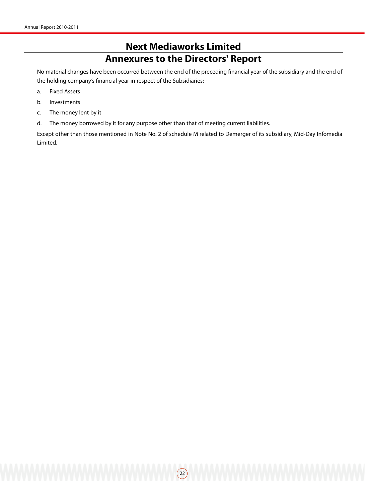# **Next Mediaworks Limited Annexures to the Directors' Report**

No material changes have been occurred between the end of the preceding financial year of the subsidiary and the end of the holding company's financial year in respect of the Subsidiaries: -

- a. Fixed Assets
- b. Investments
- c. The money lent by it
- d. The money borrowed by it for any purpose other than that of meeting current liabilities.

Except other than those mentioned in Note No. 2 of schedule M related to Demerger of its subsidiary, Mid-Day Infomedia Limited.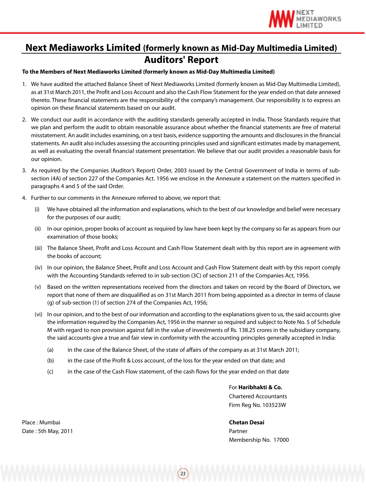

# **Next Mediaworks Limited (formerly known as Mid-Day Multimedia Limited) Auditors' Report**

#### **To the Members of Next Mediaworks Limited (formerly known as Mid-Day Multimedia Limited)**

- 1. We have audited the attached Balance Sheet of Next Mediaworks Limited (formerly known as Mid-Day Multimedia Limited), as at 31st March 2011, the Profit and Loss Account and also the Cash Flow Statement for the year ended on that date annexed thereto. These financial statements are the responsibility of the company's management. Our responsibility is to express an opinion on these financial statements based on our audit.
- 2. We conduct our audit in accordance with the auditing standards generally accepted in India. Those Standards require that we plan and perform the audit to obtain reasonable assurance about whether the financial statements are free of material misstatement. An audit includes examining, on a test basis, evidence supporting the amounts and disclosures in the financial statements. An audit also includes assessing the accounting principles used and significant estimates made by management, as well as evaluating the overall financial statement presentation. We believe that our audit provides a reasonable basis for our opinion.
- 3. As required by the Companies (Auditor's Report) Order, 2003 issued by the Central Government of India in terms of subsection (4A) of section 227 of the Companies Act. 1956 we enclose in the Annexure a statement on the matters specified in paragraphs 4 and 5 of the said Order.
- 4. Further to our comments in the Annexure referred to above, we report that:
	- (i) We have obtained all the information and explanations, which to the best of our knowledge and belief were necessary for the purposes of our audit;
	- (ii) In our opinion, proper books of account as required by law have been kept by the company so far as appears from our examination of those books;
	- (iii) The Balance Sheet, Profit and Loss Account and Cash Flow Statement dealt with by this report are in agreement with the books of account;
	- (iv) In our opinion, the Balance Sheet, Profit and Loss Account and Cash Flow Statement dealt with by this report comply with the Accounting Standards referred to in sub-section (3C) of section 211 of the Companies Act, 1956.
	- (v) Based on the written representations received from the directors and taken on record by the Board of Directors, we report that none of them are disqualified as on 31st March 2011 from being appointed as a director in terms of clause (g) of sub-section (1) of section 274 of the Companies Act, 1956;
	- (vi) In our opinion, and to the best of our information and according to the explanations given to us, the said accounts give the information required by the Companies Act, 1956 in the manner so required and subject to Note No. 5 of Schedule M with regard to non provision against fall in the value of investments of Rs. 138.25 crores in the subsidiary company, the said accounts give a true and fair view in conformity with the accounting principles generally accepted in India:
		- (a) in the case of the Balance Sheet, of the state of affairs of the company as at 31st March 2011;

23

- (b) in the case of the Profit & Loss account, of the loss for the year ended on that date; and
- (c) in the case of the Cash Flow statement, of the cash flows for the year ended on that date

For **Haribhakti & Co.** Chartered Accountants

Firm Reg No. 103523W

Place : Mumbai **Chetan Desai** Date : 5th May, 2011 **Partner Partner Partner Partner** 

Membership No. 17000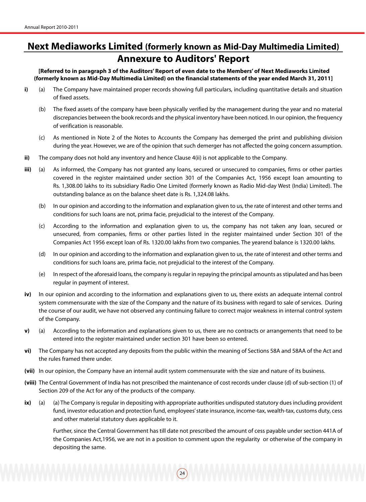# **Next Mediaworks Limited (formerly known as Mid-Day Multimedia Limited) Annexure to Auditors' Report**

**[Referred to in paragraph 3 of the Auditors' Report of even date to the Members' of Next Mediaworks Limited (formerly known as Mid-Day Multimedia Limited) on the financial statements of the year ended March 31, 2011]**

- **i)** (a) The Company have maintained proper records showing full particulars, including quantitative details and situation of fixed assets.
	- (b) The fixed assets of the company have been physically verified by the management during the year and no material discrepancies between the book records and the physical inventory have been noticed. In our opinion, the frequency of verification is reasonable.
	- (c) As mentioned in Note 2 of the Notes to Accounts the Company has demerged the print and publishing division during the year. However, we are of the opinion that such demerger has not affected the going concern assumption.
- **ii)** The company does not hold any inventory and hence Clause 4(ii) is not applicable to the Company.
- **iii)** (a) As informed, the Company has not granted any loans, secured or unsecured to companies, firms or other parties covered in the register maintained under section 301 of the Companies Act, 1956 except loan amounting to Rs. 1,308.00 lakhs to its subsidiary Radio One Limited (formerly known as Radio Mid-day West (India) Limited). The outstanding balance as on the balance sheet date is Rs. 1,324.08 lakhs.
	- (b) In our opinion and according to the information and explanation given to us, the rate of interest and other terms and conditions for such loans are not, prima facie, prejudicial to the interest of the Company.
	- (c) According to the information and explanation given to us, the company has not taken any loan, secured or unsecured, from companies, firms or other parties listed in the register maintained under Section 301 of the Companies Act 1956 except loan of Rs. 1320.00 lakhs from two companies. The yearend balance is 1320.00 lakhs.
	- (d) In our opinion and according to the information and explanation given to us, the rate of interest and other terms and conditions for such loans are, prima facie, not prejudicial to the interest of the Company.
	- (e) In respect of the aforesaid loans, the company is regular in repaying the principal amounts as stipulated and has been regular in payment of interest.
- **iv)** In our opinion and according to the information and explanations given to us, there exists an adequate internal control system commensurate with the size of the Company and the nature of its business with regard to sale of services. During the course of our audit, we have not observed any continuing failure to correct major weakness in internal control system of the Company.
- **v)** (a) According to the information and explanations given to us, there are no contracts or arrangements that need to be entered into the register maintained under section 301 have been so entered.
- **vi)** The Company has not accepted any deposits from the public within the meaning of Sections 58A and 58AA of the Act and the rules framed there under.
- **(vii)** In our opinion, the Company have an internal audit system commensurate with the size and nature of its business.
- **(viii)** The Central Government of India has not prescribed the maintenance of cost records under clause (d) of sub-section (1) of Section 209 of the Act for any of the products of the company.
- **ix)** (a) (a) The Company is regular in depositing with appropriate authorities undisputed statutory dues including provident fund, investor education and protection fund, employees' state insurance, income-tax, wealth-tax, customs duty, cess and other material statutory dues applicable to it.

Further, since the Central Government has till date not prescribed the amount of cess payable under section 441A of the Companies Act,1956, we are not in a position to comment upon the regularity or otherwise of the company in depositing the same.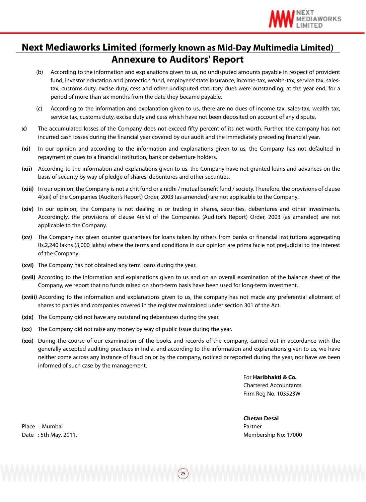

# **Next Mediaworks Limited (formerly known as Mid-Day Multimedia Limited) Annexure to Auditors' Report**

- (b) According to the information and explanations given to us, no undisputed amounts payable in respect of provident fund, investor education and protection fund, employees' state insurance, income-tax, wealth-tax, service tax, salestax, customs duty, excise duty, cess and other undisputed statutory dues were outstanding, at the year end, for a period of more than six months from the date they became payable.
- (c) According to the information and explanation given to us, there are no dues of income tax, sales-tax, wealth tax, service tax, customs duty, excise duty and cess which have not been deposited on account of any dispute.
- **x)** The accumulated losses of the Company does not exceed fifty percent of its net worth. Further, the company has not incurred cash losses during the financial year covered by our audit and the immediately preceding financial year.
- **(xi)** In our opinion and according to the information and explanations given to us, the Company has not defaulted in repayment of dues to a financial institution, bank or debenture holders.
- **(xii)** According to the information and explanations given to us, the Company have not granted loans and advances on the basis of security by way of pledge of shares, debentures and other securities.
- **(xiii)** In our opinion, the Company is not a chit fund or a nidhi / mutual benefit fund / society. Therefore, the provisions of clause 4(xiii) of the Companies (Auditor's Report) Order, 2003 (as amended) are not applicable to the Company.
- **(xiv)** In our opinion, the Company is not dealing in or trading in shares, securities, debentures and other investments. Accordingly, the provisions of clause 4(xiv) of the Companies (Auditor's Report) Order, 2003 (as amended) are not applicable to the Company.
- **(xv)** The Company has given counter guarantees for loans taken by others from banks or financial institutions aggregating Rs.2,240 lakhs (3,000 lakhs) where the terms and conditions in our opinion are prima facie not prejudicial to the interest of the Company.
- **(xvi)** The Company has not obtained any term loans during the year.
- **(xvii)** According to the information and explanations given to us and on an overall examination of the balance sheet of the Company, we report that no funds raised on short-term basis have been used for long-term investment.
- **(xviii)** According to the information and explanations given to us, the company has not made any preferential allotment of shares to parties and companies covered in the register maintained under section 301 of the Act.
- **(xix)** The Company did not have any outstanding debentures during the year.
- **(xx)** The Company did not raise any money by way of public issue during the year.
- **(xxi)** During the course of our examination of the books and records of the company, carried out in accordance with the generally accepted auditing practices in India, and according to the information and explanations given to us, we have neither come across any instance of fraud on or by the company, noticed or reported during the year, nor have we been informed of such case by the management.

25

For **Haribhakti & Co.** Chartered Accountants Firm Reg No. 103523W

**Chetan Desai** Date : 5th May, 2011. No. 2011.

Place : Mumbai Partner Partner Partner Partner Partner Partner Partner Partner Partner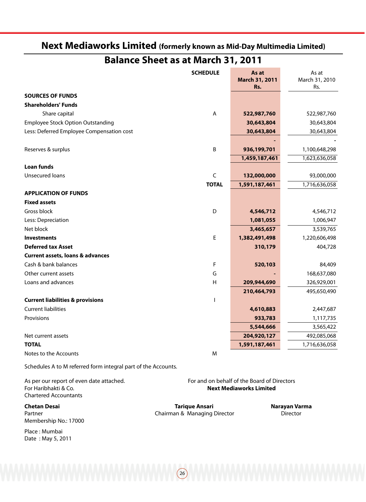# **Next Mediaworks Limited (formerly known as Mid-Day Multimedia Limited)**

# **Balance Sheet as at March 31, 2011**

|                                             | <b>SCHEDULE</b>         | As at<br>March 31, 2011<br>Rs. | As at<br>March 31, 2010<br>Rs. |
|---------------------------------------------|-------------------------|--------------------------------|--------------------------------|
| <b>SOURCES OF FUNDS</b>                     |                         |                                |                                |
| <b>Shareholders' Funds</b>                  |                         |                                |                                |
| Share capital                               | $\overline{\mathsf{A}}$ | 522,987,760                    | 522,987,760                    |
| <b>Employee Stock Option Outstanding</b>    |                         | 30,643,804                     | 30,643,804                     |
| Less: Deferred Employee Compensation cost   |                         | 30,643,804                     | 30,643,804                     |
|                                             |                         |                                |                                |
| Reserves & surplus                          | B                       | 936,199,701                    | 1,100,648,298                  |
|                                             |                         | 1,459,187,461                  | 1,623,636,058                  |
| <b>Loan funds</b>                           |                         |                                |                                |
| <b>Unsecured loans</b>                      | $\mathsf{C}$            | 132,000,000                    | 93,000,000                     |
|                                             | <b>TOTAL</b>            | 1,591,187,461                  | 1,716,636,058                  |
| <b>APPLICATION OF FUNDS</b>                 |                         |                                |                                |
| <b>Fixed assets</b>                         |                         |                                |                                |
| Gross block                                 | D                       | 4,546,712                      | 4,546,712                      |
| Less: Depreciation                          |                         | 1,081,055                      | 1,006,947                      |
| Net block                                   |                         | 3,465,657                      | 3,539,765                      |
| <b>Investments</b>                          | E                       | 1,382,491,498                  | 1,220,606,498                  |
| <b>Deferred tax Asset</b>                   |                         | 310,179                        | 404,728                        |
| <b>Current assets, loans &amp; advances</b> |                         |                                |                                |
| Cash & bank balances                        | F                       | 520,103                        | 84,409                         |
| Other current assets                        | G                       |                                | 168,637,080                    |
| Loans and advances                          | H                       | 209,944,690                    | 326,929,001                    |
|                                             |                         | 210,464,793                    | 495,650,490                    |
| <b>Current liabilities &amp; provisions</b> | $\mathbf{I}$            |                                |                                |
| <b>Current liabilities</b>                  |                         | 4,610,883                      | 2,447,687                      |
| Provisions                                  |                         | 933,783                        | 1,117,735                      |
|                                             |                         | 5,544,666                      | 3,565,422                      |
| Net current assets                          |                         | 204,920,127                    | 492,085,068                    |
| <b>TOTAL</b>                                |                         | 1,591,187,461                  | 1,716,636,058                  |
| Notes to the Accounts                       | M                       |                                |                                |

Schedules A to M referred form integral part of the Accounts.

As per our report of even date attached.<br>For and on behalf of the Board of Directors<br>**Next Mediaworks Limited Next Mediaworks Limited** Chartered Accountants

Membership No.: 17000

Place : Mumbai Date : May 5, 2011

**Chetan Desai Tarique Ansari Narayan Varma** Partner **Chairman & Managing Director** Director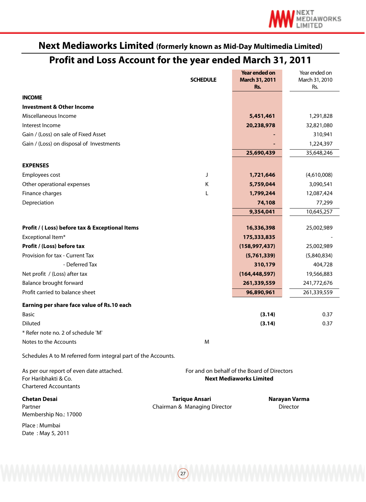

# **Next Mediaworks Limited (formerly known as Mid-Day Multimedia Limited)**

# **Profit and Loss Account for the year ended March 31, 2011**

|                                                                                                  | <b>SCHEDULE</b>                                                                    | <b>Year ended on</b><br>March 31, 2011<br>Rs. | Year ended on<br>March 31, 2010<br>Rs. |
|--------------------------------------------------------------------------------------------------|------------------------------------------------------------------------------------|-----------------------------------------------|----------------------------------------|
| <b>INCOME</b>                                                                                    |                                                                                    |                                               |                                        |
| <b>Investment &amp; Other Income</b>                                                             |                                                                                    |                                               |                                        |
| Miscellaneous Income                                                                             |                                                                                    | 5,451,461                                     | 1,291,828                              |
| Interest Income                                                                                  |                                                                                    | 20,238,978                                    | 32,821,080                             |
| Gain / (Loss) on sale of Fixed Asset                                                             |                                                                                    |                                               | 310,941                                |
| Gain / (Loss) on disposal of Investments                                                         |                                                                                    |                                               | 1,224,397                              |
|                                                                                                  |                                                                                    | 25,690,439                                    | 35,648,246                             |
| <b>EXPENSES</b>                                                                                  |                                                                                    |                                               |                                        |
| Employees cost                                                                                   | J                                                                                  | 1,721,646                                     | (4,610,008)                            |
| Other operational expenses                                                                       | Κ                                                                                  | 5,759,044                                     | 3,090,541                              |
| Finance charges                                                                                  | L                                                                                  | 1,799,244                                     | 12,087,424                             |
| Depreciation                                                                                     |                                                                                    | 74,108                                        | 77,299                                 |
|                                                                                                  |                                                                                    | 9,354,041                                     | 10,645,257                             |
| Profit / (Loss) before tax & Exceptional Items                                                   |                                                                                    |                                               |                                        |
| Exceptional Item*                                                                                |                                                                                    | 16,336,398<br>175,333,835                     | 25,002,989                             |
| Profit / (Loss) before tax                                                                       |                                                                                    | (158, 997, 437)                               | 25,002,989                             |
| Provision for tax - Current Tax                                                                  |                                                                                    | (5,761,339)                                   | (5,840,834)                            |
| - Deferred Tax                                                                                   |                                                                                    | 310,179                                       | 404,728                                |
| Net profit / (Loss) after tax                                                                    |                                                                                    | (164, 448, 597)                               | 19,566,883                             |
| Balance brought forward                                                                          |                                                                                    | 261,339,559                                   | 241,772,676                            |
| Profit carried to balance sheet                                                                  |                                                                                    | 96,890,961                                    | 261,339,559                            |
| Earning per share face value of Rs.10 each                                                       |                                                                                    |                                               |                                        |
| <b>Basic</b>                                                                                     |                                                                                    | (3.14)                                        | 0.37                                   |
| <b>Diluted</b>                                                                                   |                                                                                    | (3.14)                                        | 0.37                                   |
| * Refer note no. 2 of schedule 'M'                                                               |                                                                                    |                                               |                                        |
| Notes to the Accounts                                                                            | M                                                                                  |                                               |                                        |
| Schedules A to M referred form integral part of the Accounts.                                    |                                                                                    |                                               |                                        |
| As per our report of even date attached.<br>For Haribhakti & Co.<br><b>Chartered Accountants</b> | For and on behalf of the Board of Directors<br><b>Next Mediaworks Limited</b>      |                                               |                                        |
| <b>Chetan Desai</b><br>Partner<br>Membership No.: 17000                                          | <b>Tarique Ansari</b><br>Narayan Varma<br>Chairman & Managing Director<br>Director |                                               |                                        |

27

Place : Mumbai Date : May 5, 2011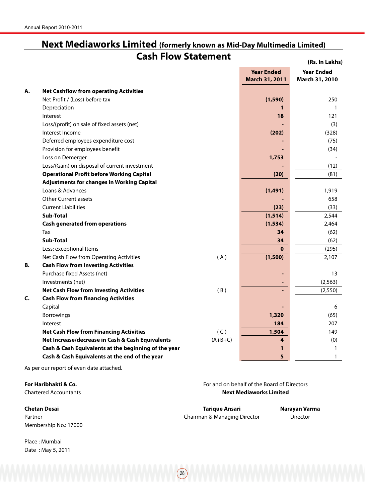# **Next Mediaworks Limited (formerly known as Mid-Day Multimedia Limited) Cash Flow Statement**

|    |                                                      |           |                                     | (Rs. In Lakhs)                      |
|----|------------------------------------------------------|-----------|-------------------------------------|-------------------------------------|
|    |                                                      |           | <b>Year Ended</b><br>March 31, 2011 | <b>Year Ended</b><br>March 31, 2010 |
|    |                                                      |           |                                     |                                     |
| А. | <b>Net Cashflow from operating Activities</b>        |           |                                     |                                     |
|    | Net Profit / (Loss) before tax                       |           | (1,590)                             | 250                                 |
|    | Depreciation                                         |           | $\mathbf{1}$                        | 1                                   |
|    | Interest                                             |           | 18                                  | 121                                 |
|    | Loss/(profit) on sale of fixed assets (net)          |           |                                     | (3)                                 |
|    | Interest Income                                      |           | (202)                               | (328)                               |
|    | Deferred employees expenditure cost                  |           |                                     | (75)                                |
|    | Provision for employees benefit                      |           |                                     | (34)                                |
|    | Loss on Demerger                                     |           | 1,753                               |                                     |
|    | Loss/(Gain) on disposal of current investment        |           |                                     | (12)                                |
|    | <b>Operational Profit before Working Capital</b>     |           | (20)                                | (81)                                |
|    | <b>Adjustments for changes in Working Capital</b>    |           |                                     |                                     |
|    | Loans & Advances                                     |           | (1, 491)                            | 1,919                               |
|    | <b>Other Current assets</b>                          |           |                                     | 658                                 |
|    | <b>Current Liabilities</b>                           |           | (23)                                | (33)                                |
|    | Sub-Total                                            |           | (1, 514)                            | 2,544                               |
|    | <b>Cash generated from operations</b>                |           | (1, 534)                            | 2,464                               |
|    | Tax                                                  |           | 34                                  | (62)                                |
|    | <b>Sub-Total</b>                                     |           | 34                                  | (62)                                |
|    | Less: exceptional Items                              |           | $\bf{0}$                            | (295)                               |
|    | Net Cash Flow from Operating Activities              | (A)       | (1,500)                             | 2,107                               |
| В. | <b>Cash Flow from Investing Activities</b>           |           |                                     |                                     |
|    | Purchase fixed Assets (net)                          |           |                                     | 13                                  |
|    | Investments (net)                                    |           |                                     | (2, 563)                            |
|    | <b>Net Cash Flow from Investing Activities</b>       | (B)       | $\overline{\phantom{0}}$            | (2, 550)                            |
| C. | <b>Cash Flow from financing Activities</b>           |           |                                     |                                     |
|    | Capital                                              |           |                                     | 6                                   |
|    | Borrowings                                           |           | 1,320                               | (65)                                |
|    | Interest                                             |           | 184                                 | 207                                 |
|    | <b>Net Cash Flow from Financing Activities</b>       | (C)       | 1,504                               | 149                                 |
|    | Net Increase/decrease in Cash & Cash Equivalents     | $(A+B+C)$ | 4                                   | (0)                                 |
|    | Cash & Cash Equivalents at the beginning of the year |           | 1                                   | 1                                   |
|    | Cash & Cash Equivalents at the end of the year       |           | 5                                   | $\mathbf{1}$                        |

28

As per our report of even date attached.

Membership No.: 17000

Place : Mumbai Date : May 5, 2011

#### **For Haribhakti & Co. For and on behalf of the Board of Directors** Chartered Accountants **Next Mediaworks Limited**

**Chetan Desai Tarique Ansari Narayan Varma** Partner **Chairman & Managing Director** Director **Chairman & Managing Director** Director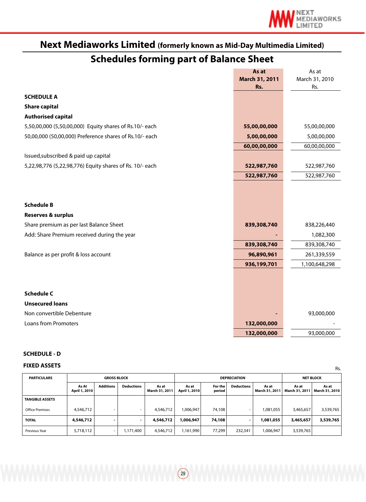

# **Next Mediaworks Limited (formerly known as Mid-Day Multimedia Limited) Schedules forming part of Balance Sheet**

|                                                          | As at          | As at          |
|----------------------------------------------------------|----------------|----------------|
|                                                          | March 31, 2011 | March 31, 2010 |
|                                                          | Rs.            | Rs.            |
| <b>SCHEDULE A</b>                                        |                |                |
| <b>Share capital</b>                                     |                |                |
| <b>Authorised capital</b>                                |                |                |
| 5,50,00,000 (5,50,00,000) Equity shares of Rs.10/- each  | 55,00,00,000   | 55,00,00,000   |
| 50,00,000 (50,00,000) Preference shares of Rs.10/- each  | 5,00,00,000    | 5,00,00,000    |
|                                                          | 60,00,00,000   | 60,00,00,000   |
| Issued, subscribed & paid up capital                     |                |                |
| 5,22,98,776 (5,22,98,776) Equity shares of Rs. 10/- each | 522,987,760    | 522,987,760    |
|                                                          | 522,987,760    | 522,987,760    |
|                                                          |                |                |
| <b>Schedule B</b>                                        |                |                |
|                                                          |                |                |
| <b>Reserves &amp; surplus</b>                            |                |                |
| Share premium as per last Balance Sheet                  | 839,308,740    | 838,226,440    |
| Add: Share Premium received during the year              |                | 1,082,300      |
|                                                          | 839,308,740    | 839,308,740    |
| Balance as per profit & loss account                     | 96,890,961     | 261,339,559    |
|                                                          | 936,199,701    | 1,100,648,298  |
|                                                          |                |                |
|                                                          |                |                |
| <b>Schedule C</b>                                        |                |                |
| <b>Unsecured loans</b>                                   |                |                |
| Non convertible Debenture                                |                | 93,000,000     |
| Loans from Promoters                                     | 132,000,000    |                |
|                                                          | 132,000,000    | 93,000,000     |

#### **SCHEDULE - D**

### **FIXED ASSETS**

| <b>PARTICULARS</b>     | <b>GROSS BLOCK</b>     |                          |                          | <b>DEPRECIATION</b>     |                        |                   | <b>NET BLOCK</b>  |                        |                         |                         |
|------------------------|------------------------|--------------------------|--------------------------|-------------------------|------------------------|-------------------|-------------------|------------------------|-------------------------|-------------------------|
|                        | As At<br>April 1, 2010 | <b>Additions</b>         | <b>Deductions</b>        | As at<br>March 31, 2011 | As at<br>April 1, 2010 | For the<br>period | <b>Deductions</b> | As at<br>March 31, 201 | As at<br>March 31, 2011 | As at<br>March 31, 2010 |
| <b>TANGIBLE ASSETS</b> |                        |                          |                          |                         |                        |                   |                   |                        |                         |                         |
| Office Premises        | 4,546,712              | -                        | $\sim$                   | 4,546,712               | 1,006,947              | 74,108            |                   | ,081,055               | 3,465,657               | 3,539,765               |
| <b>TOTAL</b>           | 4,546,712              | -                        | $\overline{\phantom{a}}$ | 4,546,712               | 1,006,947              | 74,108            |                   | 1,081,055              | 3,465,657               | 3,539,765               |
| Previous Year          | 5,718,112              | $\overline{\phantom{a}}$ | 1,171,400                | 4,546,712               | 1,161,990              | 77,299            | 232,341           | ,006,947               | 3,539,765               |                         |

29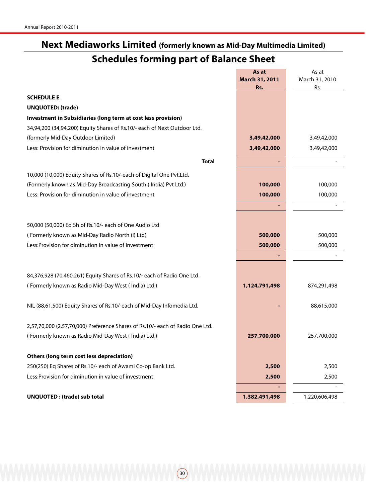# **Next Mediaworks Limited (formerly known as Mid-Day Multimedia Limited) Schedules forming part of Balance Sheet**

|                                                                               | As at          | As at          |
|-------------------------------------------------------------------------------|----------------|----------------|
|                                                                               | March 31, 2011 | March 31, 2010 |
|                                                                               | Rs.            | Rs.            |
| <b>SCHEDULE E</b>                                                             |                |                |
| <b>UNQUOTED: (trade)</b>                                                      |                |                |
| Investment in Subsidiaries (long term at cost less provision)                 |                |                |
| 34,94,200 (34,94,200) Equity Shares of Rs.10/- each of Next Outdoor Ltd.      |                |                |
| (formerly Mid-Day Outdoor Limited)                                            | 3,49,42,000    | 3,49,42,000    |
| Less: Provision for diminution in value of investment                         | 3,49,42,000    | 3,49,42,000    |
| <b>Total</b>                                                                  |                |                |
| 10,000 (10,000) Equity Shares of Rs.10/-each of Digital One Pvt.Ltd.          |                |                |
| (Formerly known as Mid-Day Broadcasting South (India) Pvt Ltd.)               | 100,000        | 100,000        |
| Less: Provision for diminution in value of investment                         | 100,000        | 100,000        |
|                                                                               |                |                |
|                                                                               |                |                |
| 50,000 (50,000) Eq Sh of Rs.10/- each of One Audio Ltd                        |                |                |
| (Formerly known as Mid-Day Radio North (I) Ltd)                               | 500,000        | 500,000        |
| Less: Provision for diminution in value of investment                         | 500,000        | 500,000        |
|                                                                               |                |                |
|                                                                               |                |                |
| 84,376,928 (70,460,261) Equity Shares of Rs.10/- each of Radio One Ltd.       |                |                |
| (Formerly known as Radio Mid-Day West (India) Ltd.)                           | 1,124,791,498  | 874,291,498    |
| NIL (88,61,500) Equity Shares of Rs.10/-each of Mid-Day Infomedia Ltd.        |                | 88,615,000     |
|                                                                               |                |                |
| 2,57,70,000 (2,57,70,000) Preference Shares of Rs.10/- each of Radio One Ltd. |                |                |
| (Formerly known as Radio Mid-Day West (India) Ltd.)                           | 257,700,000    | 257,700,000    |
| Others (long term cost less depreciation)                                     |                |                |
| 250(250) Eq Shares of Rs.10/- each of Awami Co-op Bank Ltd.                   | 2,500          | 2,500          |
| Less: Provision for diminution in value of investment                         | 2,500          | 2,500          |
|                                                                               |                |                |
| UNQUOTED : (trade) sub total                                                  | 1,382,491,498  | 1,220,606,498  |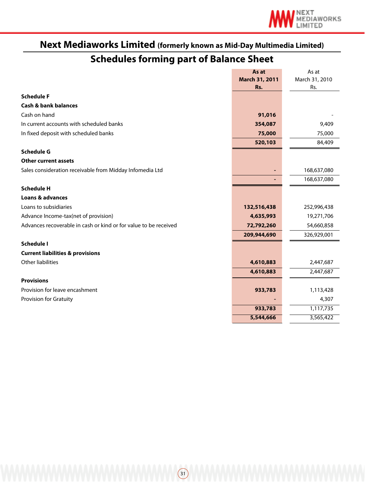

# **Next Mediaworks Limited (formerly known as Mid-Day Multimedia Limited) Schedules forming part of Balance Sheet**

|                                                                  | As at          | As at          |
|------------------------------------------------------------------|----------------|----------------|
|                                                                  | March 31, 2011 | March 31, 2010 |
|                                                                  | Rs.            | Rs.            |
| <b>Schedule F</b>                                                |                |                |
| <b>Cash &amp; bank balances</b>                                  |                |                |
| Cash on hand                                                     | 91,016         |                |
| In current accounts with scheduled banks                         | 354,087        | 9,409          |
| In fixed deposit with scheduled banks                            | 75,000         | 75,000         |
|                                                                  | 520,103        | 84,409         |
| <b>Schedule G</b>                                                |                |                |
| <b>Other current assets</b>                                      |                |                |
| Sales consideration receivable from Midday Infomedia Ltd         |                | 168,637,080    |
|                                                                  |                | 168,637,080    |
| <b>Schedule H</b>                                                |                |                |
| <b>Loans &amp; advances</b>                                      |                |                |
| Loans to subsidiaries                                            | 132,516,438    | 252,996,438    |
| Advance Income-tax(net of provision)                             | 4,635,993      | 19,271,706     |
| Advances recoverable in cash or kind or for value to be received | 72,792,260     | 54,660,858     |
|                                                                  | 209,944,690    | 326,929,001    |
| Schedule I                                                       |                |                |
| <b>Current liabilities &amp; provisions</b>                      |                |                |
| <b>Other liabilities</b>                                         | 4,610,883      | 2,447,687      |
|                                                                  | 4,610,883      | 2,447,687      |
| <b>Provisions</b>                                                |                |                |
| Provision for leave encashment                                   | 933,783        | 1,113,428      |
| Provision for Gratuity                                           |                | 4,307          |
|                                                                  | 933,783        | 1,117,735      |
|                                                                  | 5,544,666      | 3,565,422      |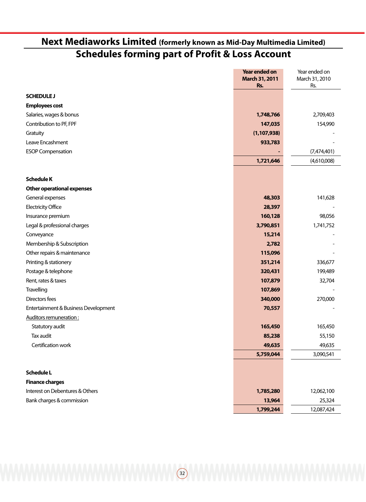# **Next Mediaworks Limited (formerly known as Mid-Day Multimedia Limited) Schedules forming part of Profit & Loss Account**

|                                      | <b>Year ended on</b> | Year ended on  |
|--------------------------------------|----------------------|----------------|
|                                      | March 31, 2011       | March 31, 2010 |
|                                      | Rs.                  | Rs.            |
| <b>SCHEDULE J</b>                    |                      |                |
| <b>Employees cost</b>                |                      |                |
| Salaries, wages & bonus              | 1,748,766            | 2,709,403      |
| Contribution to PF, FPF              | 147,035              | 154,990        |
| Gratuity                             | (1, 107, 938)        |                |
| Leave Encashment                     | 933,783              |                |
| <b>ESOP Compensation</b>             |                      | (7,474,401)    |
|                                      | 1,721,646            | (4,610,008)    |
|                                      |                      |                |
| <b>Schedule K</b>                    |                      |                |
| <b>Other operational expenses</b>    |                      |                |
| General expenses                     | 48,303               | 141,628        |
| <b>Electricity Office</b>            | 28,397               |                |
| Insurance premium                    | 160,128              | 98,056         |
| Legal & professional charges         | 3,790,851            | 1,741,752      |
| Conveyance                           | 15,214               |                |
| Membership & Subscription            | 2,782                |                |
| Other repairs & maintenance          | 115,096              |                |
| Printing & stationery                | 351,214              | 336,677        |
| Postage & telephone                  | 320,431              | 199,489        |
| Rent, rates & taxes                  | 107,879              | 32,704         |
| <b>Travelling</b>                    | 107,869              |                |
| Directors fees                       | 340,000              | 270,000        |
| Entertainment & Business Development | 70,557               |                |
| Auditors remuneration:               |                      |                |
| Statutory audit                      | 165,450              | 165,450        |
| Tax audit                            | 85,238               | 55,150         |
| Certification work                   | 49,635               | 49,635         |
|                                      | 5,759,044            | 3,090,541      |
|                                      |                      |                |
| <b>Schedule L</b>                    |                      |                |
| <b>Finance charges</b>               |                      |                |
| Interest on Debentures & Others      | 1,785,280            | 12,062,100     |
| Bank charges & commission            | 13,964               | 25,324         |
|                                      | 1,799,244            | 12,087,424     |

 $32$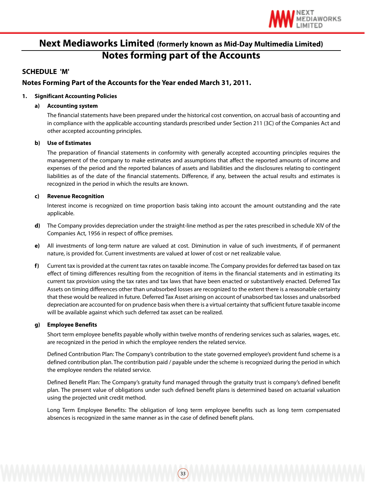

# **Next Mediaworks Limited (formerly known as Mid-Day Multimedia Limited) Notes forming part of the Accounts**

#### **SCHEDULE 'M'**

#### **Notes Forming Part of the Accounts for the Year ended March 31, 2011.**

#### **1. Significant Accounting Policies**

#### **a) Accounting system**

The financial statements have been prepared under the historical cost convention, on accrual basis of accounting and in compliance with the applicable accounting standards prescribed under Section 211 (3C) of the Companies Act and other accepted accounting principles.

#### **b) Use of Estimates**

The preparation of financial statements in conformity with generally accepted accounting principles requires the management of the company to make estimates and assumptions that affect the reported amounts of income and expenses of the period and the reported balances of assets and liabilities and the disclosures relating to contingent liabilities as of the date of the financial statements. Difference, if any, between the actual results and estimates is recognized in the period in which the results are known.

#### **c) Revenue Recognition**

Interest income is recognized on time proportion basis taking into account the amount outstanding and the rate applicable.

- **d)** The Company provides depreciation under the straight-line method as per the rates prescribed in schedule XIV of the Companies Act, 1956 in respect of office premises.
- **e)** All investments of long-term nature are valued at cost. Diminution in value of such investments, if of permanent nature, is provided for. Current investments are valued at lower of cost or net realizable value.
- **f)** Current tax is provided at the current tax rates on taxable income. The Company provides for deferred tax based on tax effect of timing differences resulting from the recognition of items in the financial statements and in estimating its current tax provision using the tax rates and tax laws that have been enacted or substantively enacted. Deferred Tax Assets on timing differences other than unabsorbed losses are recognized to the extent there is a reasonable certainty that these would be realized in future. Deferred Tax Asset arising on account of unabsorbed tax losses and unabsorbed depreciation are accounted for on prudence basis when there is a virtual certainty that sufficient future taxable income will be available against which such deferred tax asset can be realized.

#### **g) Employee Benefits**

Short term employee benefits payable wholly within twelve months of rendering services such as salaries, wages, etc. are recognized in the period in which the employee renders the related service.

Defined Contribution Plan: The Company's contribution to the state governed employee's provident fund scheme is a defined contribution plan. The contribution paid / payable under the scheme is recognized during the period in which the employee renders the related service.

Defined Benefit Plan: The Company's gratuity fund managed through the gratuity trust is company's defined benefit plan. The present value of obligations under such defined benefit plans is determined based on actuarial valuation using the projected unit credit method.

Long Term Employee Benefits: The obligation of long term employee benefits such as long term compensated absences is recognized in the same manner as in the case of defined benefit plans.

 $\left(33\right)$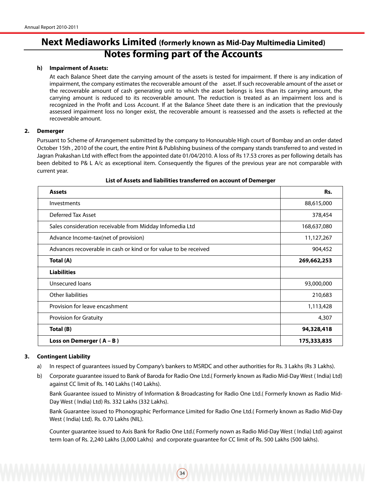# **Next Mediaworks Limited (formerly known as Mid-Day Multimedia Limited) Notes forming part of the Accounts**

#### **h) Impairment of Assets:**

At each Balance Sheet date the carrying amount of the assets is tested for impairment. If there is any indication of impairment, the company estimates the recoverable amount of the asset. If such recoverable amount of the asset or the recoverable amount of cash generating unit to which the asset belongs is less than its carrying amount, the carrying amount is reduced to its recoverable amount. The reduction is treated as an impairment loss and is recognized in the Profit and Loss Account. If at the Balance Sheet date there is an indication that the previously assessed impairment loss no longer exist, the recoverable amount is reassessed and the assets is reflected at the recoverable amount.

#### **2. Demerger**

Pursuant to Scheme of Arrangement submitted by the company to Honourable High court of Bombay and an order dated October 15th , 2010 of the court, the entire Print & Publishing business of the company stands transferred to and vested in Jagran Prakashan Ltd with effect from the appointed date 01/04/2010. A loss of Rs 17.53 crores as per following details has been debited to P& L A/c as exceptional item. Consequently the figures of the previous year are not comparable with current year.

| <b>Assets</b>                                                    | Rs.         |
|------------------------------------------------------------------|-------------|
| Investments                                                      | 88,615,000  |
| Deferred Tax Asset                                               | 378,454     |
| Sales consideration receivable from Midday Infomedia Ltd         | 168,637,080 |
| Advance Income-tax (net of provision)                            | 11,127,267  |
| Advances recoverable in cash or kind or for value to be received | 904,452     |
| Total (A)                                                        | 269,662,253 |
| <b>Liabilities</b>                                               |             |
| Unsecured loans                                                  | 93,000,000  |
| Other liabilities                                                | 210,683     |
| Provision for leave encashment                                   | 1,113,428   |
| <b>Provision for Gratuity</b>                                    | 4,307       |
| Total (B)                                                        | 94,328,418  |
| Loss on Demerger $(A - B)$                                       | 175,333,835 |

#### **List of Assets and liabilities transferred on account of Demerger**

#### **3. Contingent Liability**

- a) In respect of guarantees issued by Company's bankers to MSRDC and other authorities for Rs. 3 Lakhs (Rs 3 Lakhs).
- b) Corporate guarantee issued to Bank of Baroda for Radio One Ltd.( Formerly known as Radio Mid-Day West ( India) Ltd) against CC limit of Rs. 140 Lakhs (140 Lakhs).

Bank Guarantee issued to Ministry of Information & Broadcasting for Radio One Ltd.( Formerly known as Radio Mid-Day West ( India) Ltd) Rs. 332 Lakhs (332 Lakhs).

Bank Guarantee issued to Phonographic Performance Limited for Radio One Ltd.( Formerly known as Radio Mid-Day West ( India) Ltd). Rs. 0.70 Lakhs (NIL).

Counter guarantee issued to Axis Bank for Radio One Ltd.( Formerly nown as Radio Mid-Day West ( India) Ltd) against term loan of Rs. 2,240 Lakhs (3,000 Lakhs) and corporate guarantee for CC limit of Rs. 500 Lakhs (500 lakhs).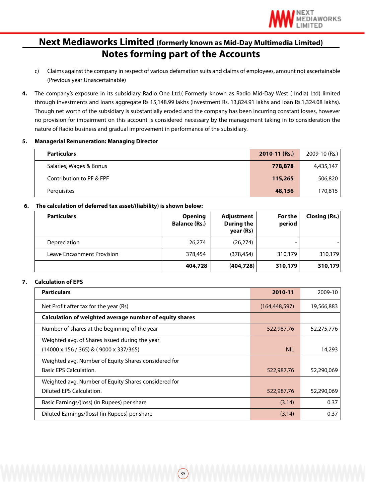

- c) Claims against the company in respect of various defamation suits and claims of employees, amount not ascertainable (Previous year Unascertainable)
- **4.** The company's exposure in its subsidiary Radio One Ltd.( Formerly known as Radio Mid-Day West ( India) Ltd) limited through investments and loans aggregate Rs 15,148.99 lakhs (investment Rs. 13,824.91 lakhs and loan Rs.1,324.08 lakhs). Though net worth of the subsidiary is substantially eroded and the company has been incurring constant losses, however no provision for impairment on this account is considered necessary by the management taking in to consideration the nature of Radio business and gradual improvement in performance of the subsidiary.

### **5. Managerial Remuneration: Managing Director**

| <b>Particulars</b>       | 2010-11 (Rs.) | 2009-10 (Rs.) |
|--------------------------|---------------|---------------|
| Salaries, Wages & Bonus  | 778,878       | 4,435,147     |
| Contribution to PF & FPF | 115,265       | 506,820       |
| Perguisites              | 48,156        | 170,815       |

### **6. The calculation of deferred tax asset/(liability) is shown below:**

| <b>Particulars</b>         | <b>Opening</b><br><b>Balance (Rs.)</b> | Adjustment<br>During the<br>year (Rs) | For the<br>period | Closing $(Rs.)$ |
|----------------------------|----------------------------------------|---------------------------------------|-------------------|-----------------|
| Depreciation               | 26,274                                 | (26, 274)                             | -                 |                 |
| Leave Encashment Provision | 378,454                                | (378, 454)                            | 310,179           | 310,179         |
|                            | 404,728                                | (404, 728)                            | 310,179           | 310,179         |

### **7. Calculation of EPS**

| <b>Particulars</b>                                      | 2010-11         | 2009-10    |
|---------------------------------------------------------|-----------------|------------|
| Net Profit after tax for the year (Rs)                  | (164, 448, 597) | 19,566,883 |
| Calculation of weighted average number of equity shares |                 |            |
| Number of shares at the beginning of the year           | 522,987,76      | 52,275,776 |
| Weighted avg. of Shares issued during the year          |                 |            |
| $(14000 \times 156 / 365)$ & (9000 x 337/365)           | <b>NIL</b>      | 14,293     |
| Weighted avg. Number of Equity Shares considered for    |                 |            |
| <b>Basic EPS Calculation.</b>                           | 522,987,76      | 52,290,069 |
| Weighted avg. Number of Equity Shares considered for    |                 |            |
| Diluted EPS Calculation.                                | 522,987,76      | 52,290,069 |
| Basic Earnings/(loss) (in Rupees) per share             | (3.14)          | 0.37       |
| Diluted Earnings/(loss) (in Rupees) per share           | (3.14)          | 0.37       |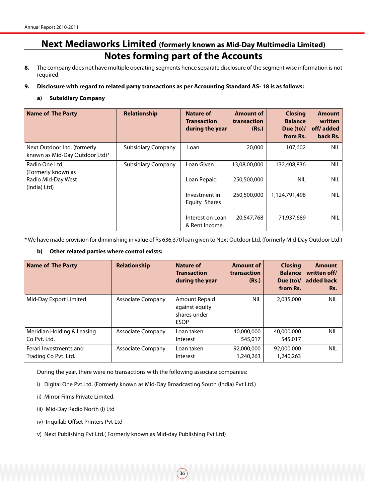**8.** The company does not have multiple operating segments hence separate disclosure of the segment wise information is not required.

### **9. Disclosure with regard to related party transactions as per Accounting Standard AS- 18 is as follows:**

### **a) Subsidiary Company**

| Name of The Party                                                          | <b>Relationship</b>       | <b>Nature of</b><br><b>Transaction</b><br>during the year | <b>Amount of</b><br>transaction<br>(Rs.) | <b>Closing</b><br><b>Balance</b><br>Due $(to)$<br>from Rs. | <b>Amount</b><br>written<br>off/added<br>back Rs. |
|----------------------------------------------------------------------------|---------------------------|-----------------------------------------------------------|------------------------------------------|------------------------------------------------------------|---------------------------------------------------|
| Next Outdoor Ltd. (formerly<br>known as Mid-Day Outdoor Ltd)*              | <b>Subsidiary Company</b> | Loan                                                      | 20,000                                   | 107,602                                                    | <b>NIL</b>                                        |
| Radio One Ltd.<br>(Formerly known as<br>Radio Mid-Day West<br>(India) Ltd) | <b>Subsidiary Company</b> | Loan Given<br>Loan Repaid                                 | 13,08,00,000<br>250,500,000              | 132,408,836<br><b>NIL</b>                                  | <b>NIL</b><br><b>NIL</b>                          |
|                                                                            |                           | Investment in<br><b>Equity Shares</b>                     | 250,500,000                              | 1,124,791,498                                              | <b>NIL</b>                                        |
|                                                                            |                           | Interest on Loan<br>& Rent Income.                        | 20,547,768                               | 71,937,689                                                 | <b>NIL</b>                                        |

\* We have made provision for diminishing in value of Rs 636,370 loan given to Next Outdoor Ltd. (formerly Mid-Day Outdoor Ltd.)

### **b) Other related parties where control exists:**

| <b>Name of The Party</b>                       | <b>Relationship</b>      | Nature of<br><b>Transaction</b><br>during the year             | <b>Amount of</b><br>transaction<br>(Rs.) | <b>Closing</b><br><b>Balance</b><br>Due $(to)/$<br>from Rs. | <b>Amount</b><br>written off/<br>added back<br>Rs. |
|------------------------------------------------|--------------------------|----------------------------------------------------------------|------------------------------------------|-------------------------------------------------------------|----------------------------------------------------|
| Mid-Day Export Limited                         | <b>Associate Company</b> | Amount Repaid<br>against equity<br>shares under<br><b>ESOP</b> | <b>NIL</b>                               | 2,035,000                                                   | <b>NIL</b>                                         |
| Meridian Holding & Leasing<br>Co Pyt. Ltd.     | <b>Associate Company</b> | Loan taken<br>Interest                                         | 40,000,000<br>545,017                    | 40,000,000<br>545,017                                       | <b>NIL</b>                                         |
| Ferari Investments and<br>Trading Co Pvt. Ltd. | <b>Associate Company</b> | Loan taken<br>Interest                                         | 92,000,000<br>1,240,263                  | 92.000.000<br>1,240,263                                     | <b>NIL</b>                                         |

During the year, there were no transactions with the following associate companies:

- i) Digital One Pvt.Ltd. (Formerly known as Mid-Day Broadcasting South (India) Pvt Ltd.)
- ii) Mirror Films Private Limited.
- iii) Mid-Day Radio North (I) Ltd
- iv) Inquilab Offset Printers Pvt Ltd
- v) Next Publishing Pvt Ltd.( Formerly known as Mid-day Publishing Pvt Ltd)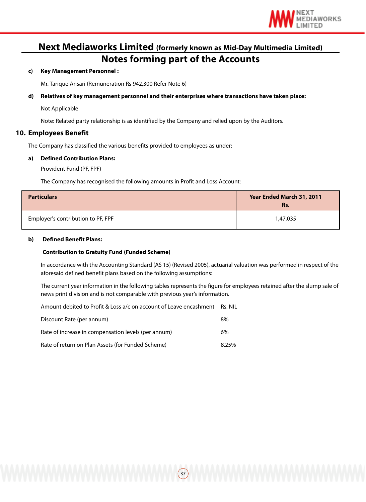

### **c) Key Management Personnel :**

Mr. Tarique Ansari (Remuneration Rs 942,300 Refer Note 6)

### **d) Relatives of key management personnel and their enterprises where transactions have taken place:**

Not Applicable

Note: Related party relationship is as identified by the Company and relied upon by the Auditors.

### **10. Employees Benefit**

The Company has classified the various benefits provided to employees as under:

### **a) Defined Contribution Plans:**

Provident Fund (PF, FPF)

The Company has recognised the following amounts in Profit and Loss Account:

| <b>Particulars</b>                 | Year Ended March 31, 2011<br>Rs. |
|------------------------------------|----------------------------------|
| Employer's contribution to PF, FPF | 1,47,035                         |

### **b) Defined Benefit Plans:**

### **Contribution to Gratuity Fund (Funded Scheme)**

In accordance with the Accounting Standard (AS 15) (Revised 2005), actuarial valuation was performed in respect of the aforesaid defined benefit plans based on the following assumptions:

The current year information in the following tables represents the figure for employees retained after the slump sale of news print division and is not comparable with previous year's information.

37

Amount debited to Profit & Loss a/c on account of Leave encashment Rs. NIL

| Discount Rate (per annum)                           | 8%    |
|-----------------------------------------------------|-------|
| Rate of increase in compensation levels (per annum) | 6%    |
| Rate of return on Plan Assets (for Funded Scheme)   | 8.25% |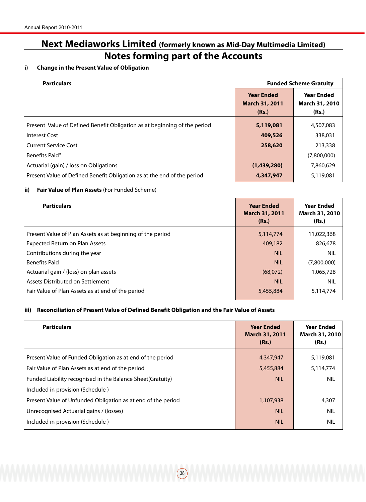### **i) Change in the Present Value of Obligation**

| <b>Particulars</b>                                                        | <b>Funded Scheme Gratuity</b>                       |                                              |  |
|---------------------------------------------------------------------------|-----------------------------------------------------|----------------------------------------------|--|
|                                                                           | <b>Year Ended</b><br><b>March 31, 2011</b><br>(Rs.) | <b>Year Ended</b><br>March 31, 2010<br>(Rs.) |  |
| Present Value of Defined Benefit Obligation as at beginning of the period | 5,119,081                                           | 4,507,083                                    |  |
| Interest Cost                                                             | 409,526                                             | 338,031                                      |  |
| <b>Current Service Cost</b>                                               | 258,620                                             | 213,338                                      |  |
| Benefits Paid*                                                            |                                                     | (7,800,000)                                  |  |
| Actuarial (gain) / loss on Obligations                                    | (1,439,280)                                         | 7,860,629                                    |  |
| Present Value of Defined Benefit Obligation as at the end of the period   | 4,347,947                                           | 5,119,081                                    |  |

### **ii) Fair Value of Plan Assets** (For Funded Scheme)

| <b>Particulars</b>                                         | <b>Year Ended</b><br><b>March 31, 2011</b><br>(Rs.) | <b>Year Ended</b><br>March 31, 2010<br>(Rs.) |
|------------------------------------------------------------|-----------------------------------------------------|----------------------------------------------|
| Present Value of Plan Assets as at beginning of the period | 5,114,774                                           | 11,022,368                                   |
| Expected Return on Plan Assets                             | 409,182                                             | 826,678                                      |
| Contributions during the year                              | <b>NIL</b>                                          | <b>NIL</b>                                   |
| <b>Benefits Paid</b>                                       | <b>NIL</b>                                          | (7,800,000)                                  |
| Actuarial gain / (loss) on plan assets                     | (68,072)                                            | 1,065,728                                    |
| Assets Distributed on Settlement                           | <b>NIL</b>                                          | <b>NIL</b>                                   |
| Fair Value of Plan Assets as at end of the period          | 5,455,884                                           | 5,114,774                                    |

### **iii) Reconciliation of Present Value of Defined Benefit Obligation and the Fair Value of Assets**

| <b>Particulars</b>                                           | <b>Year Ended</b><br><b>March 31, 2011</b><br>(Rs.) | <b>Year Ended</b><br>March 31, 2010<br>(Rs.) |
|--------------------------------------------------------------|-----------------------------------------------------|----------------------------------------------|
| Present Value of Funded Obligation as at end of the period   | 4,347,947                                           | 5,119,081                                    |
| Fair Value of Plan Assets as at end of the period            | 5,455,884                                           | 5,114,774                                    |
| Funded Liability recognised in the Balance Sheet(Gratuity)   | <b>NIL</b>                                          | <b>NIL</b>                                   |
| Included in provision (Schedule)                             |                                                     |                                              |
| Present Value of Unfunded Obligation as at end of the period | 1,107,938                                           | 4,307                                        |
| Unrecognised Actuarial gains / (losses)                      | <b>NIL</b>                                          | <b>NIL</b>                                   |
| Included in provision (Schedule)                             | <b>NIL</b>                                          | <b>NIL</b>                                   |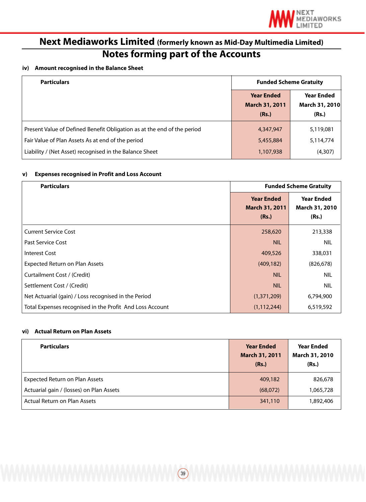

### **iv) Amount recognised in the Balance Sheet**

| <b>Particulars</b>                                                      | <b>Funded Scheme Gratuity</b>              |                                     |
|-------------------------------------------------------------------------|--------------------------------------------|-------------------------------------|
|                                                                         | <b>Year Ended</b><br><b>March 31, 2011</b> | <b>Year Ended</b><br>March 31, 2010 |
|                                                                         | (Rs.)                                      | (Rs.)                               |
| Present Value of Defined Benefit Obligation as at the end of the period | 4,347,947                                  | 5,119,081                           |
| Fair Value of Plan Assets As at end of the period                       | 5,455,884                                  | 5,114,774                           |
| Liability / (Net Asset) recognised in the Balance Sheet                 | 1,107,938                                  | (4,307)                             |

### **v) Expenses recognised in Profit and Loss Account**

| <b>Particulars</b>                                       | <b>Funded Scheme Gratuity</b>                       |                                                     |  |
|----------------------------------------------------------|-----------------------------------------------------|-----------------------------------------------------|--|
|                                                          | <b>Year Ended</b><br><b>March 31, 2011</b><br>(Rs.) | <b>Year Ended</b><br><b>March 31, 2010</b><br>(Rs.) |  |
| <b>Current Service Cost</b>                              | 258,620                                             | 213,338                                             |  |
| Past Service Cost                                        | <b>NIL</b>                                          | <b>NIL</b>                                          |  |
| Interest Cost                                            | 409,526                                             | 338,031                                             |  |
| <b>Expected Return on Plan Assets</b>                    | (409, 182)                                          | (826, 678)                                          |  |
| Curtailment Cost / (Credit)                              | <b>NIL</b>                                          | <b>NIL</b>                                          |  |
| Settlement Cost / (Credit)                               | <b>NIL</b>                                          | <b>NIL</b>                                          |  |
| Net Actuarial (gain) / Loss recognised in the Period     | (1,371,209)                                         | 6,794,900                                           |  |
| Total Expenses recognised in the Profit And Loss Account | (1, 112, 244)                                       | 6,519,592                                           |  |

### **vi) Actual Return on Plan Assets**

| <b>Particulars</b>                       | <b>Year Ended</b><br><b>March 31, 2011</b><br>(Rs.) | <b>Year Ended</b><br>March 31, 2010<br>(Rs.) |
|------------------------------------------|-----------------------------------------------------|----------------------------------------------|
| Expected Return on Plan Assets           | 409,182                                             | 826,678                                      |
| Actuarial gain / (losses) on Plan Assets | (68,072)                                            | 1,065,728                                    |
| Actual Return on Plan Assets             | 341,110                                             | 1,892,406                                    |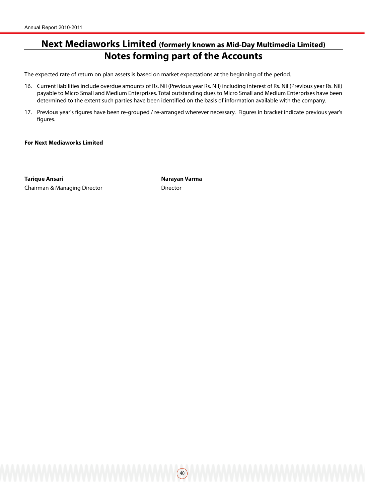The expected rate of return on plan assets is based on market expectations at the beginning of the period.

- 16. Current liabilities include overdue amounts of Rs. Nil (Previous year Rs. Nil) including interest of Rs. Nil (Previous year Rs. Nil) payable to Micro Small and Medium Enterprises. Total outstanding dues to Micro Small and Medium Enterprises have been determined to the extent such parties have been identified on the basis of information available with the company.
- 17. Previous year's figures have been re-grouped / re-arranged wherever necessary. Figures in bracket indicate previous year's figures.

### **For Next Mediaworks Limited**

**Tarique Ansari Narayan Varma** *Narayan Varma* **2008, Narayan Varma <b>Narayan** Varma **Narayan** Varma 2008 Chairman & Managing Director **Director** Director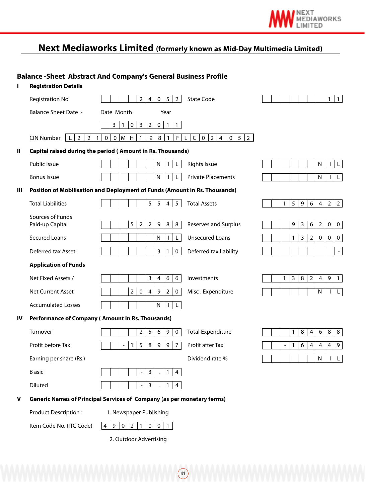

# **Next Mediaworks Limited (formerly known as Mid-Day Multimedia Limited)**

|             |                                                            | <b>Balance - Sheet Abstract And Company's General Business Profile</b>                                  |                                                                      |                                                                                                                         |
|-------------|------------------------------------------------------------|---------------------------------------------------------------------------------------------------------|----------------------------------------------------------------------|-------------------------------------------------------------------------------------------------------------------------|
|             | <b>Registration Details</b>                                |                                                                                                         |                                                                      |                                                                                                                         |
|             | <b>Registration No</b>                                     | 5<br>$\overline{2}$<br>$\pmb{0}$<br>$\overline{2}$<br>$\overline{4}$                                    | <b>State Code</b>                                                    | $\vert$ 1<br>$\mathbf{1}$                                                                                               |
|             | <b>Balance Sheet Date:-</b>                                | Date Month<br>Year                                                                                      |                                                                      |                                                                                                                         |
|             |                                                            | $\overline{2}$<br>0<br>$\mathbf{3}$<br>$\mathbf 0$<br>$\mathbf{1}$<br>3<br>$\mathbf{1}$<br>$\mathbf{1}$ |                                                                      |                                                                                                                         |
|             | <b>CIN Number</b><br>$\overline{2}$<br>$\overline{2}$<br>L | M<br>9<br>8<br>P<br>$\mathsf{C}$<br>$\mathbf 0$<br>H<br>$\mathbf 0$<br>$\mathbf{1}$                     | $0 \mid 5 \mid 2$<br>$\overline{2}$<br>$\overline{4}$<br>$\mathbf 0$ |                                                                                                                         |
| Ш           |                                                            | Capital raised during the period (Amount in Rs. Thousands)                                              |                                                                      |                                                                                                                         |
|             | Public Issue                                               | $\mathsf{N}$<br>L<br>$\mathbf{L}$                                                                       | <b>Rights Issue</b>                                                  | N<br>L<br>L                                                                                                             |
|             | <b>Bonus Issue</b>                                         | ${\sf N}$<br>L                                                                                          | <b>Private Placements</b>                                            | N<br>L<br>L                                                                                                             |
| Ш           |                                                            | Position of Mobilisation and Deployment of Funds (Amount in Rs. Thousands)                              |                                                                      |                                                                                                                         |
|             | <b>Total Liabilities</b>                                   | 5<br>5<br>5<br>$\overline{4}$                                                                           | <b>Total Assets</b>                                                  | 5<br>$\overline{2}$<br>$\overline{2}$<br>9<br>6<br>$\overline{4}$<br>$\mathbf{1}$                                       |
|             | Sources of Funds                                           |                                                                                                         |                                                                      |                                                                                                                         |
|             | Paid-up Capital                                            | 5<br>$\overline{2}$<br>$\mathbf 2$<br>9<br>8<br>8                                                       | Reserves and Surplus                                                 | 9<br>$\mathbf{3}$<br>$\boldsymbol{6}$<br>$\overline{2}$<br>$\pmb{0}$<br>$\mathbf 0$                                     |
|             | <b>Secured Loans</b>                                       | ${\sf N}$<br>L                                                                                          | <b>Unsecured Loans</b>                                               | $\overline{3}$<br>$\mathbf{1}$<br>$\overline{2}$<br>$\pmb{0}$<br>$\mathbf 0$<br>$\mathbf 0$                             |
|             | Deferred tax Asset                                         | $\overline{3}$<br>$\mathbf 0$<br>1                                                                      | Deferred tax liability                                               | $\omega$                                                                                                                |
|             | <b>Application of Funds</b>                                |                                                                                                         |                                                                      |                                                                                                                         |
|             | Net Fixed Assets /                                         | 6<br>3<br>4<br>6                                                                                        | Investments                                                          | $\mathbf{3}$<br>8<br>$\overline{2}$<br>$\boldsymbol{9}$<br>$\overline{4}$<br>$\mathbf{1}$<br>$\mathbf{1}$               |
|             | <b>Net Current Asset</b>                                   | $\overline{2}$<br>$2^{\circ}$<br>$\overline{4}$<br>9<br>$\mathbf 0$<br>$\mathbf 0$                      | Misc. Expenditure                                                    | N<br>L<br>$\mathbf{I}$                                                                                                  |
|             |                                                            |                                                                                                         |                                                                      |                                                                                                                         |
|             | <b>Accumulated Losses</b>                                  | N<br>$\mathsf{L}$<br>L                                                                                  |                                                                      |                                                                                                                         |
| IV          |                                                            | <b>Performance of Company (Amount in Rs. Thousands)</b>                                                 |                                                                      |                                                                                                                         |
|             | Turnover                                                   | 2<br>5<br>6<br>9<br>$\mathbf 0$                                                                         | <b>Total Expenditure</b>                                             | $\,8\,$<br>$\mathbf{1}$<br>8<br>$\overline{4}$<br>6<br>8                                                                |
|             | Profit before Tax                                          | 5<br>8<br>9<br>9<br>$\overline{7}$<br>1                                                                 | Profit after Tax                                                     | $\boldsymbol{6}$<br>$\mathbf{1}$<br>$\overline{4}$<br>$\overline{4}$<br>$\overline{4}$<br>9<br>$\overline{\phantom{a}}$ |
|             | Earning per share (Rs.)                                    |                                                                                                         | Dividend rate %                                                      | $\overline{\mathsf{N}}$<br>$\frac{1}{2}$                                                                                |
|             | <b>B</b> asic                                              | 3<br>$\mathbf{1}$<br>4                                                                                  |                                                                      |                                                                                                                         |
|             | Diluted                                                    | $\overline{3}$<br>$\mathbf{1}$<br>$\overline{4}$                                                        |                                                                      |                                                                                                                         |
| $\mathbf v$ |                                                            | Generic Names of Principal Services of Company (as per monetary terms)                                  |                                                                      |                                                                                                                         |
|             | Product Description:                                       | 1. Newspaper Publishing                                                                                 |                                                                      |                                                                                                                         |
|             | Item Code No. (ITC Code)                                   | $\mathbf 0$<br>$\mathbf 0$<br>9<br>$\mathbf 0$<br>$\overline{2}$<br>$\overline{1}$<br>4<br>$\mathbf{1}$ |                                                                      |                                                                                                                         |

41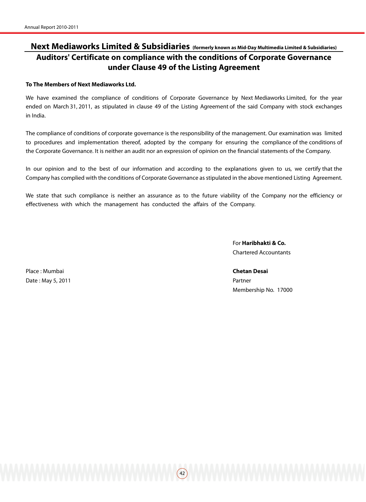### **Next Mediaworks Limited & Subsidiaries (formerly known as Mid-Day Multimedia Limited & Subsidiaries) Auditors' Certificate on compliance with the conditions of Corporate Governance under Clause 49 of the Listing Agreement**

### **To The Members of Next Mediaworks Ltd.**

We have examined the compliance of conditions of Corporate Governance by Next Mediaworks Limited, for the year ended on March 31, 2011, as stipulated in clause 49 of the Listing Agreement of the said Company with stock exchanges in India.

The compliance of conditions of corporate governance is the responsibility of the management. Our examination was limited to procedures and implementation thereof, adopted by the company for ensuring the compliance of the conditions of the Corporate Governance. It is neither an audit nor an expression of opinion on the financial statements of the Company.

In our opinion and to the best of our information and according to the explanations given to us, we certify that the Company has complied with the conditions of Corporate Governance as stipulated in the above mentioned Listing Agreement.

We state that such compliance is neither an assurance as to the future viability of the Company nor the efficiency or effectiveness with which the management has conducted the affairs of the Company.

> For **Haribhakti & Co.** Chartered Accountants

Place : Mumbai **Chetan Desai** Date : May 5, 2011 **Partner** 

Membership No. 17000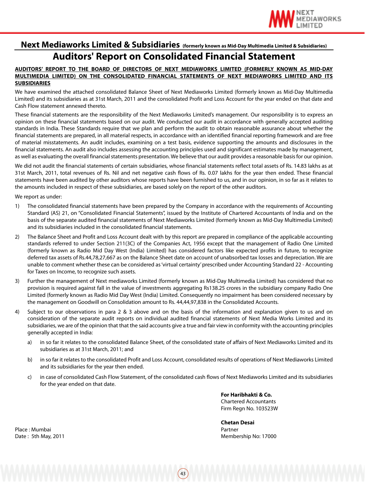

# **Next Mediaworks Limited & Subsidiaries (formerly known as Mid-Day Multimedia Limited & Subsidiaries)**

## **Auditors' Report on Consolidated Financial Statement**

### **AUDITORS' REPORT TO THE BOARD OF DIRECTORS OF NEXT MEDIAWORKS LIMITED (FORMERLY KNOWN AS MID-DAY MULTIMEDIA LIMITED) ON THE CONSOLIDATED FINANCIAL STATEMENTS OF NEXT MEDIAWORKS LIMITED AND ITS SUBSIDIARIES**

We have examined the attached consolidated Balance Sheet of Next Mediaworks Limited (formerly known as Mid-Day Multimedia Limited) and its subsidiaries as at 31st March, 2011 and the consolidated Profit and Loss Account for the year ended on that date and Cash Flow statement annexed thereto.

These financial statements are the responsibility of the Next Mediaworks Limited's management. Our responsibility is to express an opinion on these financial statements based on our audit. We conducted our audit in accordance with generally accepted auditing standards in India. These Standards require that we plan and perform the audit to obtain reasonable assurance about whether the financial statements are prepared, in all material respects, in accordance with an identified financial reporting framework and are free of material misstatements. An audit includes, examining on a test basis, evidence supporting the amounts and disclosures in the financial statements. An audit also includes assessing the accounting principles used and significant estimates made by management, as well as evaluating the overall financial statements presentation. We believe that our audit provides a reasonable basis for our opinion.

We did not audit the financial statements of certain subsidiaries, whose financial statements reflect total assets of Rs. 14.83 lakhs as at 31st March, 2011, total revenues of Rs. Nil and net negative cash flows of Rs. 0.07 lakhs for the year then ended. These financial statements have been audited by other auditors whose reports have been furnished to us, and in our opinion, in so far as it relates to the amounts included in respect of these subsidiaries, are based solely on the report of the other auditors.

We report as under:

- 1) The consolidated financial statements have been prepared by the Company in accordance with the requirements of Accounting Standard (AS) 21, on "Consolidated Financial Statements", issued by the Institute of Chartered Accountants of India and on the basis of the separate audited financial statements of Next Mediaworks Limited (formerly known as Mid-Day Multimedia Limited) and its subsidiaries included in the consolidated financial statements.
- 2) The Balance Sheet and Profit and Loss Account dealt with by this report are prepared in compliance of the applicable accounting standards referred to under Section 211(3C) of the Companies Act, 1956 except that the management of Radio One Limited (formerly known as Radio Mid Day West (India) Limited) has considered factors like expected profits in future, to recognize deferred tax assets of Rs.44,78,27,667 as on the Balance Sheet date on account of unabsorbed tax losses and depreciation. We are unable to comment whether these can be considered as 'virtual certainty' prescribed under Accounting Standard 22 - Accounting for Taxes on Income, to recognize such assets.
- 3) Further the management of Next mediaworks Limited (formerly known as Mid-Day Multimedia Limited) has considered that no provision is required against fall in the value of investments aggregating Rs138.25 crores in the subsidiary company Radio One Limited (formerly known as Radio Mid Day West (India) Limited. Consequently no impairment has been considered necessary by the management on Goodwill on Consolidation amount to Rs. 44,44,97,838 in the Consolidated Accounts.
- 4) Subject to our observations in para 2 & 3 above and on the basis of the information and explanation given to us and on consideration of the separate audit reports on individual audited financial statements of Next Media Works Limited and its subsidiaries, we are of the opinion that that the said accounts give a true and fair view in conformity with the accounting principles generally accepted in India:
	- a) in so far it relates to the consolidated Balance Sheet, of the consolidated state of affairs of Next Mediaworks Limited and its subsidiaries as at 31st March, 2011; and
	- b) in so far it relates to the consolidated Profit and Loss Account, consolidated results of operations of Next Mediaworks Limited and its subsidiaries for the year then ended.
	- c) in case of consolidated Cash Flow Statement, of the consolidated cash flows of Next Mediaworks Limited and its subsidiaries for the year ended on that date.

 $(43)$ 

**For Haribhakti & Co.**

Chartered Accountants Firm Regn No. 103523W

### **Chetan Desai**

Date : 5th May, 2011 **Membership No: 17000** Membership No: 17000

Place : Mumbai Partner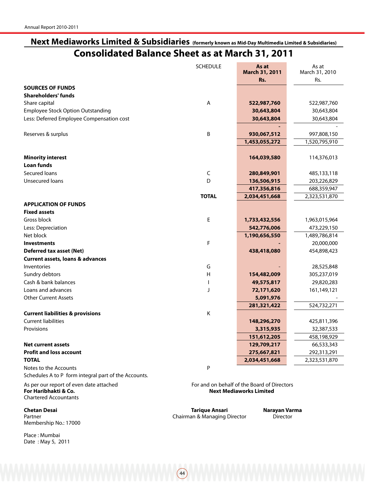### **Next Mediaworks Limited & Subsidiaries (formerly known as Mid-Day Multimedia Limited & Subsidiaries) Consolidated Balance Sheet as at March 31, 2011**

|                                                                                 | <b>SCHEDULE</b> | As at<br><b>March 31, 2011</b><br>Rs. | As at<br>March 31, 2010<br>Rs. |
|---------------------------------------------------------------------------------|-----------------|---------------------------------------|--------------------------------|
| <b>SOURCES OF FUNDS</b>                                                         |                 |                                       |                                |
| <b>Shareholders' funds</b>                                                      |                 |                                       |                                |
| Share capital                                                                   | A               | 522,987,760                           | 522,987,760                    |
| <b>Employee Stock Option Outstanding</b>                                        |                 | 30,643,804                            | 30,643,804                     |
| Less: Deferred Employee Compensation cost                                       |                 | 30,643,804                            | 30,643,804                     |
|                                                                                 |                 |                                       |                                |
| Reserves & surplus                                                              | B               | 930,067,512                           | 997,808,150                    |
|                                                                                 |                 | 1,453,055,272                         | 1,520,795,910                  |
|                                                                                 |                 |                                       |                                |
| <b>Minority interest</b>                                                        |                 | 164,039,580                           | 114,376,013                    |
| <b>Loan funds</b>                                                               |                 |                                       |                                |
| Secured loans                                                                   | C               | 280,849,901                           | 485,133,118                    |
| Unsecured loans                                                                 | D               | 136,506,915                           | 203,226,829                    |
|                                                                                 |                 | 417,356,816                           | 688,359,947                    |
|                                                                                 | <b>TOTAL</b>    | 2,034,451,668                         | 2,323,531,870                  |
| <b>APPLICATION OF FUNDS</b>                                                     |                 |                                       |                                |
| <b>Fixed assets</b>                                                             |                 |                                       |                                |
| Gross block                                                                     | E               | 1,733,432,556                         | 1,963,015,964                  |
| Less: Depreciation                                                              |                 | 542,776,006                           | 473,229,150                    |
| Net block                                                                       |                 | 1,190,656,550                         | 1,489,786,814                  |
| <b>Investments</b>                                                              | F               |                                       | 20,000,000                     |
| Deferred tax asset (Net)                                                        |                 | 438,418,080                           | 454,898,423                    |
| <b>Current assets, loans &amp; advances</b>                                     |                 |                                       |                                |
| Inventories                                                                     | G               |                                       | 28,525,848                     |
| Sundry debtors                                                                  | H               | 154,482,009                           | 305,237,019                    |
| Cash & bank balances                                                            | $\mathbf{I}$    | 49,575,817                            | 29,820,283                     |
| Loans and advances                                                              | J               | 72,171,620                            | 161,149,121                    |
| <b>Other Current Assets</b>                                                     |                 | 5,091,976                             |                                |
|                                                                                 |                 | 281,321,422                           | 524,732,271                    |
| <b>Current liabilities &amp; provisions</b>                                     | K               |                                       |                                |
| <b>Current liabilities</b>                                                      |                 | 148,296,270                           | 425,811,396                    |
| Provisions                                                                      |                 | 3,315,935                             | 32,387,533                     |
|                                                                                 |                 | 151,612,205                           | 458,198,929                    |
| <b>Net current assets</b>                                                       |                 | 129,709,217                           | 66,533,343                     |
| <b>Profit and loss account</b>                                                  |                 | 275,667,821                           | 292,313,291                    |
| <b>TOTAL</b>                                                                    |                 | 2,034,451,668                         | 2,323,531,870                  |
| Notes to the Accounts                                                           | P               |                                       |                                |
| Schedules A to P form integral part of the Accounts.                            |                 |                                       |                                |
| the contract of the contract of the contract of the contract of the contract of |                 |                                       |                                |

As per our report of even date attached For and on behalf of the Board of Directors<br>For Haribhakti & Co. **For Haribhakti & Co. For Haribhakti & Co. For Haribhakti & Co. Rest Mediaworks Limited** Chartered Accountants

**Chetan Desai Chetan Desai Chetan Desai Chetan Desai Chetan Desai Chetan Desai Chetan Desai Chetan Chetan Cheta<br>Partner Chetan Director Chetan Chetan Chetan Chetan Chetan Chetan Chetan Chetan Chetan Chetan Chetan Chetan Ch** Membership No.: 17000

Chairman & Managing Director

**Next Mediaworks Limited** 

Place : Mumbai Date : May 5, 2011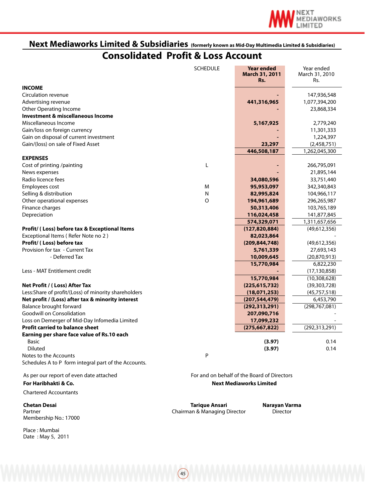

# **Next Mediaworks Limited & Subsidiaries (formerly known as Mid-Day Multimedia Limited & Subsidiaries)**

# **Consolidated Profit & Loss Account**

|                                                       | <b>SCHEDULE</b> | <b>Year ended</b><br><b>March 31, 2011</b>  | Year ended<br>March 31, 2010 |
|-------------------------------------------------------|-----------------|---------------------------------------------|------------------------------|
| <b>INCOME</b>                                         |                 | Rs.                                         | Rs.                          |
| Circulation revenue                                   |                 |                                             | 147,936,548                  |
| Advertising revenue                                   |                 | 441,316,965                                 | 1,077,394,200                |
| Other Operating Income                                |                 |                                             | 23,868,334                   |
| <b>Investment &amp; miscellaneous Income</b>          |                 |                                             |                              |
| Miscellaneous Income                                  |                 | 5,167,925                                   | 2,779,240                    |
| Gain/loss on foreign currency                         |                 |                                             | 11,301,333                   |
| Gain on disposal of current investment                |                 |                                             | 1,224,397                    |
| Gain/(loss) on sale of Fixed Asset                    |                 | 23,297                                      | (2,458,751)                  |
|                                                       |                 | 446,508,187                                 | 1,262,045,300                |
| <b>EXPENSES</b>                                       |                 |                                             |                              |
| Cost of printing /painting                            | Г               |                                             | 266,795,091                  |
| News expenses                                         |                 |                                             | 21,895,144                   |
| Radio licence fees                                    |                 | 34,080,596                                  | 33,751,440                   |
| Employees cost                                        | м               | 95,953,097                                  | 342,340,843                  |
| Selling & distribution                                | N               | 82,995,824                                  | 104,966,117                  |
| Other operational expenses                            | $\Omega$        | 194,961,689                                 | 296,265,987                  |
| Finance charges                                       |                 | 50,313,406                                  | 103,765,189                  |
| Depreciation                                          |                 | 116,024,458                                 | 141,877,845                  |
|                                                       |                 | 574,329,071                                 | 1,311,657,656                |
| Profit/ (Loss) before tax & Exceptional Items         |                 | (127, 820, 884)                             | (49,612,356)                 |
| Exceptional Items (Refer Note no 2)                   |                 | 82,023,864                                  |                              |
| Profit/ (Loss) before tax                             |                 | (209, 844, 748)                             | (49,612,356)                 |
| Provision for tax - Current Tax                       |                 | 5,761,339                                   | 27,693,143                   |
| - Deferred Tax                                        |                 | 10,009,645                                  | (20, 870, 913)               |
|                                                       |                 | 15,770,984                                  | 6,822,230                    |
| Less - MAT Entitlement credit                         |                 |                                             | (17, 130, 858)               |
|                                                       |                 | 15,770,984                                  | (10,308,628)                 |
| Net Profit / (Loss) After Tax                         |                 | (225, 615, 732)                             | (39,303,728)                 |
| Less: Share of profit/(Loss) of minority shareholders |                 | (18,071,253)                                | (45,757,518)                 |
| Net profit / (Loss) after tax & minority interest     |                 | (207, 544, 479)                             | 6,453,790                    |
| Balance brought forward                               |                 | (292, 313, 291)                             | (298, 767, 081)              |
| <b>Goodwill on Consolidation</b>                      |                 | 207,090,716                                 |                              |
| Loss on Demerger of Mid-Day Infomedia Limited         |                 | 17,099,232                                  |                              |
| <b>Profit carried to balance sheet</b>                |                 | (275, 667, 822)                             | (292,313,291)                |
| Earning per share face value of Rs.10 each            |                 |                                             |                              |
| <b>Basic</b>                                          |                 | (3.97)                                      | 0.14                         |
| <b>Diluted</b>                                        |                 | (3.97)                                      | 0.14                         |
| Notes to the Accounts                                 | P               |                                             |                              |
| Schedules A to P form integral part of the Accounts.  |                 |                                             |                              |
| As per our report of even date attached               |                 | For and on behalf of the Board of Directors |                              |
| For Haribhakti & Co.                                  |                 | <b>Next Mediaworks Limited</b>              |                              |
| <b>Chartered Accountants</b>                          |                 |                                             |                              |

Membership No.: 17000

Place : Mumbai Date : May 5, 2011

**Chetan Desai Chetan Desai Narayan Yarma** Tarique Ansari Narayan Varma<br>Partner Chairman & Managing Director Director Partner **Chairman & Managing Director** Chairman & Managing Director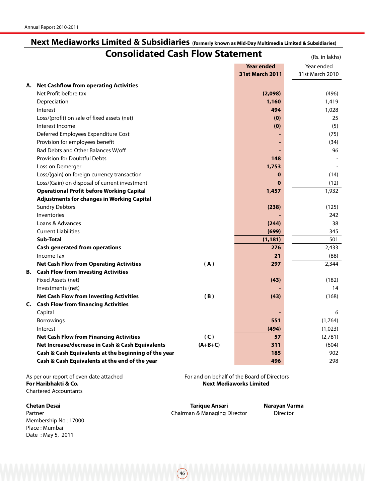|    | Next Mediaworks Limited & Subsidiaries (formerly known as Mid-Day Multimedia Limited & Subsidiaries) |                        |                 |
|----|------------------------------------------------------------------------------------------------------|------------------------|-----------------|
|    | <b>Consolidated Cash Flow Statement</b>                                                              |                        | (Rs. in lakhs)  |
|    |                                                                                                      | <b>Year ended</b>      | Year ended      |
|    |                                                                                                      | <b>31st March 2011</b> | 31st March 2010 |
| А. | <b>Net Cashflow from operating Activities</b>                                                        |                        |                 |
|    | Net Profit before tax                                                                                | (2,098)                | (496)           |
|    | Depreciation                                                                                         | 1,160                  | 1,419           |
|    | Interest                                                                                             | 494                    | 1,028           |
|    | Loss/(profit) on sale of fixed assets (net)                                                          | (0)                    | 25              |
|    | Interest Income                                                                                      | (0)                    | (5)             |
|    | Deferred Employees Expenditure Cost                                                                  |                        | (75)            |
|    | Provision for employees benefit                                                                      |                        | (34)            |
|    | Bad Debts and Other Balances W/off                                                                   |                        | 96              |
|    | <b>Provision for Doubtful Debts</b>                                                                  | 148                    |                 |
|    | Loss on Demerger                                                                                     | 1,753                  |                 |
|    | Loss/(gain) on foreign currency transaction                                                          | n                      | (14)            |
|    | Loss/(Gain) on disposal of current investment                                                        | O                      | (12)            |
|    | <b>Operational Profit before Working Capital</b>                                                     | 1,457                  | 1,932           |
|    | Adjustments for changes in Working Canital                                                           |                        |                 |

|    | Loss/(Gain) on disposal of current investment        |           | $\bf{0}$ | (12)    |
|----|------------------------------------------------------|-----------|----------|---------|
|    | <b>Operational Profit before Working Capital</b>     |           | 1,457    | 1,932   |
|    | <b>Adjustments for changes in Working Capital</b>    |           |          |         |
|    | <b>Sundry Debtors</b>                                |           | (238)    | (125)   |
|    | Inventories                                          |           |          | 242     |
|    | Loans & Advances                                     |           | (244)    | 38      |
|    | <b>Current Liabilities</b>                           |           | (699)    | 345     |
|    | Sub-Total                                            |           | (1, 181) | 501     |
|    | <b>Cash generated from operations</b>                |           | 276      | 2,433   |
|    | Income Tax                                           |           | 21       | (88)    |
|    | <b>Net Cash Flow from Operating Activities</b>       | (A)       | 297      | 2,344   |
| В. | <b>Cash Flow from Investing Activities</b>           |           |          |         |
|    | Fixed Assets (net)                                   |           | (43)     | (182)   |
|    | Investments (net)                                    |           |          | 14      |
|    | <b>Net Cash Flow from Investing Activities</b>       | (B)       | (43)     | (168)   |
| C. | <b>Cash Flow from financing Activities</b>           |           |          |         |
|    | Capital                                              |           |          | 6       |
|    | <b>Borrowings</b>                                    |           | 551      | (1,764) |
|    | Interest                                             |           | (494)    | (1,023) |
|    | <b>Net Cash Flow from Financing Activities</b>       | (C)       | 57       | (2,781) |
|    | Net Increase/decrease in Cash & Cash Equivalents     | $(A+B+C)$ | 311      | (604)   |
|    | Cash & Cash Equivalents at the beginning of the year |           | 185      | 902     |
|    | Cash & Cash Equivalents at the end of the year       |           | 496      | 298     |

**For Haribhakti & Co. Next Mediaworks Limited** Chartered Accountants

As per our report of even date attached For and on behalf of the Board of Directors

**Chetan Desai Narayan Narayan Sepanjar Personal Tarique Ansari Narayan Varma** 

Partner **Chairman & Managing Director** Director Membership No.: 17000 Place : Mumbai Date : May 5, 2011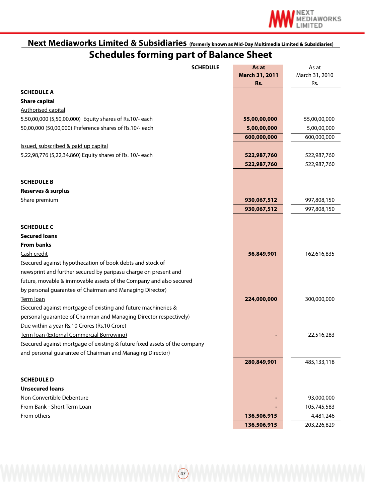

| <b>SCHEDULE</b>                                                                                                    | As at                      | As at                 |
|--------------------------------------------------------------------------------------------------------------------|----------------------------|-----------------------|
|                                                                                                                    | March 31, 2011<br>Rs.      | March 31, 2010<br>Rs. |
| <b>SCHEDULE A</b>                                                                                                  |                            |                       |
| <b>Share capital</b>                                                                                               |                            |                       |
| <b>Authorised capital</b>                                                                                          |                            |                       |
|                                                                                                                    |                            |                       |
| 5,50,00,000 (5,50,00,000) Equity shares of Rs.10/- each<br>50,00,000 (50,00,000) Preference shares of Rs.10/- each | 55,00,00,000               | 55,00,00,000          |
|                                                                                                                    | 5,00,00,000<br>600,000,000 | 5,00,00,000           |
|                                                                                                                    |                            | 600,000,000           |
| Issued, subscribed & paid up capital                                                                               |                            |                       |
| 5,22,98,776 (5,22,34,860) Equity shares of Rs. 10/- each                                                           | 522,987,760                | 522,987,760           |
|                                                                                                                    | 522,987,760                | 522,987,760           |
|                                                                                                                    |                            |                       |
| <b>SCHEDULE B</b>                                                                                                  |                            |                       |
| <b>Reserves &amp; surplus</b>                                                                                      |                            |                       |
| Share premium                                                                                                      | 930,067,512                | 997,808,150           |
|                                                                                                                    | 930,067,512                | 997,808,150           |
|                                                                                                                    |                            |                       |
| <b>SCHEDULE C</b>                                                                                                  |                            |                       |
| <b>Secured loans</b>                                                                                               |                            |                       |
| <b>From banks</b>                                                                                                  |                            |                       |
| Cash credit                                                                                                        | 56,849,901                 | 162,616,835           |
| (Secured against hypothecation of book debts and stock of                                                          |                            |                       |
| newsprint and further secured by paripasu charge on present and                                                    |                            |                       |
| future, movable & immovable assets of the Company and also secured                                                 |                            |                       |
| by personal guarantee of Chairman and Managing Director)                                                           |                            |                       |
| Term loan                                                                                                          | 224,000,000                | 300,000,000           |
| (Secured against mortgage of existing and future machineries &                                                     |                            |                       |
| personal guarantee of Chairman and Managing Director respectively)                                                 |                            |                       |
| Due within a year Rs.10 Crores (Rs.10 Crore)                                                                       |                            |                       |
| Term Ioan (External Commercial Borrowing)                                                                          |                            | 22,516,283            |
| (Secured against mortgage of existing & future fixed assets of the company                                         |                            |                       |
| and personal guarantee of Chairman and Managing Director)                                                          |                            |                       |
|                                                                                                                    | 280,849,901                | 485,133,118           |
|                                                                                                                    |                            |                       |
| <b>SCHEDULE D</b>                                                                                                  |                            |                       |
| <b>Unsecured loans</b>                                                                                             |                            |                       |
| Non Convertible Debenture                                                                                          |                            | 93,000,000            |
| From Bank - Short Term Loan                                                                                        |                            | 105,745,583           |
| From others                                                                                                        | 136,506,915                | 4,481,246             |
|                                                                                                                    | 136,506,915                | 203,226,829           |

 $\left(47\right)$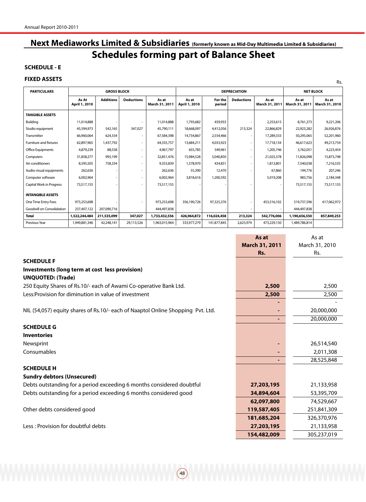### **SCHEDULE - E**

### **FIXED ASSETS**

| <b>PARTICULARS</b>        | <b>GROSS BLOCK</b>     |                  | <b>DEPRECIATION</b> |                         |                        | <b>NET BLOCK</b>  |                   |                         |                         |                         |
|---------------------------|------------------------|------------------|---------------------|-------------------------|------------------------|-------------------|-------------------|-------------------------|-------------------------|-------------------------|
|                           | As At<br>April 1, 2010 | <b>Additions</b> | <b>Deductions</b>   | As at<br>March 31, 2011 | As at<br>April 1, 2010 | For the<br>period | <b>Deductions</b> | As at<br>March 31, 2011 | As at<br>March 31, 2011 | As at<br>March 31, 2010 |
| <b>TANGIBLE ASSETS</b>    |                        |                  |                     |                         |                        |                   |                   |                         |                         |                         |
| Building                  | 11,014,888             |                  |                     | 11,014,888              | 1,793,682              | 459,933           |                   | 2,253,615               | 8,761,273               | 9,221,206               |
| Studio equipment          | 45,594,973             | 542.165          | 347.027             | 45,790,111              | 18,668,097             | 4,412,056         | 213,324           | 22,866,829              | 22,923,282              | 26,926,876              |
| Transmitter               | 66,960,064             | 624,334          |                     | 67,584,398              | 14,734,867             | 2,554,466         |                   | 17,289,333              | 50,295,065              | 52,201,960              |
| Furniture and fixtures    | 62.897.965             | 1,437,792        |                     | 64,335,757              | 13,684,211             | 4,033,923         |                   | 17,718,134              | 46,617,623              | 49,213,754              |
| <b>Office Equipments</b>  | 4,879,239              | 88,558           |                     | 4,967,797               | 655,785                | 549,961           |                   | 1,205,746               | 3,762,051               | 4,223,454               |
| Computers                 | 31,858,277             | 993,199          |                     | 32,851,476              | 15,984,528             | 5,040,850         |                   | 21,025,378              | 11,826,098              | 15,873,748              |
| Air-conditioners          | 8,595,505              | 758,334          |                     | 9,353,839               | 1,378,970              | 434.831           |                   | 1.813.801               | 7,540,038               | 7,216,535               |
| Audio-visual equipments   | 262,636                |                  |                     | 262,636                 | 55,390                 | 12,470            |                   | 67.860                  | 194.776                 | 207,246                 |
| Computer software         | 6.002.964              |                  |                     | 6.002.964               | 3.818.616              | 1,200,592         |                   | 5.019.208               | 983.756                 | 2,184,348               |
| Capital Work in Progress  | 73,517,155             |                  |                     | 73,517,155              |                        |                   |                   |                         | 73,517,155              | 73,517,155              |
| <b>INTANGIBLE ASSETS</b>  |                        |                  |                     |                         |                        |                   |                   |                         |                         |                         |
| One Time Entry Fees       | 973,253,698            |                  |                     | 973.253.698             | 356.190.726            | 97,325,376        |                   | 453.516.102             | 519.737.596             | 617,062,972             |
| Goodwill on Consolidation | 237,407,122            | 207,090,716      |                     | 444,497,838             |                        |                   |                   |                         | 444,497,838             |                         |
| <b>Total</b>              | 1,522,244,484          | 211,535,099      | 347,027             | 1,733,432,556           | 426,964,872            | 116,024,458       | 213,324           | 542,776,006             | 1,190,656,550           | 857,849,253             |
| Previous Year             | 1,949,881,346          | 42,248,141       | 29,113,526          | 1,963,015,964           | 333,977,279            | 141,877,845       | 2,625,974         | 473.229.150             | 1,489,786,814           |                         |

|                                                                                 | As at          | As at          |
|---------------------------------------------------------------------------------|----------------|----------------|
|                                                                                 | March 31, 2011 | March 31, 2010 |
|                                                                                 | Rs.            | Rs.            |
| <b>SCHEDULE F</b>                                                               |                |                |
| Investments (long term at cost less provision)                                  |                |                |
| <b>UNQUOTED: (Trade)</b>                                                        |                |                |
| 250 Equity Shares of Rs.10/- each of Awami Co-operative Bank Ltd.               | 2,500          | 2,500          |
| Less: Provision for diminution in value of investment                           | 2,500          | 2,500          |
|                                                                                 |                |                |
| NIL (54,057) equity shares of Rs.10/- each of Naaptol Online Shopping Pvt. Ltd. |                | 20,000,000     |
|                                                                                 |                | 20,000,000     |
| <b>SCHEDULE G</b>                                                               |                |                |
| <b>Inventories</b>                                                              |                |                |
| Newsprint                                                                       |                | 26,514,540     |
| Consumables                                                                     |                | 2,011,308      |
|                                                                                 |                | 28,525,848     |
| <b>SCHEDULE H</b>                                                               |                |                |
| <b>Sundry debtors (Unsecured)</b>                                               |                |                |
| Debts outstanding for a period exceeding 6 months considered doubtful           | 27,203,195     | 21,133,958     |
| Debts outstanding for a period exceeding 6 months considered good               | 34,894,604     | 53,395,709     |
|                                                                                 | 62,097,800     | 74,529,667     |
| Other debts considered good                                                     | 119,587,405    | 251,841,309    |
|                                                                                 | 181,685,204    | 326,370,976    |
| Less: Provision for doubtful debts                                              | 27,203,195     | 21,133,958     |
|                                                                                 | 154,482,009    | 305,237,019    |

 $(48)$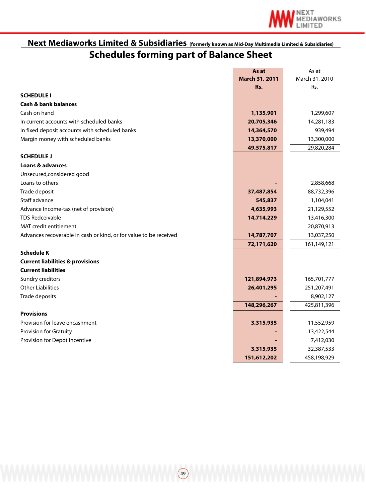

|                                                                   | As at          | As at          |
|-------------------------------------------------------------------|----------------|----------------|
|                                                                   | March 31, 2011 | March 31, 2010 |
|                                                                   | Rs.            | Rs.            |
| <b>SCHEDULE I</b>                                                 |                |                |
| <b>Cash &amp; bank balances</b>                                   |                |                |
| Cash on hand                                                      | 1,135,901      | 1,299,607      |
| In current accounts with scheduled banks                          | 20,705,346     | 14,281,183     |
| In fixed deposit accounts with scheduled banks                    | 14,364,570     | 939,494        |
| Margin money with scheduled banks                                 | 13,370,000     | 13,300,000     |
|                                                                   | 49,575,817     | 29,820,284     |
| <b>SCHEDULE J</b>                                                 |                |                |
| <b>Loans &amp; advances</b>                                       |                |                |
| Unsecured, considered good                                        |                |                |
| Loans to others                                                   |                | 2,858,668      |
| Trade deposit                                                     | 37,487,854     | 88,732,396     |
| Staff advance                                                     | 545,837        | 1,104,041      |
| Advance Income-tax (net of provision)                             | 4,635,993      | 21,129,552     |
| <b>TDS Redceivable</b>                                            | 14,714,229     | 13,416,300     |
| MAT credit entitlement                                            |                | 20,870,913     |
| Advances recoverable in cash or kind, or for value to be received | 14,787,707     | 13,037,250     |
|                                                                   | 72,171,620     | 161,149,121    |
| <b>Schedule K</b>                                                 |                |                |
| <b>Current liabilities &amp; provisions</b>                       |                |                |
| <b>Current liabilities</b>                                        |                |                |
| Sundry creditors                                                  | 121,894,973    | 165,701,777    |
| <b>Other Liabilities</b>                                          | 26,401,295     | 251,207,491    |
| Trade deposits                                                    |                | 8,902,127      |
|                                                                   | 148,296,267    | 425,811,396    |
| <b>Provisions</b>                                                 |                |                |
| Provision for leave encashment                                    | 3,315,935      | 11,552,959     |
| Provision for Gratuity                                            |                | 13,422,544     |
| Provision for Depot incentive                                     |                | 7,412,030      |
|                                                                   | 3,315,935      | 32,387,533     |
|                                                                   | 151,612,202    | 458,198,929    |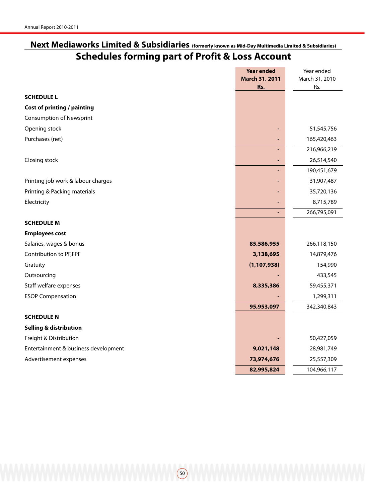|                                      | <b>Year ended</b><br>March 31, 2011<br>Rs. | Year ended<br>March 31, 2010<br>Rs. |
|--------------------------------------|--------------------------------------------|-------------------------------------|
| <b>SCHEDULE L</b>                    |                                            |                                     |
| Cost of printing / painting          |                                            |                                     |
| <b>Consumption of Newsprint</b>      |                                            |                                     |
| Opening stock                        |                                            | 51,545,756                          |
| Purchases (net)                      | ٠                                          | 165,420,463                         |
|                                      |                                            | 216,966,219                         |
| Closing stock                        | $\overline{\phantom{a}}$                   | 26,514,540                          |
|                                      |                                            | 190,451,679                         |
| Printing job work & labour charges   |                                            | 31,907,487                          |
| Printing & Packing materials         |                                            | 35,720,136                          |
| Electricity                          |                                            | 8,715,789                           |
|                                      | $\blacksquare$                             | 266,795,091                         |
| <b>SCHEDULE M</b>                    |                                            |                                     |
| <b>Employees cost</b>                |                                            |                                     |
| Salaries, wages & bonus              | 85,586,955                                 | 266,118,150                         |
| Contribution to PF,FPF               | 3,138,695                                  | 14,879,476                          |
| Gratuity                             | (1, 107, 938)                              | 154,990                             |
| Outsourcing                          |                                            | 433,545                             |
| Staff welfare expenses               | 8,335,386                                  | 59,455,371                          |
| <b>ESOP Compensation</b>             |                                            | 1,299,311                           |
|                                      | 95,953,097                                 | 342,340,843                         |
| <b>SCHEDULE N</b>                    |                                            |                                     |
| <b>Selling &amp; distribution</b>    |                                            |                                     |
| Freight & Distribution               |                                            | 50,427,059                          |
| Entertainment & business development | 9,021,148                                  | 28,981,749                          |
| Advertisement expenses               | 73,974,676                                 | 25,557,309                          |
|                                      | 82,995,824                                 | 104,966,117                         |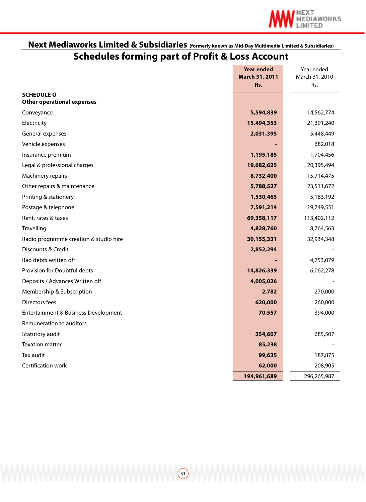

|                                                        | <b>Year ended</b><br>March 31, 2011 | Year ended<br>March 31, 2010 |
|--------------------------------------------------------|-------------------------------------|------------------------------|
|                                                        | Rs.                                 | Rs.                          |
| <b>SCHEDULE O</b><br><b>Other operational expenses</b> |                                     |                              |
| Conveyance                                             | 5,594,839                           | 14,562,774                   |
| Electricity                                            | 15,494,353                          | 21,391,240                   |
| General expenses                                       | 2,031,395                           | 5,448,449                    |
| Vehicle expenses                                       |                                     | 682,018                      |
| Insurance premium                                      | 1,195,185                           | 1,704,456                    |
| Legal & professional charges                           | 19,682,625                          | 20,395,494                   |
| Machinery repairs                                      | 8,732,400                           | 15,714,475                   |
| Other repairs & maintenance                            | 5,788,527                           | 23,511,672                   |
| Printing & stationery                                  | 1,530,465                           | 5,183,192                    |
| Postage & telephone                                    | 7,591,214                           | 19,749,551                   |
| Rent, rates & taxes                                    | 69,358,117                          | 113,402,112                  |
| Travelling                                             | 4,828,760                           | 8,764,563                    |
| Radio programme creation & studio hire                 | 30,155,331                          | 32,934,348                   |
| Discounts & Credit                                     | 2,852,294                           |                              |
| Bad debts written off                                  |                                     | 4,753,079                    |
| Provision for Doubtful debts                           | 14,826,339                          | 6,062,278                    |
| Deposits / Advances Written off                        | 4,005,026                           |                              |
| Membership & Subscription                              | 2,782                               | 270,000                      |
| <b>Directors fees</b>                                  | 620,000                             | 260,000                      |
| Entertainment & Business Development                   | 70,557                              | 394,000                      |
| Remuneration to auditors                               |                                     |                              |
| Statutory audit                                        | 354,607                             | 685,507                      |
| <b>Taxation matter</b>                                 | 85,238                              |                              |
| Tax audit                                              | 99,635                              | 187,875                      |
| Certification work                                     | 62,000                              | 208,905                      |
|                                                        | 194,961,689                         | 296,265,987                  |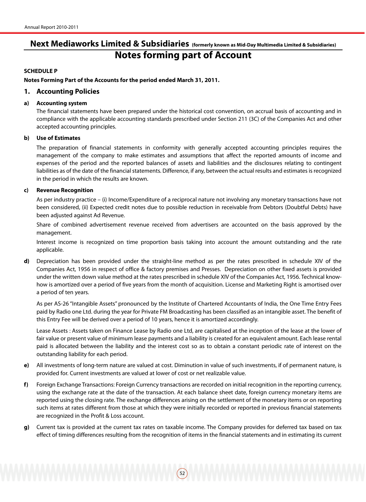#### **SCHEDULE P**

### **Notes Forming Part of the Accounts for the period ended March 31, 2011.**

### **1. Accounting Policies**

### **a) Accounting system**

The financial statements have been prepared under the historical cost convention, on accrual basis of accounting and in compliance with the applicable accounting standards prescribed under Section 211 (3C) of the Companies Act and other accepted accounting principles.

#### **b) Use of Estimates**

The preparation of financial statements in conformity with generally accepted accounting principles requires the management of the company to make estimates and assumptions that affect the reported amounts of income and expenses of the period and the reported balances of assets and liabilities and the disclosures relating to contingent liabilities as of the date of the financial statements. Difference, if any, between the actual results and estimates is recognized in the period in which the results are known.

### **c) Revenue Recognition**

As per industry practice – (i) Income/Expenditure of a reciprocal nature not involving any monetary transactions have not been considered, (ii) Expected credit notes due to possible reduction in receivable from Debtors (Doubtful Debts) have been adjusted against Ad Revenue.

Share of combined advertisement revenue received from advertisers are accounted on the basis approved by the management.

Interest income is recognized on time proportion basis taking into account the amount outstanding and the rate applicable.

**d)** Depreciation has been provided under the straight-line method as per the rates prescribed in schedule XIV of the Companies Act, 1956 in respect of office & factory premises and Presses. Depreciation on other fixed assets is provided under the written down value method at the rates prescribed in schedule XIV of the Companies Act, 1956. Technical knowhow is amortized over a period of five years from the month of acquisition. License and Marketing Right is amortised over a period of ten years.

As per AS-26 "Intangible Assets" pronounced by the Institute of Chartered Accountants of India, the One Time Entry Fees paid by Radio one Ltd. during the year for Private FM Broadcasting has been classified as an intangible asset. The benefit of this Entry Fee will be derived over a period of 10 years, hence it is amortized accordingly.

Lease Assets : Assets taken on Finance Lease by Radio one Ltd, are capitalised at the inception of the lease at the lower of fair value or present value of minimum lease payments and a liability is created for an equivalent amount. Each lease rental paid is allocated between the liability and the interest cost so as to obtain a constant periodic rate of interest on the outstanding liability for each period.

- **e)** All investments of long-term nature are valued at cost. Diminution in value of such investments, if of permanent nature, is provided for. Current investments are valued at lower of cost or net realizable value.
- **f)** Foreign Exchange Transactions: Foreign Currency transactions are recorded on initial recognition in the reporting currency, using the exchange rate at the date of the transaction. At each balance sheet date, foreign currency monetary items are reported using the closing rate. The exchange differences arising on the settlement of the monetary items or on reporting such items at rates different from those at which they were initially recorded or reported in previous financial statements are recognized in the Profit & Loss account.
- **g)** Current tax is provided at the current tax rates on taxable income. The Company provides for deferred tax based on tax effect of timing differences resulting from the recognition of items in the financial statements and in estimating its current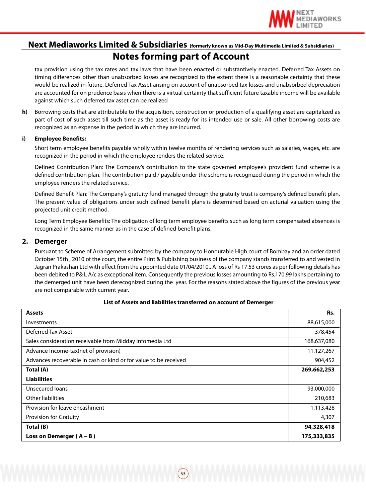

tax provision using the tax rates and tax laws that have been enacted or substantively enacted. Deferred Tax Assets on timing differences other than unabsorbed losses are recognized to the extent there is a reasonable certainty that these would be realized in future. Deferred Tax Asset arising on account of unabsorbed tax losses and unabsorbed depreciation are accounted for on prudence basis when there is a virtual certainty that sufficient future taxable income will be available against which such deferred tax asset can be realized

**h)** Borrowing costs that are attributable to the acquisition, construction or production of a qualifying asset are capitalized as part of cost of such asset till such time as the asset is ready for its intended use or sale. All other borrowing costs are recognized as an expense in the period in which they are incurred.

### **i) Employee Benefits:**

Short term employee benefits payable wholly within twelve months of rendering services such as salaries, wages, etc. are recognized in the period in which the employee renders the related service.

Defined Contribution Plan: The Company's contribution to the state governed employee's provident fund scheme is a defined contribution plan. The contribution paid / payable under the scheme is recognized during the period in which the employee renders the related service.

Defined Benefit Plan: The Company's gratuity fund managed through the gratuity trust is company's defined benefit plan. The present value of obligations under such defined benefit plans is determined based on acturial valuation using the projected unit credit method.

Long Term Employee Benefits: The obligation of long term employee benefits such as long term compensated absences is recognized in the same manner as in the case of defined benefit plans.

### **2. Demerger**

Pursuant to Scheme of Arrangement submitted by the company to Honourable High court of Bombay and an order dated October 15th , 2010 of the court, the entire Print & Publishing business of the company stands transferred to and vested in Jagran Prakashan Ltd with effect from the appointed date 01/04/2010.. A loss of Rs 17.53 crores as per following details has been debited to P& L A/c as exceptional item. Consequently the previous losses amounting to Rs.170.99 lakhs pertaining to the demerged unit have been derecognized during the year. For the reasons stated above the figures of the previous year are not comparable with current year.

| <b>Assets</b>                                                    | Rs.         |
|------------------------------------------------------------------|-------------|
| Investments                                                      | 88,615,000  |
| Deferred Tax Asset                                               | 378,454     |
| Sales consideration receivable from Midday Infomedia Ltd         | 168,637,080 |
| Advance Income-tax (net of provision)                            | 11,127,267  |
| Advances recoverable in cash or kind or for value to be received | 904,452     |
| Total (A)                                                        | 269,662,253 |
| <b>Liabilities</b>                                               |             |
| Unsecured loans                                                  | 93,000,000  |
| Other liabilities                                                | 210,683     |
| Provision for leave encashment                                   | 1,113,428   |
| Provision for Gratuity                                           | 4,307       |
| Total (B)                                                        | 94,328,418  |
| Loss on Demerger $(A - B)$                                       | 175,333,835 |

### **List of Assets and liabilities transferred on account of Demerger**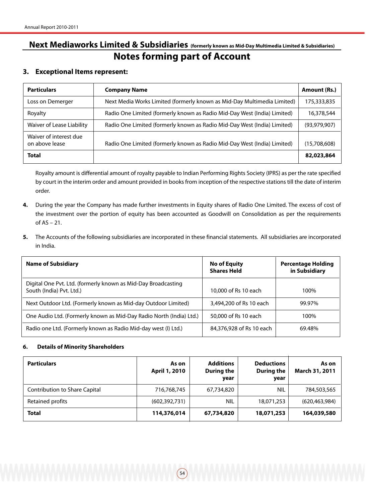### **3. Exceptional Items represent:**

| <b>Particulars</b>                       | <b>Company Name</b>                                                      | Amount (Rs.)   |
|------------------------------------------|--------------------------------------------------------------------------|----------------|
| Loss on Demerger                         | Next Media Works Limited (formerly known as Mid-Day Multimedia Limited)  | 175,333,835    |
| Royalty                                  | Radio One Limited (formerly known as Radio Mid-Day West (India) Limited) | 16,378,544     |
| Waiver of Lease Liability                | Radio One Limited (formerly known as Radio Mid-Day West (India) Limited) | (93, 979, 907) |
| Waiver of interest due<br>on above lease | Radio One Limited (formerly known as Radio Mid-Day West (India) Limited) | (15,708,608)   |
| <b>Total</b>                             |                                                                          | 82,023,864     |

Royalty amount is differential amount of royalty payable to Indian Performing Rights Society (IPRS) as per the rate specified by court in the interim order and amount provided in books from inception of the respective stations till the date of interim order.

- **4.** During the year the Company has made further investments in Equity shares of Radio One Limited. The excess of cost of the investment over the portion of equity has been accounted as Goodwill on Consolidation as per the requirements of  $AS - 21$ .
- **5.** The Accounts of the following subsidiaries are incorporated in these financial statements. All subsidiaries are incorporated in India.

| <b>Name of Subsidiary</b>                                                                 | <b>No of Equity</b><br><b>Shares Held</b> | <b>Percentage Holding</b><br>in Subsidiary |
|-------------------------------------------------------------------------------------------|-------------------------------------------|--------------------------------------------|
| Digital One Pvt. Ltd. (formerly known as Mid-Day Broadcasting<br>South (India) Pvt. Ltd.) | 10,000 of Rs 10 each                      | 100%                                       |
| Next Outdoor Ltd. (Formerly known as Mid-day Outdoor Limited)                             | 3,494,200 of Rs 10 each                   | 99.97%                                     |
| One Audio Ltd. (Formerly known as Mid-Day Radio North (India) Ltd.)                       | 50,000 of Rs 10 each                      | 100%                                       |
| Radio one Ltd. (Formerly known as Radio Mid-day west (I) Ltd.)                            | 84,376,928 of Rs 10 each                  | 69.48%                                     |

### **6. Details of Minority Shareholders**

| <b>Particulars</b>            | As on<br>April 1, 2010 | <b>Additions</b><br>During the<br>year | <b>Deductions</b><br>During the<br>year | As on<br>March 31, 2011 |
|-------------------------------|------------------------|----------------------------------------|-----------------------------------------|-------------------------|
| Contribution to Share Capital | 716,768,745            | 67,734,820                             | <b>NIL</b>                              | 784,503,565             |
| Retained profits              | (602, 392, 731)        | <b>NIL</b>                             | 18,071,253                              | (620, 463, 984)         |
| <b>Total</b>                  | 114,376,014            | 67,734,820                             | 18,071,253                              | 164,039,580             |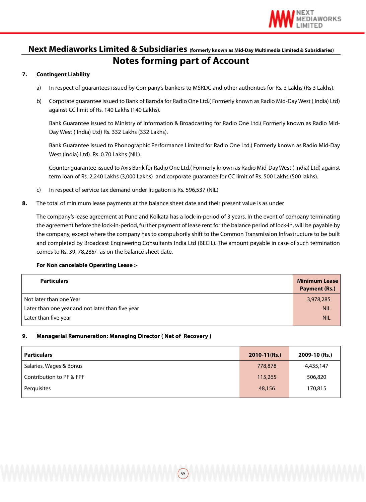

### **7. Contingent Liability**

- a) In respect of quarantees issued by Company's bankers to MSRDC and other authorities for Rs. 3 Lakhs (Rs 3 Lakhs).
- b) Corporate guarantee issued to Bank of Baroda for Radio One Ltd.( Formerly known as Radio Mid-Day West ( India) Ltd) against CC limit of Rs. 140 Lakhs (140 Lakhs).

Bank Guarantee issued to Ministry of Information & Broadcasting for Radio One Ltd.( Formerly known as Radio Mid-Day West ( India) Ltd) Rs. 332 Lakhs (332 Lakhs).

Bank Guarantee issued to Phonographic Performance Limited for Radio One Ltd.( Formerly known as Radio Mid-Day West (India) Ltd). Rs. 0.70 Lakhs (NIL).

Counter guarantee issued to Axis Bank for Radio One Ltd.( Formerly known as Radio Mid-Day West ( India) Ltd) against term loan of Rs. 2,240 Lakhs (3,000 Lakhs) and corporate guarantee for CC limit of Rs. 500 Lakhs (500 lakhs).

- c) In respect of service tax demand under litigation is Rs. 596,537 (NIL)
- **8.** The total of minimum lease payments at the balance sheet date and their present value is as under

The company's lease agreement at Pune and Kolkata has a lock-in-period of 3 years. In the event of company terminating the agreement before the lock-in-period, further payment of lease rent for the balance period of lock-in, will be payable by the company, except where the company has to compulsorily shift to the Common Transmission Infrastructure to be built and completed by Broadcast Engineering Consultants India Ltd (BECIL). The amount payable in case of such termination comes to Rs. 39, 78,285/- as on the balance sheet date.

### **For Non cancelable Operating Lease :-**

| <b>Particulars</b>                               | <b>Minimum Lease</b><br><b>Payment (Rs.)</b> |
|--------------------------------------------------|----------------------------------------------|
| Not later than one Year                          | 3,978,285                                    |
| Later than one year and not later than five year | <b>NIL</b>                                   |
| Later than five year                             | <b>NIL</b>                                   |

### **9. Managerial Remuneration: Managing Director ( Net of Recovery )**

| <b>Particulars</b>       | $2010 - 11(Rs.)$ | 2009-10 (Rs.) |
|--------------------------|------------------|---------------|
| Salaries, Wages & Bonus  | 778,878          | 4,435,147     |
| Contribution to PF & FPF | 115,265          | 506,820       |
| Perquisites              | 48,156           | 170,815       |

55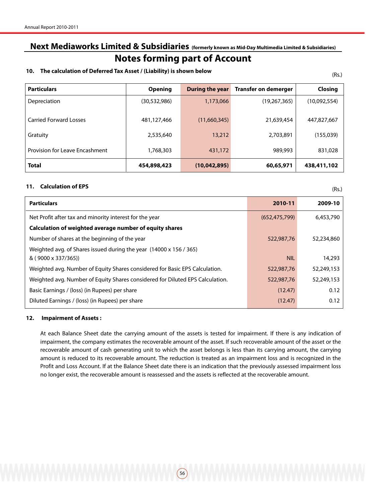### **10. The calculation of Deferred Tax Asset / (Liability) is shown below**

| <b>Particulars</b>             | <b>Opening</b> | During the year | Transfer on demerger | <b>Closing</b> |
|--------------------------------|----------------|-----------------|----------------------|----------------|
| Depreciation                   | (30,532,986)   | 1,173,066       | (19, 267, 365)       | (10,092,554)   |
| <b>Carried Forward Losses</b>  | 481,127,466    | (11,660,345)    | 21,639,454           | 447,827,667    |
| Gratuity                       | 2,535,640      | 13,212          | 2,703,891            | (155,039)      |
| Provision for Leave Encashment | 1,768,303      | 431,172         | 989,993              | 831,028        |
| <b>Total</b>                   | 454,898,423    | (10,042,895)    | 60,65,971            | 438,411,102    |

### **11. Calculation of EPS**

| <b>Particulars</b>                                                            | 2010-11         | 2009-10    |
|-------------------------------------------------------------------------------|-----------------|------------|
| Net Profit after tax and minority interest for the year                       | (652, 475, 799) | 6.453.790  |
| Calculation of weighted average number of equity shares                       |                 |            |
| Number of shares at the beginning of the year                                 | 522,987,76      | 52,234,860 |
| Weighted avg. of Shares issued during the year $(14000 \times 156 / 365)$     |                 |            |
| & (9000 x 337/365))                                                           | <b>NIL</b>      | 14,293     |
| Weighted avg. Number of Equity Shares considered for Basic EPS Calculation.   | 522,987,76      | 52,249,153 |
| Weighted avg. Number of Equity Shares considered for Diluted EPS Calculation. | 522,987,76      | 52,249,153 |
| Basic Earnings / (loss) (in Rupees) per share                                 | (12.47)         | 0.12       |
| Diluted Earnings / (loss) (in Rupees) per share                               | (12.47)         | 0.12       |
|                                                                               |                 |            |

### **12. Impairment of Assets :**

At each Balance Sheet date the carrying amount of the assets is tested for impairment. If there is any indication of impairment, the company estimates the recoverable amount of the asset. If such recoverable amount of the asset or the recoverable amount of cash generating unit to which the asset belongs is less than its carrying amount, the carrying amount is reduced to its recoverable amount. The reduction is treated as an impairment loss and is recognized in the Profit and Loss Account. If at the Balance Sheet date there is an indication that the previously assessed impairment loss no longer exist, the recoverable amount is reassessed and the assets is reflected at the recoverable amount.

56

(Rs.)

(Rs.)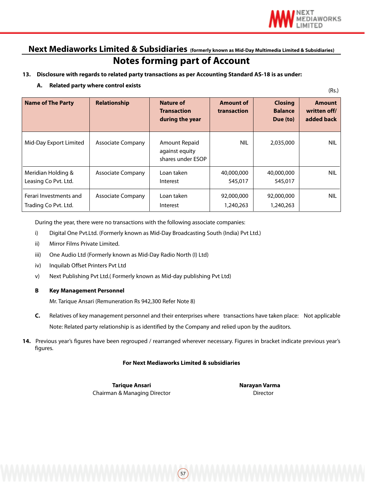

(Rs.)

### **Next Mediaworks Limited & Subsidiaries (formerly known as Mid-Day Multimedia Limited & Subsidiaries) Notes forming part of Account**

### **13. Disclosure with regards to related party transactions as per Accounting Standard AS-18 is as under:**

### **A. Related party where control exists**

| <b>Name of The Party</b>                       | <b>Relationship</b>      | Nature of<br><b>Transaction</b><br>during the year   | <b>Amount of</b><br>transaction | <b>Closing</b><br><b>Balance</b><br>Due (to) | <b>Amount</b><br>written off/<br>added back |
|------------------------------------------------|--------------------------|------------------------------------------------------|---------------------------------|----------------------------------------------|---------------------------------------------|
| Mid-Day Export Limited                         | <b>Associate Company</b> | Amount Repaid<br>against equity<br>shares under ESOP | <b>NIL</b>                      | 2,035,000                                    | <b>NIL</b>                                  |
| Meridian Holding &<br>Leasing Co Pvt. Ltd.     | <b>Associate Company</b> | Loan taken<br>Interest                               | 40,000,000<br>545,017           | 40,000,000<br>545,017                        | <b>NIL</b>                                  |
| Ferari Investments and<br>Trading Co Pvt. Ltd. | Associate Company        | Loan taken<br>Interest                               | 92,000,000<br>1,240,263         | 92,000,000<br>1,240,263                      | <b>NIL</b>                                  |

During the year, there were no transactions with the following associate companies:

- i) Digital One Pvt.Ltd. (Formerly known as Mid-Day Broadcasting South (India) Pvt Ltd.)
- ii) Mirror Films Private Limited.
- iii) One Audio Ltd (Formerly known as Mid-Day Radio North (I) Ltd)
- iv) Inquilab Offset Printers Pvt Ltd
- v) Next Publishing Pvt Ltd.( Formerly known as Mid-day publishing Pvt Ltd)

### **B Key Management Personnel**

Mr. Tarique Ansari (Remuneration Rs 942,300 Refer Note 8)

- **C.** Relatives of key management personnel and their enterprises where transactions have taken place: Not applicable Note: Related party relationship is as identified by the Company and relied upon by the auditors.
- **14.** Previous year's figures have been regrouped / rearranged wherever necessary. Figures in bracket indicate previous year's figures.

### **For Next Mediaworks Limited & subsidiaries**

57

**Tarique Ansari Narayan Varma** Chairman & Managing Director **Director** Director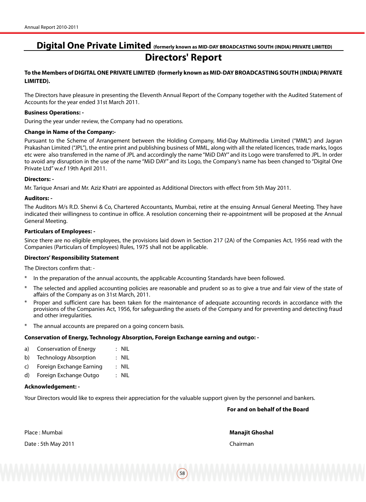### **Digital One Private Limited (formerly known as MID-DAY BROADCASTING SOUTH (INDIA) PRIVATE LIMITED)**

### **Directors' Report**

### **To the Members of DIGITAL ONE PRIVATE LIMITED (formerly known as MID-DAY BROADCASTING SOUTH (INDIA) PRIVATE LIMITED).**

The Directors have pleasure in presenting the Eleventh Annual Report of the Company together with the Audited Statement of Accounts for the year ended 31st March 2011.

#### **Business Operations: -**

During the year under review, the Company had no operations.

### **Change in Name of the Company:-**

Pursuant to the Scheme of Arrangement between the Holding Company, Mid-Day Multimedia Limited ("MML") and Jagran Prakashan Limited ("JPL"), the entire print and publishing business of MML, along with all the related licences, trade marks, logos etc were also transferred in the name of JPL and accordingly the name "MiD DAY" and its Logo were transferred to JPL. In order to avoid any disruption in the use of the name "MiD DAY" and its Logo, the Company's name has been changed to "Digital One Private Ltd" w.e.f 19th April 2011.

#### **Directors: -**

Mr. Tarique Ansari and Mr. Aziz Khatri are appointed as Additional Directors with effect from 5th May 2011.

### **Auditors: -**

The Auditors M/s R.D. Shenvi & Co, Chartered Accountants, Mumbai, retire at the ensuing Annual General Meeting. They have indicated their willingness to continue in office. A resolution concerning their re-appointment will be proposed at the Annual General Meeting.

### **Particulars of Employees: -**

Since there are no eligible employees, the provisions laid down in Section 217 (2A) of the Companies Act, 1956 read with the Companies (Particulars of Employees) Rules, 1975 shall not be applicable.

#### **Directors' Responsibility Statement**

The Directors confirm that: -

- \* In the preparation of the annual accounts, the applicable Accounting Standards have been followed.
- The selected and applied accounting policies are reasonable and prudent so as to give a true and fair view of the state of affairs of the Company as on 31st March, 2011.
- Proper and sufficient care has been taken for the maintenance of adequate accounting records in accordance with the provisions of the Companies Act, 1956, for safeguarding the assets of the Company and for preventing and detecting fraud and other irregularities.
- \* The annual accounts are prepared on a going concern basis.

#### **Conservation of Energy, Technology Absorption, Foreign Exchange earning and outgo: -**

- a) Conservation of Energy : NIL
- b) Technology Absorption : NIL
- c) Foreign Exchange Earning : NIL
- d) Foreign Exchange Outgo : NIL

#### **Acknowledgement: -**

Your Directors would like to express their appreciation for the valuable support given by the personnel and bankers.

#### **For and on behalf of the Board**

Place : Mumbai **Manajit Ghoshal**

Date : 5th May 2011 **Chairman**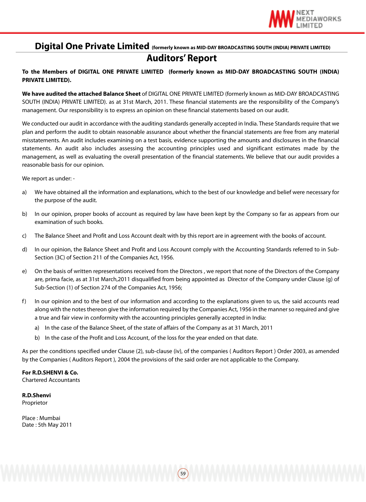

### **Digital One Private Limited (formerly known as MID-DAY BROADCASTING SOUTH (INDIA) PRIVATE LIMITED)**

### **Auditors' Report**

### **To the Members of DIGITAL ONE PRIVATE LIMITED (formerly known as MID-DAY BROADCASTING SOUTH (INDIA) PRIVATE LIMITED).**

**We have audited the attached Balance Sheet** of DIGITAL ONE PRIVATE LIMITED (formerly known as MID-DAY BROADCASTING SOUTH (INDIA) PRIVATE LIMITED). as at 31st March, 2011. These financial statements are the responsibility of the Company's management. Our responsibility is to express an opinion on these financial statements based on our audit.

We conducted our audit in accordance with the auditing standards generally accepted in India. These Standards require that we plan and perform the audit to obtain reasonable assurance about whether the financial statements are free from any material misstatements. An audit includes examining on a test basis, evidence supporting the amounts and disclosures in the financial statements. An audit also includes assessing the accounting principles used and significant estimates made by the management, as well as evaluating the overall presentation of the financial statements. We believe that our audit provides a reasonable basis for our opinion.

We report as under: -

- a) We have obtained all the information and explanations, which to the best of our knowledge and belief were necessary for the purpose of the audit.
- b) In our opinion, proper books of account as required by law have been kept by the Company so far as appears from our examination of such books.
- c) The Balance Sheet and Profit and Loss Account dealt with by this report are in agreement with the books of account.
- d) In our opinion, the Balance Sheet and Profit and Loss Account comply with the Accounting Standards referred to in Sub-Section (3C) of Section 211 of the Companies Act, 1956.
- e) On the basis of written representations received from the Directors , we report that none of the Directors of the Company are, prima facie, as at 31st March,2011 disqualified from being appointed as Director of the Company under Clause (g) of Sub-Section (1) of Section 274 of the Companies Act, 1956;
- f) In our opinion and to the best of our information and according to the explanations given to us, the said accounts read along with the notes thereon give the information required by the Companies Act, 1956 in the manner so required and give a true and fair view in conformity with the accounting principles generally accepted in India:
	- a) In the case of the Balance Sheet, of the state of affairs of the Company as at 31 March, 2011
	- b) In the case of the Profit and Loss Account, of the loss for the year ended on that date.

As per the conditions specified under Clause (2), sub-clause (iv), of the companies ( Auditors Report ) Order 2003, as amended by the Companies ( Auditors Report ), 2004 the provisions of the said order are not applicable to the Company.

59

**For R.D.SHENVI & Co.** 

Chartered Accountants

**R.D.Shenvi** Proprietor

Place : Mumbai Date : 5th May 2011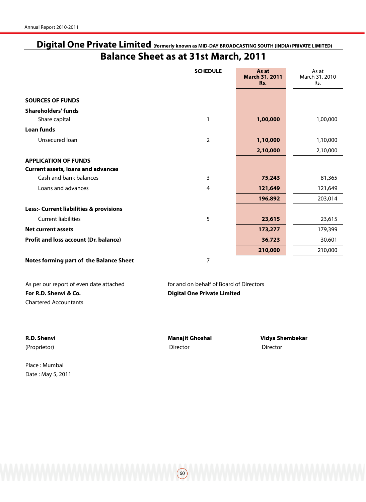### **Digital One Private Limited (formerly known as MID-DAY BROADCASTING SOUTH (INDIA) PRIVATE LIMITED) Balance Sheet as at 31st March, 2011**

|                                                    | <b>SCHEDULE</b> | As at<br>March 31, 2011<br>Rs. | As at<br>March 31, 2010<br>Rs. |
|----------------------------------------------------|-----------------|--------------------------------|--------------------------------|
| <b>SOURCES OF FUNDS</b>                            |                 |                                |                                |
| <b>Shareholders' funds</b>                         |                 |                                |                                |
| Share capital                                      | 1               | 1,00,000                       | 1,00,000                       |
| <b>Loan funds</b>                                  |                 |                                |                                |
| Unsecured loan                                     | $\overline{2}$  | 1,10,000                       | 1,10,000                       |
|                                                    |                 | 2,10,000                       | 2,10,000                       |
| <b>APPLICATION OF FUNDS</b>                        |                 |                                |                                |
| <b>Current assets, loans and advances</b>          |                 |                                |                                |
| Cash and bank balances                             | 3               | 75,243                         | 81,365                         |
| Loans and advances                                 | 4               | 121,649                        | 121,649                        |
|                                                    |                 | 196,892                        | 203,014                        |
| <b>Less:- Current liabilities &amp; provisions</b> |                 |                                |                                |
| <b>Current liabilities</b>                         | 5               | 23,615                         | 23,615                         |
| <b>Net current assets</b>                          |                 | 173,277                        | 179,399                        |
| Profit and loss account (Dr. balance)              |                 | 36,723                         | 30,601                         |
|                                                    |                 | 210,000                        | 210,000                        |
| Notes forming part of the Balance Sheet            | 7               |                                |                                |

As per our report of even date attached for and on behalf of Board of Directors For R.D. Shenvi & Co. **But a Community Community** Digital One Private Limited Chartered Accountants

(Proprietor) Director Director

R.D. Shenvi **Manajit Ghoshal** Manajit Ghoshal Vidya Shembekar

Place : Mumbai Date : May 5, 2011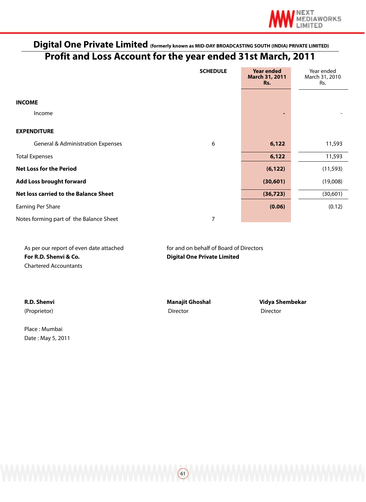

### **Digital One Private Limited (formerly known as MID-DAY BROADCASTING SOUTH (INDIA) PRIVATE LIMITED) Profit and Loss Account for the year ended 31st March, 2011**

|                                              | <b>SCHEDULE</b> | <b>Year ended</b><br>March 31, 2011<br>Rs. | Year ended<br>March 31, 2010<br>Rs. |
|----------------------------------------------|-----------------|--------------------------------------------|-------------------------------------|
| <b>INCOME</b>                                |                 |                                            |                                     |
| Income                                       |                 | ٠                                          |                                     |
| <b>EXPENDITURE</b>                           |                 |                                            |                                     |
| <b>General &amp; Administration Expenses</b> | 6               | 6,122                                      | 11,593                              |
| <b>Total Expenses</b>                        |                 | 6,122                                      | 11,593                              |
| <b>Net Loss for the Period</b>               |                 | (6, 122)                                   | (11, 593)                           |
| <b>Add Loss brought forward</b>              |                 | (30,601)                                   | (19,008)                            |
| Net loss carried to the Balance Sheet        |                 | (36, 723)                                  | (30,601)                            |
| Earning Per Share                            |                 | (0.06)                                     | (0.12)                              |
| Notes forming part of the Balance Sheet      | 7               |                                            |                                     |

**For R.D. Shenvi & Co. Digital One Private Limited**  Chartered Accountants

As per our report of even date attached for and on behalf of Board of Directors

Place : Mumbai Date : May 5, 2011

(Proprietor) Director Director Director Director

**R.D. Shenvi Manajit Ghoshal Vidya Shembekar**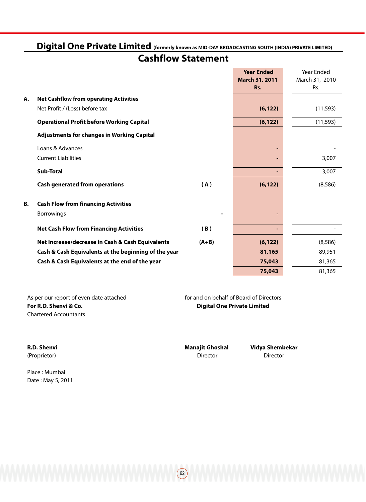### **Digital One Private Limited (formerly known as MID-DAY BROADCASTING SOUTH (INDIA) PRIVATE LIMITED)**

## **Cashflow Statement**

|           |                                                      |         | <b>Year Ended</b><br>March 31, 2011<br>Rs. | Year Ended<br>March 31, 2010<br>Rs. |
|-----------|------------------------------------------------------|---------|--------------------------------------------|-------------------------------------|
| А.        | <b>Net Cashflow from operating Activities</b>        |         |                                            |                                     |
|           | Net Profit / (Loss) before tax                       |         | (6, 122)                                   | (11, 593)                           |
|           | <b>Operational Profit before Working Capital</b>     |         | (6, 122)                                   | (11, 593)                           |
|           | <b>Adjustments for changes in Working Capital</b>    |         |                                            |                                     |
|           | Loans & Advances                                     |         |                                            |                                     |
|           | <b>Current Liabilities</b>                           |         |                                            | 3,007                               |
|           | Sub-Total                                            |         |                                            | 3,007                               |
|           | <b>Cash generated from operations</b>                | (A)     | (6, 122)                                   | (8,586)                             |
| <b>B.</b> | <b>Cash Flow from financing Activities</b>           |         |                                            |                                     |
|           | <b>Borrowings</b>                                    |         |                                            |                                     |
|           | <b>Net Cash Flow from Financing Activities</b>       | (B)     |                                            |                                     |
|           | Net Increase/decrease in Cash & Cash Equivalents     | $(A+B)$ | (6, 122)                                   | (8,586)                             |
|           | Cash & Cash Equivalents at the beginning of the year |         | 81,165                                     | 89,951                              |
|           | Cash & Cash Equivalents at the end of the year       |         | 75,043                                     | 81,365                              |
|           |                                                      |         | 75,043                                     | 81,365                              |

For R.D. Shenvi & Co. **Digital One Private Limited Digital One Private Limited** Chartered Accountants

# As per our report of even date attached for and on behalf of Board of Directors

Place : Mumbai Date : May 5, 2011

R.D. Shenvi **Manajit Ghoshal** Vidya Shembekar (Proprietor) Director Director

62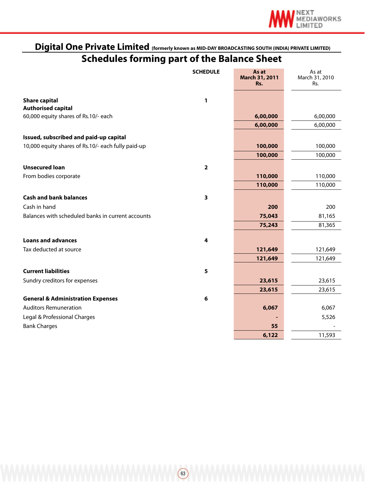### **Digital One Private Limited (formerly known as MID-DAY BROADCASTING SOUTH (INDIA) PRIVATE LIMITED) Schedules forming part of the Balance Sheet**

|                                                    | <b>SCHEDULE</b>         | As at<br>March 31, 2011<br>Rs. | As at<br>March 31, 2010<br>Rs. |
|----------------------------------------------------|-------------------------|--------------------------------|--------------------------------|
| <b>Share capital</b><br><b>Authorised capital</b>  | 1                       |                                |                                |
| 60,000 equity shares of Rs.10/- each               |                         | 6,00,000                       | 6,00,000                       |
|                                                    |                         | 6,00,000                       | 6,00,000                       |
| Issued, subscribed and paid-up capital             |                         |                                |                                |
| 10,000 equity shares of Rs.10/- each fully paid-up |                         | 100,000                        | 100,000                        |
|                                                    |                         | 100,000                        | 100,000                        |
| <b>Unsecured loan</b>                              | $\overline{\mathbf{2}}$ |                                |                                |
| From bodies corporate                              |                         | 110,000                        | 110,000                        |
|                                                    |                         | 110,000                        | 110,000                        |
| <b>Cash and bank balances</b>                      | 3                       |                                |                                |
| Cash in hand                                       |                         | 200                            | 200                            |
| Balances with scheduled banks in current accounts  |                         | 75,043                         | 81,165                         |
|                                                    |                         | 75,243                         | 81,365                         |
| <b>Loans and advances</b>                          | 4                       |                                |                                |
| Tax deducted at source                             |                         | 121,649                        | 121,649                        |
|                                                    |                         | 121,649                        | 121,649                        |
| <b>Current liabilities</b>                         | 5                       |                                |                                |
| Sundry creditors for expenses                      |                         | 23,615                         | 23,615                         |
|                                                    |                         | 23,615                         | 23,615                         |
| <b>General &amp; Administration Expenses</b>       | 6                       |                                |                                |
| <b>Auditors Remuneration</b>                       |                         | 6,067                          | 6,067                          |
| Legal & Professional Charges                       |                         |                                | 5,526                          |
| <b>Bank Charges</b>                                |                         | 55                             |                                |
|                                                    |                         | 6,122                          | 11,593                         |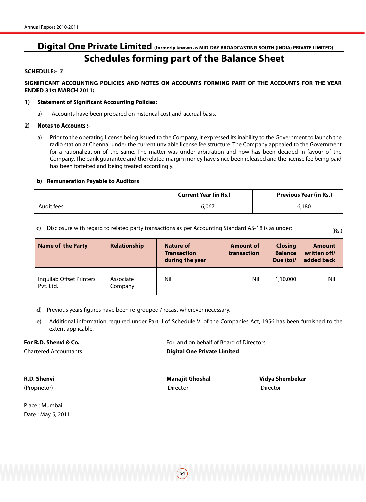### **Digital One Private Limited (formerly known as MID-DAY BROADCASTING SOUTH (INDIA) PRIVATE LIMITED) Schedules forming part of the Balance Sheet**

#### **SCHEDULE:- 7**

### **SIGNIFICANT ACCOUNTING POLICIES AND NOTES ON ACCOUNTS FORMING PART OF THE ACCOUNTS FOR THE YEAR ENDED 31st MARCH 2011:**

#### **1) Statement of Significant Accounting Policies:**

a) Accounts have been prepared on historical cost and accrual basis.

#### **2) Notes to Accounts :-**

a) Prior to the operating license being issued to the Company, it expressed its inability to the Government to launch the radio station at Chennai under the current unviable license fee structure. The Company appealed to the Government for a rationalization of the same. The matter was under arbitration and now has been decided in favour of the Company. The bank guarantee and the related margin money have since been released and the license fee being paid has been forfeited and being treated accordingly.

### **b) Remuneration Payable to Auditors**

|            | <b>Current Year (in Rs.)</b> | <b>Previous Year (in Rs.)</b> |
|------------|------------------------------|-------------------------------|
| Audit fees | 6,067                        | 6,180                         |

c) Disclosure with regard to related party transactions as per Accounting Standard AS-18 is as under:

(Rs.)

| <b>Name of the Party</b>              | <b>Relationship</b>  | <b>Nature of</b><br><b>Transaction</b><br>during the year | <b>Amount of</b><br>transaction | <b>Closing</b><br><b>Balance</b><br>Due (to)/ | <b>Amount</b><br>written off/<br>added back |
|---------------------------------------|----------------------|-----------------------------------------------------------|---------------------------------|-----------------------------------------------|---------------------------------------------|
| Inquilab Offset Printers<br>Pvt. Ltd. | Associate<br>Company | Nil                                                       | Nil                             | 1,10,000                                      | Nil                                         |

d) Previous years figures have been re-grouped / recast wherever necessary.

e) Additional information required under Part II of Schedule VI of the Companies Act, 1956 has been furnished to the extent applicable.

**For R.D. Shenvi & Co. For and on behalf of Board of Directors** Chartered Accountants **Digital One Private Limited** 

(Proprietor) Director Director Director Director Director Director Director Director Director Director Director Director  $\sim$ 

**R.D. Shenvi Manajit Ghoshal Vidya Shembekar**

Place : Mumbai Date : May 5, 2011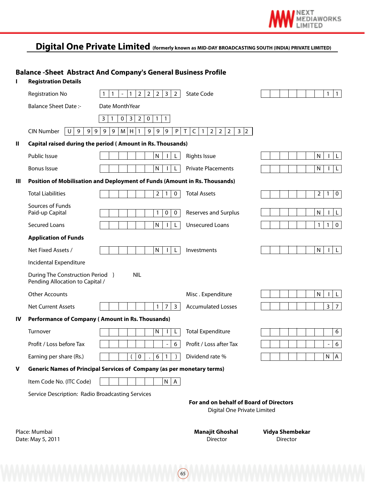

# **Digital One Private Limited (formerly known as MID-DAY BROADCASTING SOUTH (INDIA) PRIVATE LIMITED)**

| ı            | <b>Registration Details</b>                                                                 | <b>Balance -Sheet Abstract And Company's General Business Profile</b>                                                             |                                                                                    |                                             |
|--------------|---------------------------------------------------------------------------------------------|-----------------------------------------------------------------------------------------------------------------------------------|------------------------------------------------------------------------------------|---------------------------------------------|
|              | <b>Registration No</b>                                                                      | $\overline{2}$<br>$\overline{2}$<br>$\overline{2}$<br>$\overline{3}$<br>$\overline{2}$<br>1<br>1<br>1<br>$\overline{\phantom{a}}$ | <b>State Code</b>                                                                  | 1<br>$\mathbf{1}$                           |
|              | <b>Balance Sheet Date:-</b>                                                                 | Date MonthYear                                                                                                                    |                                                                                    |                                             |
|              |                                                                                             | $\overline{3}$<br>$\overline{2}$<br>$\pmb{0}$<br>$\mathbf{1}$<br>3<br>$\pmb{0}$<br>$\mathbf{1}$<br>-1                             |                                                                                    |                                             |
|              | <b>CIN Number</b><br>U<br>9<br>9                                                            | $\mathsf H$<br>9<br>9<br>9<br>M<br>9<br>9<br>9<br>P<br>$\mathbf{1}$                                                               | Τ<br>$\mathsf C$<br>$\overline{2}$<br>$\overline{2}$<br>$\overline{2}$<br>3 2<br>1 |                                             |
| $\mathbf{u}$ |                                                                                             | Capital raised during the period (Amount in Rs. Thousands)                                                                        |                                                                                    |                                             |
|              | Public Issue                                                                                | ${\sf N}$<br>$\mathsf{L}$                                                                                                         | <b>Rights Issue</b>                                                                | ${\sf N}$<br>L<br>$\mathbf{I}$              |
|              | <b>Bonus Issue</b>                                                                          | N<br>L                                                                                                                            | <b>Private Placements</b>                                                          | ${\sf N}$<br>L                              |
| Ш            |                                                                                             | Position of Mobilisation and Deployment of Funds (Amount in Rs. Thousands)                                                        |                                                                                    |                                             |
|              | <b>Total Liabilities</b>                                                                    | $\overline{2}$<br>$\mathbf 0$<br>$\mathbf{1}$                                                                                     | <b>Total Assets</b>                                                                | $\overline{2}$<br>$\mathbf{1}$<br>0         |
|              | Sources of Funds<br>Paid-up Capital                                                         | $\mathbf{1}$<br>$\pmb{0}$<br>$\mathbf 0$                                                                                          | Reserves and Surplus                                                               | ${\sf N}$<br>L                              |
|              | <b>Secured Loans</b>                                                                        | ${\sf N}$<br>L                                                                                                                    | <b>Unsecured Loans</b>                                                             | $\mathbf{1}$<br>$\mathbf{1}$<br>$\mathbf 0$ |
|              | <b>Application of Funds</b>                                                                 |                                                                                                                                   |                                                                                    |                                             |
|              | Net Fixed Assets /                                                                          | N<br>$\mathsf{L}$<br>$\mathbf{I}$                                                                                                 | Investments                                                                        | N<br>$\mathsf{L}$<br>$\mathbf{I}$           |
|              | Incidental Expenditure                                                                      |                                                                                                                                   |                                                                                    |                                             |
|              | During The Construction Period }<br>Pending Allocation to Capital /                         | <b>NIL</b>                                                                                                                        |                                                                                    |                                             |
|              | <b>Other Accounts</b>                                                                       |                                                                                                                                   | Misc. Expenditure                                                                  | ${\sf N}$                                   |
|              | <b>Net Current Assets</b>                                                                   | $\overline{7}$<br>$\overline{3}$<br>1                                                                                             | <b>Accumulated Losses</b>                                                          | $\overline{3}$<br>$\overline{7}$            |
| IV           | <b>Performance of Company (Amount in Rs. Thousands)</b>                                     |                                                                                                                                   |                                                                                    |                                             |
|              | Turnover                                                                                    | ${\sf N}$<br>L                                                                                                                    | <b>Total Expenditure</b>                                                           | 6                                           |
|              | Profit / Loss before Tax                                                                    | 6                                                                                                                                 | Profit / Loss after Tax                                                            | 6                                           |
|              | Earning per share (Rs.)                                                                     | 0<br>6<br>$\mathbf{1}$                                                                                                            | Dividend rate %                                                                    | N<br>A                                      |
| v            |                                                                                             | <b>Generic Names of Principal Services of Company (as per monetary terms)</b>                                                     |                                                                                    |                                             |
|              | Item Code No. (ITC Code)                                                                    | $N \mid A$                                                                                                                        |                                                                                    |                                             |
|              | Service Description: Radio Broadcasting Services<br>For and on behalf of Board of Directors |                                                                                                                                   |                                                                                    |                                             |
|              |                                                                                             |                                                                                                                                   | Digital One Private Limited                                                        |                                             |
|              | Place: Mumbai<br>Date: May 5, 2011                                                          |                                                                                                                                   | <b>Manajit Ghoshal</b><br>Director                                                 | Vidya Shembekar<br>Director                 |

 $\boxed{65}$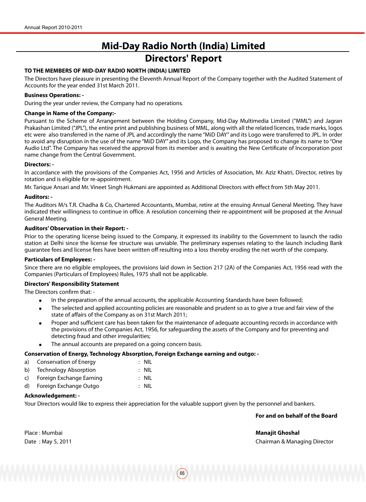### **Mid-Day Radio North (India) Limited Directors' Report**

### **TO THE MEMBERS OF MID-DAY RADIO NORTH (INDIA) LIMITED**

The Directors have pleasure in presenting the Eleventh Annual Report of the Company together with the Audited Statement of Accounts for the year ended 31st March 2011.

#### **Business Operations: -**

During the year under review, the Company had no operations.

#### **Change in Name of the Company:-**

Pursuant to the Scheme of Arrangement between the Holding Company, Mid-Day Multimedia Limited ("MML") and Jagran Prakashan Limited ("JPL"), the entire print and publishing business of MML, along with all the related licences, trade marks, logos etc were also transferred in the name of JPL and accordingly the name "MiD DAY" and its Logo were transferred to JPL. In order to avoid any disruption in the use of the name "MiD DAY" and its Logo, the Company has proposed to change its name to "One Audio Ltd". The Company has received the approval from its member and is awaiting the New Certificate of Incorporation post name change from the Central Government.

#### **Directors: -**

In accordance with the provisions of the Companies Act, 1956 and Articles of Association, Mr. Aziz Khatri, Director, retires by rotation and is eligible for re-appointment.

Mr. Tarique Ansari and Mr. Vineet Singh Hukmani are appointed as Additional Directors with effect from 5th May 2011.

#### **Auditors: -**

The Auditors M/s T.R. Chadha & Co, Chartered Accountants, Mumbai, retire at the ensuing Annual General Meeting. They have indicated their willingness to continue in office. A resolution concerning their re-appointment will be proposed at the Annual General Meeting.

#### **Auditors' Observation in their Report: -**

Prior to the operating license being issued to the Company, it expressed its inability to the Government to launch the radio station at Delhi since the license fee structure was unviable. The preliminary expenses relating to the launch including Bank guarantee fees and license fees have been written off resulting into a loss thereby eroding the net worth of the company.

#### **Particulars of Employees: -**

Since there are no eligible employees, the provisions laid down in Section 217 (2A) of the Companies Act, 1956 read with the Companies (Particulars of Employees) Rules, 1975 shall not be applicable.

#### **Directors' Responsibility Statement**

The Directors confirm that: -

- $\bullet$ In the preparation of the annual accounts, the applicable Accounting Standards have been followed;
- $\bullet$  The selected and applied accounting policies are reasonable and prudent so as to give a true and fair view of the state of affairs of the Company as on 31st March 2011;
- $\bullet$  Proper and sufficient care has been taken for the maintenance of adequate accounting records in accordance with the provisions of the Companies Act, 1956, for safeguarding the assets of the Company and for preventing and detecting fraud and other irregularities;
- $\bullet$ The annual accounts are prepared on a going concern basis.

#### **Conservation of Energy, Technology Absorption, Foreign Exchange earning and outgo: -**

- a) Conservation of Energy : NIL
- b) Technology Absorption : NIL
- c) Foreign Exchange Earning : NIL
- d) Foreign Exchange Outgo : NIL

#### **Acknowledgement: -**

Your Directors would like to express their appreciation for the valuable support given by the personnel and bankers.

66

#### **For and on behalf of the Board**

Date : May 5, 2011 Chairman & Managing Director

Place : Mumbai **Manajit Ghoshal**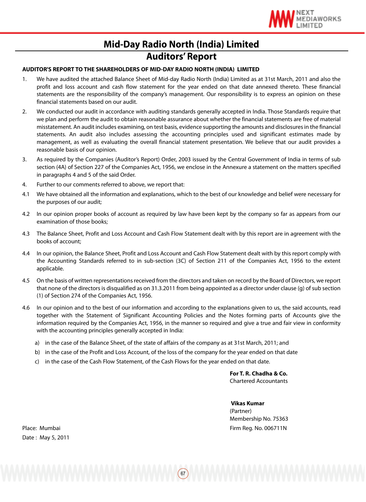

### **Mid-Day Radio North (India) Limited Auditors' Report**

### **AUDITOR'S REPORT TO THE SHAREHOLDERS OF MID-DAY RADIO NORTH (INDIA) LIMITED**

- 1. We have audited the attached Balance Sheet of Mid-day Radio North (India) Limited as at 31st March, 2011 and also the profit and loss account and cash flow statement for the year ended on that date annexed thereto. These financial statements are the responsibility of the company's management. Our responsibility is to express an opinion on these financial statements based on our audit.
- 2. We conducted our audit in accordance with auditing standards generally accepted in India. Those Standards require that we plan and perform the audit to obtain reasonable assurance about whether the financial statements are free of material misstatement. An audit includes examining, on test basis, evidence supporting the amounts and disclosures in the financial statements. An audit also includes assessing the accounting principles used and significant estimates made by management, as well as evaluating the overall financial statement presentation. We believe that our audit provides a reasonable basis of our opinion.
- 3. As required by the Companies (Auditor's Report) Order, 2003 issued by the Central Government of India in terms of sub section (4A) of Section 227 of the Companies Act, 1956, we enclose in the Annexure a statement on the matters specified in paragraphs 4 and 5 of the said Order.
- 4. Further to our comments referred to above, we report that:
- 4.1 We have obtained all the information and explanations, which to the best of our knowledge and belief were necessary for the purposes of our audit;
- 4.2 In our opinion proper books of account as required by law have been kept by the company so far as appears from our examination of those books;
- 4.3 The Balance Sheet, Profit and Loss Account and Cash Flow Statement dealt with by this report are in agreement with the books of account;
- 4.4 In our opinion, the Balance Sheet, Profit and Loss Account and Cash Flow Statement dealt with by this report comply with the Accounting Standards referred to in sub-section (3C) of Section 211 of the Companies Act, 1956 to the extent applicable.
- 4.5 On the basis of written representations received from the directors and taken on record by the Board of Directors, we report that none of the directors is disqualified as on 31.3.2011 from being appointed as a director under clause (g) of sub section (1) of Section 274 of the Companies Act, 1956.
- 4.6 In our opinion and to the best of our information and according to the explanations given to us, the said accounts, read together with the Statement of Significant Accounting Policies and the Notes forming parts of Accounts give the information required by the Companies Act, 1956, in the manner so required and give a true and fair view in conformity with the accounting principles generally accepted in India:

67

- a) in the case of the Balance Sheet, of the state of affairs of the company as at 31st March, 2011; and
- b) in the case of the Profit and Loss Account, of the loss of the company for the year ended on that date
- c) in the case of the Cash Flow Statement, of the Cash Flows for the year ended on that date.

**For T. R. Chadha & Co.** Chartered Accountants

**Vikas Kumar** (Partner) Membership No. 75363 Place: Mumbai Firm Reg. No. 006711N

Date : May 5, 2011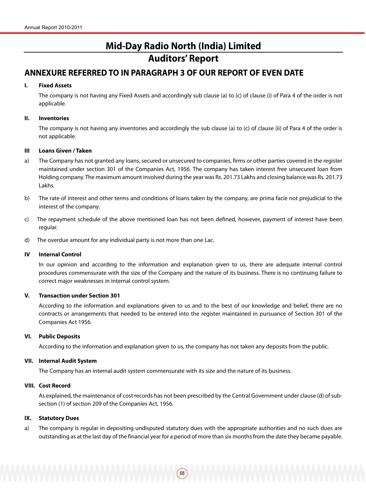### **Mid-Day Radio North (India) Limited Auditors' Report**

### **ANNEXURE REFERRED TO IN PARAGRAPH 3 OF OUR REPORT OF EVEN DATE**

### **I. Fixed Assets**

The company is not having any Fixed Assets and accordingly sub clause (a) to (c) of clause (i) of Para 4 of the order is not applicable.

#### **II. Inventories**

The company is not having any inventories and accordingly the sub clause (a) to (c) of clause (ii) of Para 4 of the order is not applicable.

### **III Loans Given / Taken**

- a) The Company has not granted any loans, secured or unsecured to companies, firms or other parties covered in the register maintained under section 301 of the Companies Act, 1956. The company has taken interest free unsecured loan from Holding company. The maximum amount involved during the year was Rs. 201.73 Lakhs and closing balance was Rs. 201.73 Lakhs.
- b) The rate of interest and other terms and conditions of loans taken by the company, are prima facie not prejudicial to the interest of the company.
- c) The repayment schedule of the above mentioned loan has not been defined, however, payment of interest have been regular.
- d) The overdue amount for any individual party is not more than one Lac.

### **IV Internal Control**

In our opinion and according to the information and explanation given to us, there are adequate internal control procedures commensurate with the size of the Company and the nature of its business. There is no continuing failure to correct major weaknesses in internal control system.

### **V. Transaction under Section 301**

According to the information and explanations given to us and to the best of our knowledge and belief, there are no contracts or arrangements that needed to be entered into the register maintained in pursuance of Section 301 of the Companies Act 1956.

### **VI. Public Deposits**

According to the information and explanation given to us, the company has not taken any deposits from the public.

### **VII. Internal Audit System**

The Company has an internal audit system commensurate with its size and the nature of its business.

#### **VIII. Cost Record**

As explained, the maintenance of cost records has not been prescribed by the Central Government under clause (d) of subsection (1) of section 209 of the Companies Act, 1956.

#### **IX. Statutory Dues**

a) The company is regular in depositing undisputed statutory dues with the appropriate authorities and no such dues are outstanding as at the last day of the financial year for a period of more than six months from the date they became payable.

68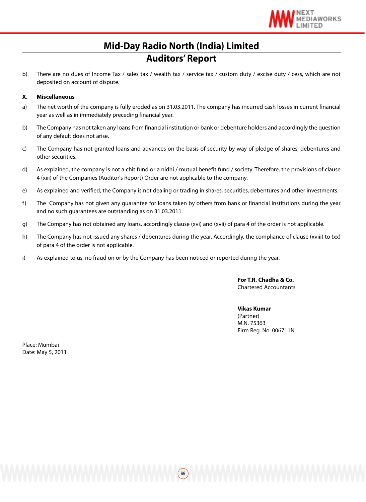### **Mid-Day Radio North (India) Limited Auditors' Report**

b) There are no dues of Income Tax / sales tax / wealth tax / service tax / custom duty / excise duty / cess, which are not deposited on account of dispute.

### **X. Miscellaneous**

- a) The net worth of the company is fully eroded as on 31.03.2011. The company has incurred cash losses in current financial year as well as in immediately preceding financial year.
- b) The Company has not taken any loans from financial institution or bank or debenture holders and accordingly the question of any default does not arise.
- c) The Company has not granted loans and advances on the basis of security by way of pledge of shares, debentures and other securities.
- d) As explained, the company is not a chit fund or a nidhi / mutual benefit fund / society. Therefore, the provisions of clause 4 (xiii) of the Companies (Auditor's Report) Order are not applicable to the company.
- e) As explained and verified, the Company is not dealing or trading in shares, securities, debentures and other investments.
- f) The Company has not given any guarantee for loans taken by others from bank or financial institutions during the year and no such guarantees are outstanding as on 31.03.2011.
- g) The Company has not obtained any loans, accordingly clause (xvi) and (xvii) of para 4 of the order is not applicable.
- h) The Company has not issued any shares / debentures during the year. Accordingly, the compliance of clause (xviii) to (xx) of para 4 of the order is not applicable.
- i) As explained to us, no fraud on or by the Company has been noticed or reported during the year.

### **For T.R. Chadha & Co.** Chartered Accountants

### **Vikas Kumar**

(Partner) M.N. 75363 Firm Reg. No. 006711N

Place: Mumbai Date: May 5, 2011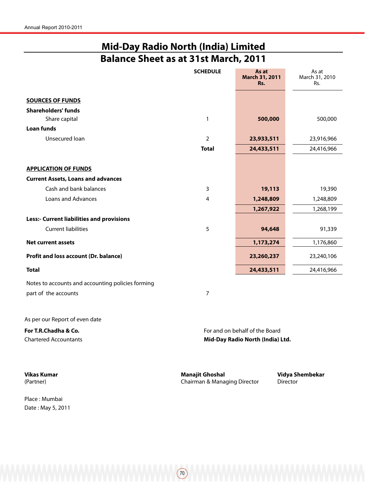### **Mid-Day Radio North (India) Limited Balance Sheet as at 31st March, 2011**

|                                                   | <b>SCHEDULE</b> | As at<br>March 31, 2011<br>Rs. | As at<br>March 31, 2010<br>Rs. |
|---------------------------------------------------|-----------------|--------------------------------|--------------------------------|
| <b>SOURCES OF FUNDS</b>                           |                 |                                |                                |
| <b>Shareholders' funds</b>                        |                 |                                |                                |
| Share capital                                     | 1               | 500,000                        | 500,000                        |
| <b>Loan funds</b>                                 |                 |                                |                                |
| Unsecured loan                                    | $\overline{2}$  | 23,933,511                     | 23,916,966                     |
|                                                   | <b>Total</b>    | 24,433,511                     | 24,416,966                     |
|                                                   |                 |                                |                                |
| <b>APPLICATION OF FUNDS</b>                       |                 |                                |                                |
| <b>Current Assets, Loans and advances</b>         |                 |                                |                                |
| Cash and bank balances                            | 3               | 19,113                         | 19,390                         |
| Loans and Advances                                | $\overline{4}$  | 1,248,809                      | 1,248,809                      |
|                                                   |                 | 1,267,922                      | 1,268,199                      |
| <b>Less:- Current liabilities and provisions</b>  |                 |                                |                                |
| <b>Current liabilities</b>                        | 5               | 94,648                         | 91,339                         |
| <b>Net current assets</b>                         |                 | 1,173,274                      | 1,176,860                      |
| Profit and loss account (Dr. balance)             |                 | 23,260,237                     | 23,240,106                     |
| <b>Total</b>                                      |                 | 24,433,511                     | 24,416,966                     |
| Notes to accounts and accounting policies forming |                 |                                |                                |
| part of the accounts                              | 7               |                                |                                |

As per our Report of even date

**For T.R.Chadha & Co. For and on behalf of the Board** Chartered Accountants **Mid-Day Radio North (India) Ltd.**

Place : Mumbai Date : May 5, 2011

**Vikas Kumar Manajit Ghoshal Vidya Shembekar**  Chairman & Managing Director

70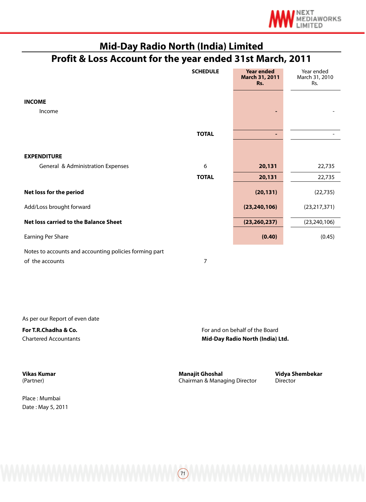

# **Mid-Day Radio North (India) Limited Profit & Loss Account for the year ended 31st March, 2011**

|                                                        | <b>SCHEDULE</b> | <b>Year ended</b><br>March 31, 2011<br>Rs. | Year ended<br>March 31, 2010<br>Rs. |
|--------------------------------------------------------|-----------------|--------------------------------------------|-------------------------------------|
| <b>INCOME</b>                                          |                 |                                            |                                     |
| Income                                                 |                 |                                            |                                     |
|                                                        |                 |                                            |                                     |
|                                                        | <b>TOTAL</b>    | -                                          |                                     |
| <b>EXPENDITURE</b>                                     |                 |                                            |                                     |
| General & Administration Expenses                      | 6               | 20,131                                     | 22,735                              |
|                                                        | <b>TOTAL</b>    | 20,131                                     | 22,735                              |
| Net loss for the period                                |                 | (20, 131)                                  | (22, 735)                           |
| Add/Loss brought forward                               |                 | (23, 240, 106)                             | (23, 217, 371)                      |
| <b>Net loss carried to the Balance Sheet</b>           |                 | (23, 260, 237)                             | (23, 240, 106)                      |
| Earning Per Share                                      |                 | (0.40)                                     | (0.45)                              |
| Notes to accounts and accounting policies forming part |                 |                                            |                                     |
| of the accounts                                        | 7               |                                            |                                     |

As per our Report of even date

**For T.R.Chadha & Co. For and on behalf of the Board For and on behalf of the Board** Chartered Accountants **Mid-Day Radio North (India) Ltd.**

Place : Mumbai Date : May 5, 2011

**Vikas Kumar Manajit Ghoshal Vidya Shembekar**  (Partner) **Chairman & Managing Director** Chairman & Managing Director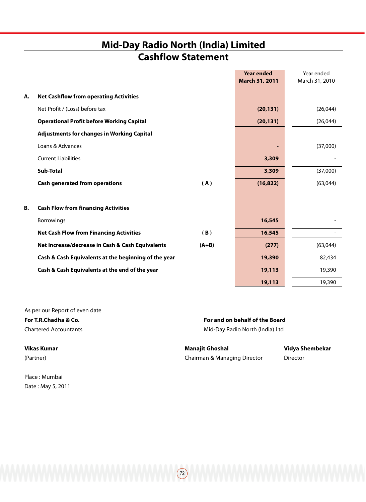# **Mid-Day Radio North (India) Limited Cashflow Statement**

|    |                                                      |         | <b>Year ended</b><br>March 31, 2011 | Year ended<br>March 31, 2010 |
|----|------------------------------------------------------|---------|-------------------------------------|------------------------------|
| А. | <b>Net Cashflow from operating Activities</b>        |         |                                     |                              |
|    | Net Profit / (Loss) before tax                       |         | (20, 131)                           | (26, 044)                    |
|    | <b>Operational Profit before Working Capital</b>     |         | (20, 131)                           | (26, 044)                    |
|    | <b>Adjustments for changes in Working Capital</b>    |         |                                     |                              |
|    | Loans & Advances                                     |         |                                     | (37,000)                     |
|    | <b>Current Liabilities</b>                           |         | 3,309                               |                              |
|    | <b>Sub-Total</b>                                     |         | 3,309                               | (37,000)                     |
|    | <b>Cash generated from operations</b>                | (A)     | (16, 822)                           | (63,044)                     |
| В. | <b>Cash Flow from financing Activities</b>           |         |                                     |                              |
|    | Borrowings                                           |         | 16,545                              |                              |
|    | <b>Net Cash Flow from Financing Activities</b>       | (B)     | 16,545                              |                              |
|    | Net Increase/decrease in Cash & Cash Equivalents     | $(A+B)$ | (277)                               | (63,044)                     |
|    | Cash & Cash Equivalents at the beginning of the year |         | 19,390                              | 82,434                       |
|    | Cash & Cash Equivalents at the end of the year       |         | 19,113                              | 19,390                       |
|    |                                                      |         | 19,113                              | 19,390                       |

72

As per our Report of even date

**For T.R.Chadha & Co. For and on behalf of the Board**

Chartered Accountants **Mid-Day Radio North (India)** Ltd

**Vikas Kumar Nanajit Ghoshal Manajit Ghoshal Nanajit Ghoshal Nanajit Ghoshal Nanajit Ghoshal Nanajit Ghoshal Nanajit Ghoshal Nanajit Ghoshal Nanajit Ghoshal Nanajit Ghoshal Nanajit Ghoshal Nanajit Ghoshal Nanajit Ghoshal N** (Partner) Chairman & Managing Director Director

Place : Mumbai Date : May 5, 2011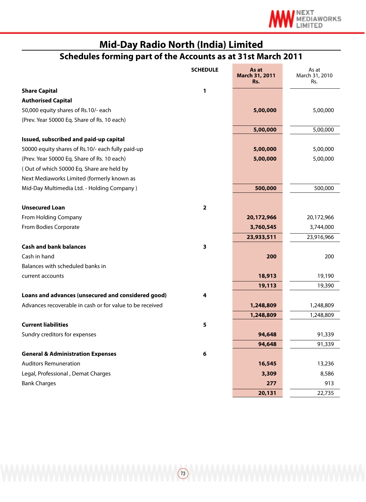

# **Mid-Day Radio North (India) Limited Schedules forming part of the Accounts as at 31st March 2011**

|                                                          | <b>SCHEDULE</b> | As at<br>March 31, 2011<br>Rs. | As at<br>March 31, 2010<br>Rs. |
|----------------------------------------------------------|-----------------|--------------------------------|--------------------------------|
| <b>Share Capital</b>                                     | 1               |                                |                                |
| <b>Authorised Capital</b>                                |                 |                                |                                |
| 50,000 equity shares of Rs.10/- each                     |                 | 5,00,000                       | 5,00,000                       |
| (Prev. Year 50000 Eq. Share of Rs. 10 each)              |                 |                                |                                |
|                                                          |                 | 5,00,000                       | 5,00,000                       |
| Issued, subscribed and paid-up capital                   |                 |                                |                                |
| 50000 equity shares of Rs.10/- each fully paid-up        |                 | 5,00,000                       | 5,00,000                       |
| (Prev. Year 50000 Eq. Share of Rs. 10 each)              |                 | 5,00,000                       | 5,00,000                       |
| (Out of which 50000 Eq. Share are held by                |                 |                                |                                |
| Next Mediaworks Limited (formerly known as               |                 |                                |                                |
| Mid-Day Multimedia Ltd. - Holding Company)               |                 | 500,000                        | 500,000                        |
|                                                          |                 |                                |                                |
| <b>Unsecured Loan</b>                                    | 2               |                                |                                |
| From Holding Company                                     |                 | 20,172,966                     | 20,172,966                     |
| From Bodies Corporate                                    |                 | 3,760,545                      | 3,744,000                      |
|                                                          |                 | 23,933,511                     | 23,916,966                     |
| <b>Cash and bank balances</b>                            | 3               |                                |                                |
| Cash in hand                                             |                 | 200                            | 200                            |
| Balances with scheduled banks in                         |                 |                                |                                |
| current accounts                                         |                 | 18,913                         | 19,190                         |
|                                                          |                 | 19,113                         | 19,390                         |
| Loans and advances (unsecured and considered good)       | 4               |                                |                                |
| Advances recoverable in cash or for value to be received |                 | 1,248,809                      | 1,248,809                      |
|                                                          |                 | 1,248,809                      | 1,248,809                      |
| <b>Current liabilities</b>                               | 5               |                                |                                |
| Sundry creditors for expenses                            |                 | 94,648                         | 91,339                         |
|                                                          |                 | 94,648                         | 91,339                         |
| <b>General &amp; Administration Expenses</b>             | 6               |                                |                                |
| <b>Auditors Remuneration</b>                             |                 | 16,545                         | 13,236                         |
| Legal, Professional, Demat Charges                       |                 | 3,309                          | 8,586                          |
| <b>Bank Charges</b>                                      |                 | 277                            | 913                            |
|                                                          |                 | 20,131                         | 22,735                         |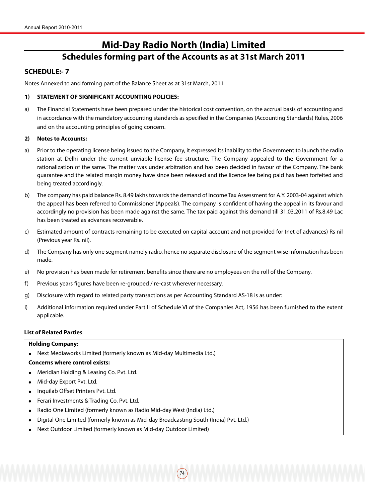# **Mid-Day Radio North (India) Limited**

# **Schedules forming part of the Accounts as at 31st March 2011**

# **SCHEDULE:- 7**

Notes Annexed to and forming part of the Balance Sheet as at 31st March, 2011

### **1) STATEMENT OF SIGNIFICANT ACCOUNTING POLICIES:**

a) The Financial Statements have been prepared under the historical cost convention, on the accrual basis of accounting and in accordance with the mandatory accounting standards as specified in the Companies (Accounting Standards) Rules, 2006 and on the accounting principles of going concern.

### **2) Notes to Accounts:**

- a) Prior to the operating license being issued to the Company, it expressed its inability to the Government to launch the radio station at Delhi under the current unviable license fee structure. The Company appealed to the Government for a rationalization of the same. The matter was under arbitration and has been decided in favour of the Company. The bank guarantee and the related margin money have since been released and the licence fee being paid has been forfeited and being treated accordingly.
- b) The company has paid balance Rs. 8.49 lakhs towards the demand of Income Tax Assessment for A.Y. 2003-04 against which the appeal has been referred to Commissioner (Appeals). The company is confident of having the appeal in its favour and accordingly no provision has been made against the same. The tax paid against this demand till 31.03.2011 of Rs.8.49 Lac has been treated as advances recoverable.
- c) Estimated amount of contracts remaining to be executed on capital account and not provided for (net of advances) Rs nil (Previous year Rs. nil).
- d) The Company has only one segment namely radio, hence no separate disclosure of the segment wise information has been made.
- e) No provision has been made for retirement benefits since there are no employees on the roll of the Company.
- f) Previous years figures have been re-grouped / re-cast wherever necessary.
- g) Disclosure with regard to related party transactions as per Accounting Standard AS-18 is as under:
- i) Additional information required under Part II of Schedule VI of the Companies Act, 1956 has been furnished to the extent applicable.

74

### **List of Related Parties**

### **Holding Company:**

 $\bullet$ Next Mediaworks Limited (formerly known as Mid-day Multimedia Ltd.)

### **Concerns where control exists:**

- Meridian Holding & Leasing Co. Pvt. Ltd.
- $\bullet$ Mid-day Export Pvt. Ltd.
- $\bullet$ Inquilab Offset Printers Pvt. Ltd.
- Ferari Investments & Trading Co. Pvt. Ltd.
- $\bullet$ Radio One Limited (formerly known as Radio Mid-day West (India) Ltd.)
- $\bullet$ Digital One Limited (formerly known as Mid-day Broadcasting South (India) Pvt. Ltd.)
- $\bullet$ Next Outdoor Limited (formerly known as Mid-day Outdoor Limited)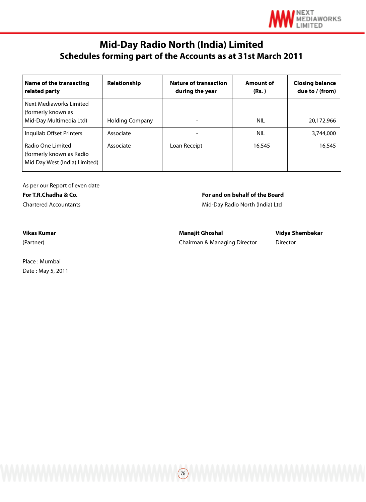

# **Mid-Day Radio North (India) Limited**

# **Schedules forming part of the Accounts as at 31st March 2011**

| Name of the transacting<br>related party                                       | Relationship           | <b>Nature of transaction</b><br>during the year | <b>Amount of</b><br>(Rs.) | <b>Closing balance</b><br>due to / (from) |
|--------------------------------------------------------------------------------|------------------------|-------------------------------------------------|---------------------------|-------------------------------------------|
| Next Mediaworks Limited<br>(formerly known as<br>Mid-Day Multimedia Ltd)       | <b>Holding Company</b> |                                                 | NIL                       | 20,172,966                                |
| Inquilab Offset Printers                                                       | Associate              |                                                 | NIL                       | 3,744,000                                 |
| Radio One Limited<br>(formerly known as Radio<br>Mid Day West (India) Limited) | Associate              | Loan Receipt                                    | 16,545                    | 16,545                                    |

As per our Report of even date

# **For T.R.Chadha & Co. For and on behalf of the Board**

Chartered Accountants **Mid-Day Radio North (India)** Ltd

Place : Mumbai Date : May 5, 2011

Vikas Kumar **Manajit Ghoshal** Manajit Ghoshal Vidya Shembekar (Partner) Chairman & Managing Director Director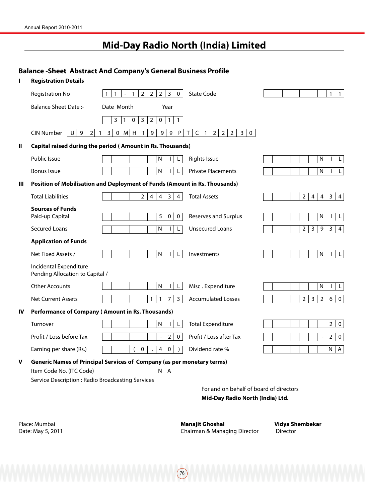# **Mid-Day Radio North (India) Limited**

# **Balance -Sheet Abstract And Company's General Business Profile**

| ı  | <b>Registration Details</b>                               |                                                                                                                                                                                                     |                                                                                        |
|----|-----------------------------------------------------------|-----------------------------------------------------------------------------------------------------------------------------------------------------------------------------------------------------|----------------------------------------------------------------------------------------|
|    | <b>Registration No</b>                                    | $\overline{2}$<br>$\overline{2}$<br>$\overline{2}$<br>$\overline{3}$<br>$\mathbf 0$<br>$\mathbf{1}$<br>$\mathbf{1}$<br><b>State Code</b><br>$\mathbf{1}$<br>$\overline{a}$                          | $\mathbf{1}$<br>1                                                                      |
|    | <b>Balance Sheet Date:-</b>                               | Date Month<br>Year                                                                                                                                                                                  |                                                                                        |
|    |                                                           | 3<br>$\mathbf{1}$<br>$\mathbf 0$<br>3<br>$\overline{2}$<br>$\pmb{0}$<br>$\mathbf{1}$<br>$\mathbf{1}$                                                                                                |                                                                                        |
|    | U<br><b>CIN Number</b><br>9<br>2                          | 9<br>9<br>9<br>${\sf P}$<br>$\mathsf{C}$<br>$\overline{2}$<br>$\mathbf{1}$<br>3<br>$\mathbf 0$<br>M <sub>l</sub><br>H<br>$\mathbf{1}$<br>T<br>$\mathbf{1}$<br>$\overline{2}$<br>$\overline{2}$<br>3 | $\overline{0}$                                                                         |
| Ш  |                                                           | Capital raised during the period (Amount in Rs. Thousands)                                                                                                                                          |                                                                                        |
|    | Public Issue                                              | N<br>L<br><b>Rights Issue</b>                                                                                                                                                                       | N<br>L<br>$\mathbf{I}$                                                                 |
|    | <b>Bonus Issue</b>                                        | N<br><b>Private Placements</b><br>$\mathbf{L}$                                                                                                                                                      | N<br>$\mathsf{L}$<br>Т                                                                 |
| Ш  |                                                           | Position of Mobilisation and Deployment of Funds (Amount in Rs. Thousands)                                                                                                                          |                                                                                        |
|    | <b>Total Liabilities</b>                                  | $\overline{2}$<br>$\overline{4}$<br>$\overline{4}$<br>$\overline{\mathbf{3}}$<br>$\overline{4}$<br><b>Total Assets</b>                                                                              | $\overline{2}$<br>$\overline{4}$<br>$\overline{4}$<br>$\overline{3}$<br>$\overline{4}$ |
|    | <b>Sources of Funds</b>                                   |                                                                                                                                                                                                     |                                                                                        |
|    | Paid-up Capital                                           | 5<br>$\pmb{0}$<br>$\mathbf 0$<br>Reserves and Surplus                                                                                                                                               | N<br>L<br>$\mathbf{I}$                                                                 |
|    | <b>Secured Loans</b>                                      | N<br>$\overline{L}$<br><b>Unsecured Loans</b>                                                                                                                                                       | $\overline{2}$<br>$\overline{3}$<br>9<br>$\overline{3}$<br>$\overline{4}$              |
|    | <b>Application of Funds</b>                               |                                                                                                                                                                                                     |                                                                                        |
|    | Net Fixed Assets /                                        | N<br>$\overline{\mathsf{L}}$<br>Investments                                                                                                                                                         | N<br>L<br>$\mathbf{I}$                                                                 |
|    | Incidental Expenditure<br>Pending Allocation to Capital / |                                                                                                                                                                                                     |                                                                                        |
|    | <b>Other Accounts</b>                                     | ${\sf N}$<br>L<br>Misc. Expenditure                                                                                                                                                                 | Ν<br>T<br>L                                                                            |
|    | <b>Net Current Assets</b>                                 | $\overline{7}$<br>$\overline{3}$<br>$\mathbf{1}$<br>$\mathbf{1}$<br><b>Accumulated Losses</b>                                                                                                       | $\overline{2}$<br>$\overline{3}$<br>6<br>$\overline{2}$<br>$\mathbf 0$                 |
| IV |                                                           | <b>Performance of Company (Amount in Rs. Thousands)</b>                                                                                                                                             |                                                                                        |
|    | Turnover                                                  | N<br>$\mathsf L$<br><b>Total Expenditure</b>                                                                                                                                                        | $\overline{2}$<br>$\mathbf 0$                                                          |
|    | Profit / Loss before Tax                                  | $\overline{2}$<br>$\mathbf 0$<br>Profit / Loss after Tax<br>$\overline{a}$                                                                                                                          | $\overline{2}$<br>0<br>$\overline{\phantom{a}}$                                        |
|    | Earning per share (Rs.)                                   | $\overline{4}$<br>0<br>$\mathbf 0$<br>Dividend rate %<br>$\lambda$                                                                                                                                  | N<br>$\mathsf{A}$                                                                      |
| v  |                                                           | <b>Generic Names of Principal Services of Company (as per monetary terms)</b>                                                                                                                       |                                                                                        |
|    | Item Code No. (ITC Code)                                  | N A                                                                                                                                                                                                 |                                                                                        |
|    | Service Description : Radio Broadcasting Services         |                                                                                                                                                                                                     |                                                                                        |
|    |                                                           |                                                                                                                                                                                                     | For and on behalf of board of directors                                                |
|    |                                                           | Mid-Day Radio North (India) Ltd.                                                                                                                                                                    |                                                                                        |

Place: Mumbai **Manajit Ghoshal Place: Mumbai Place: Mumbai Place: Mumbai Place: Mumbai Place: Mumbai Place: Place: Place: Place: Mumbai Place: Mumbai Place: Mumbai Place: Mumbai Place: Mumbai Place: Mumbai Place: Mumbai Pl** Chairman & Managing Director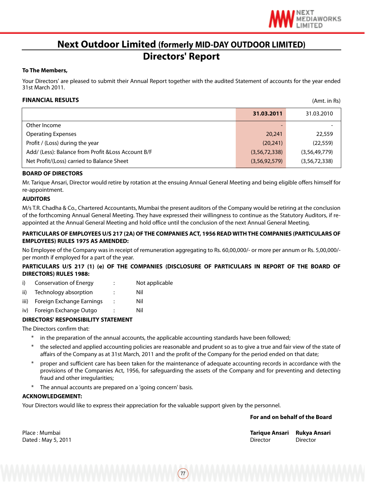(Amt. in Rs)

# **Next Outdoor Limited (formerly MID-DAY OUTDOOR LIMITED) Directors' Report**

### **To The Members,**

Your Directors' are pleased to submit their Annual Report together with the audited Statement of accounts for the year ended 31st March 2011.

### **FINANCIAL RESULTS**

|                                                     | 31.03.2011    | 31.03.2010       |
|-----------------------------------------------------|---------------|------------------|
| Other Income                                        |               |                  |
| <b>Operating Expenses</b>                           | 20,241        | 22,559           |
| Profit / (Loss) during the year                     | (20, 241)     | (22, 559)        |
| Add/ (Less): Balance from Profit & Loss Account B/F | (3,56,72,338) | (3,56,49,779)    |
| Net Profit/(Loss) carried to Balance Sheet          | (3,56,92,579) | (3, 56, 72, 338) |

### **BOARD OF DIRECTORS**

Mr. Tarique Ansari, Director would retire by rotation at the ensuing Annual General Meeting and being eligible offers himself for re-appointment.

### **AUDITORS**

M/s T.R. Chadha & Co., Chartered Accountants, Mumbai the present auditors of the Company would be retiring at the conclusion of the forthcoming Annual General Meeting. They have expressed their willingness to continue as the Statutory Auditors, if reappointed at the Annual General Meeting and hold office until the conclusion of the next Annual General Meeting.

### **PARTICULARS OF EMPLOYEES U/S 217 (2A) OF THE COMPANIES ACT, 1956 READ WITH THE COMPANIES (PARTICULARS OF EMPLOYEES) RULES 1975 AS AMENDED:**

No Employee of the Company was in receipt of remuneration aggregating to Rs. 60,00,000/- or more per annum or Rs. 5,00,000/ per month if employed for a part of the year.

### **PARTICULARS U/S 217 (1) (e) OF THE COMPANIES (DISCLOSURE OF PARTICULARS IN REPORT OF THE BOARD OF DIRECTORS) RULES 1988:**

- i) Conservation of Energy : Not applicable
- ii) Technology absorption : Nil
- iii) Foreign Exchange Earnings : Nil
- iv) Foreign Exchange Outgo : Nil

### **DIRECTORS' RESPONSIBILITY STATEMENT**

The Directors confirm that:

- in the preparation of the annual accounts, the applicable accounting standards have been followed;
- the selected and applied accounting policies are reasonable and prudent so as to give a true and fair view of the state of affairs of the Company as at 31st March, 2011 and the profit of the Company for the period ended on that date;
- proper and sufficient care has been taken for the maintenance of adequate accounting records in accordance with the provisions of the Companies Act, 1956, for safeguarding the assets of the Company and for preventing and detecting fraud and other irregularities;

77

The annual accounts are prepared on a 'going concern' basis.

#### **ACKNOWLEDGEMENT:**

Your Directors would like to express their appreciation for the valuable support given by the personnel.

#### **For and on behalf of the Board**

Place : Mumbai **Tarique Ansari Rukya Ansari** Dated : May 5, 2011 **Director** Director Director Director Director Director Director Director Director Director Director Director Director Director Director Director Director Director Director Director Director Director Di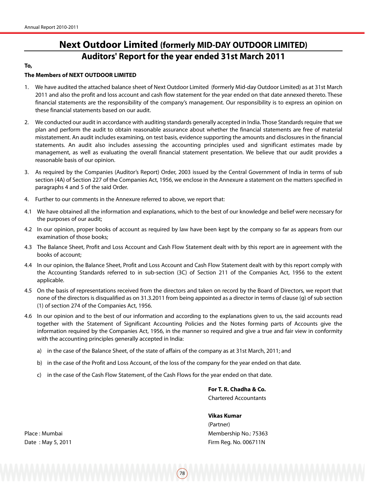# **Next Outdoor Limited (formerly MID-DAY OUTDOOR LIMITED) Auditors' Report for the year ended 31st March 2011**

#### **To,**

### **The Members of NEXT OUTDOOR LIMITED**

- 1. We have audited the attached balance sheet of Next Outdoor Limited (formerly Mid-day Outdoor Limited) as at 31st March 2011 and also the profit and loss account and cash flow statement for the year ended on that date annexed thereto. These financial statements are the responsibility of the company's management. Our responsibility is to express an opinion on these financial statements based on our audit.
- 2. We conducted our audit in accordance with auditing standards generally accepted in India. Those Standards require that we plan and perform the audit to obtain reasonable assurance about whether the financial statements are free of material misstatement. An audit includes examining, on test basis, evidence supporting the amounts and disclosures in the financial statements. An audit also includes assessing the accounting principles used and significant estimates made by management, as well as evaluating the overall financial statement presentation. We believe that our audit provides a reasonable basis of our opinion.
- 3. As required by the Companies (Auditor's Report) Order, 2003 issued by the Central Government of India in terms of sub section (4A) of Section 227 of the Companies Act, 1956, we enclose in the Annexure a statement on the matters specified in paragraphs 4 and 5 of the said Order.
- 4. Further to our comments in the Annexure referred to above, we report that:
- 4.1 We have obtained all the information and explanations, which to the best of our knowledge and belief were necessary for the purposes of our audit;
- 4.2 In our opinion, proper books of account as required by law have been kept by the company so far as appears from our examination of those books;
- 4.3 The Balance Sheet, Profit and Loss Account and Cash Flow Statement dealt with by this report are in agreement with the books of account;
- 4.4 In our opinion, the Balance Sheet, Profit and Loss Account and Cash Flow Statement dealt with by this report comply with the Accounting Standards referred to in sub-section (3C) of Section 211 of the Companies Act, 1956 to the extent applicable.
- 4.5 On the basis of representations received from the directors and taken on record by the Board of Directors, we report that none of the directors is disqualified as on 31.3.2011 from being appointed as a director in terms of clause (g) of sub section (1) of section 274 of the Companies Act, 1956.
- 4.6 In our opinion and to the best of our information and according to the explanations given to us, the said accounts read together with the Statement of Significant Accounting Policies and the Notes forming parts of Accounts give the information required by the Companies Act, 1956, in the manner so required and give a true and fair view in conformity with the accounting principles generally accepted in India:

78

- a) in the case of the Balance Sheet, of the state of affairs of the company as at 31st March, 2011; and
- b) in the case of the Profit and Loss Account, of the loss of the company for the year ended on that date.
- c) in the case of the Cash Flow Statement, of the Cash Flows for the year ended on that date.

# **For T. R. Chadha & Co.**

Chartered Accountants

### **Vikas Kumar**

(Partner) Place : Mumbai Membership No.: 75363 Date : May 5, 2011 **Firm Reg. No. 006711N**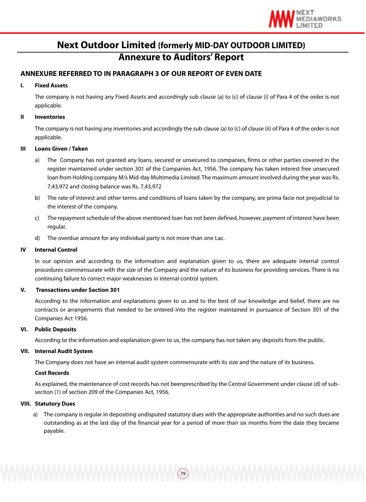# **Next Outdoor Limited (formerly MID-DAY OUTDOOR LIMITED) Annexure to Auditors' Report**

# **ANNEXURE REFERRED TO IN PARAGRAPH 3 OF OUR REPORT OF EVEN DATE**

### **I. Fixed Assets**

The company is not having any Fixed Assets and accordingly sub clause (a) to (c) of clause (i) of Para 4 of the order is not applicable.

### **II Inventories**

The company is not having any inventories and accordingly the sub clause (a) to (c) of clause (ii) of Para 4 of the order is not applicable.

### **III Loans Given / Taken**

- a) The Company has not granted any loans, secured or unsecured to companies, firms or other parties covered in the register maintained under section 301 of the Companies Act, 1956. The company has taken interest free unsecured loan from Holding company M/s Mid-day Multimedia Limited. The maximum amount involved during the year was Rs. 7,43,972 and closing balance was Rs. 7,43,972
- b) The rate of interest and other terms and conditions of loans taken by the company, are prima facie not prejudicial to the interest of the company.
- c) The repayment schedule of the above mentioned loan has not been defined, however, payment of interest have been regular.
- d) The overdue amount for any individual party is not more than one Lac.

### **IV Internal Control**

In our opinion and according to the information and explanation given to us, there are adequate internal control procedures commensurate with the size of the Company and the nature of its business for providing services. There is no continuing failure to correct major weaknesses in internal control system.

### **V. Transactions under Section 301**

According to the information and explanations given to us and to the best of our knowledge and belief, there are no contracts or arrangements that needed to be entered into the register maintained in pursuance of Section 301 of the Companies Act 1956.

### **VI. Public Deposits**

According to the information and explanation given to us, the company has not taken any deposits from the public.

### **VII. Internal Audit System**

The Company does not have an internal audit system commensurate with its size and the nature of its business.

### **Cost Records**

As explained, the maintenance of cost records has not beenprescribed by the Central Government under clause (d) of subsection (1) of section 209 of the Companies Act, 1956.

### **VIII. Statutory Dues**

a) The company is regular in depositing undisputed statutory dues with the appropriate authorities and no such dues are outstanding as at the last day of the financial year for a period of more than six months from the date they became payable.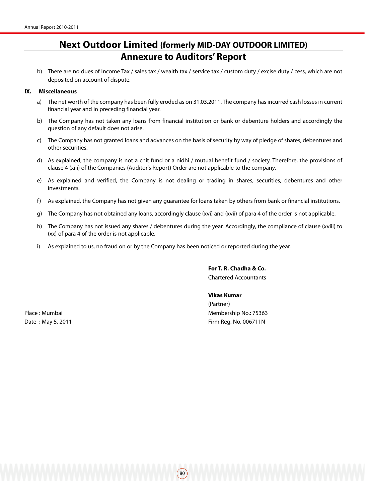# **Next Outdoor Limited (formerly MID-DAY OUTDOOR LIMITED) Annexure to Auditors' Report**

b) There are no dues of Income Tax / sales tax / wealth tax / service tax / custom duty / excise duty / cess, which are not deposited on account of dispute.

#### **IX. Miscellaneous**

- a) The net worth of the company has been fully eroded as on 31.03.2011. The company has incurred cash losses in current financial year and in preceding financial year.
- b) The Company has not taken any loans from financial institution or bank or debenture holders and accordingly the question of any default does not arise.
- c) The Company has not granted loans and advances on the basis of security by way of pledge of shares, debentures and other securities.
- d) As explained, the company is not a chit fund or a nidhi / mutual benefit fund / society. Therefore, the provisions of clause 4 (xiii) of the Companies (Auditor's Report) Order are not applicable to the company.
- e) As explained and verified, the Company is not dealing or trading in shares, securities, debentures and other investments.
- f) As explained, the Company has not given any guarantee for loans taken by others from bank or financial institutions.
- g) The Company has not obtained any loans, accordingly clause (xvi) and (xvii) of para 4 of the order is not applicable.
- h) The Company has not issued any shares / debentures during the year. Accordingly, the compliance of clause (xviii) to (xx) of para 4 of the order is not applicable.
- i) As explained to us, no fraud on or by the Company has been noticed or reported during the year.

**For T. R. Chadha & Co.** Chartered Accountants

**Vikas Kumar** (Partner) Place : Mumbai **Membership No.: 75363** 

Date : May 5, 2011 **Date : May 5, 2011 Firm Reg. No. 006711N**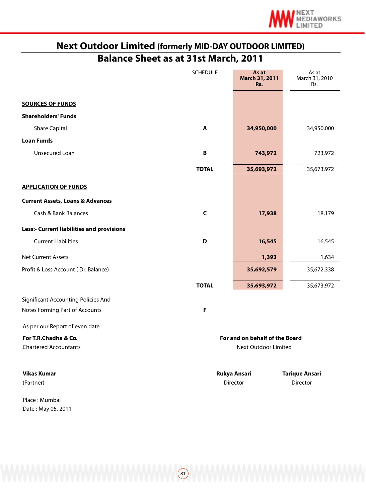

# **Next Outdoor Limited (formerly MID-DAY OUTDOOR LIMITED) Balance Sheet as at 31st March, 2011**

|                                                  | <b>SCHEDULE</b>                | As at<br>March 31, 2011<br>Rs. | As at<br>March 31, 2010<br>Rs. |
|--------------------------------------------------|--------------------------------|--------------------------------|--------------------------------|
| <b>SOURCES OF FUNDS</b>                          |                                |                                |                                |
| <b>Shareholders' Funds</b>                       |                                |                                |                                |
| <b>Share Capital</b>                             | A                              | 34,950,000                     | 34,950,000                     |
| <b>Loan Funds</b>                                |                                |                                |                                |
| Unsecured Loan                                   | B                              | 743,972                        | 723,972                        |
|                                                  | <b>TOTAL</b>                   | 35,693,972                     | 35,673,972                     |
| <b>APPLICATION OF FUNDS</b>                      |                                |                                |                                |
| <b>Current Assets, Loans &amp; Advances</b>      |                                |                                |                                |
| Cash & Bank Balances                             | $\mathsf{C}$                   | 17,938                         | 18,179                         |
| <b>Less:- Current liabilities and provisions</b> |                                |                                |                                |
| <b>Current Liabilities</b>                       | D                              | 16,545                         | 16,545                         |
| <b>Net Current Assets</b>                        |                                | 1,393                          | 1,634                          |
| Profit & Loss Account (Dr. Balance)              |                                | 35,692,579                     | 35,672,338                     |
|                                                  | <b>TOTAL</b>                   | 35,693,972                     | 35,673,972                     |
| <b>Significant Accounting Policies And</b>       |                                |                                |                                |
| Notes Forming Part of Accounts                   | F                              |                                |                                |
| As per our Report of even date                   |                                |                                |                                |
| For T.R.Chadha & Co.                             | For and on behalf of the Board |                                |                                |
| <b>Chartered Accountants</b>                     | Next Outdoor Limited           |                                |                                |
| <b>Vikas Kumar</b>                               |                                | Rukya Ansari                   | <b>Tarique Ansari</b>          |

81

Place : Mumbai Date : May 05, 2011

(Partner) Director Director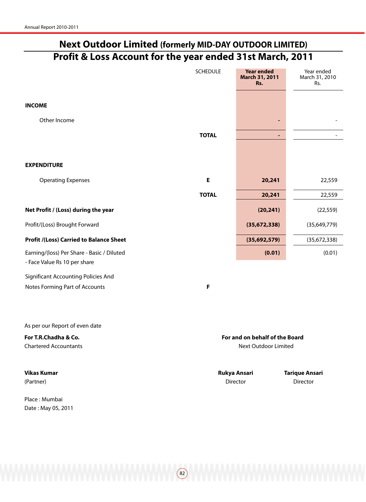# **Next Outdoor Limited (formerly MID-DAY OUTDOOR LIMITED) Profit & Loss Account for the year ended 31st March, 2011**

|                                                                            | <b>SCHEDULE</b> | <b>Year ended</b><br>March 31, 2011<br>Rs. | Year ended<br>March 31, 2010<br>Rs. |
|----------------------------------------------------------------------------|-----------------|--------------------------------------------|-------------------------------------|
| <b>INCOME</b>                                                              |                 |                                            |                                     |
| Other Income                                                               |                 |                                            |                                     |
|                                                                            | <b>TOTAL</b>    | ٠                                          |                                     |
|                                                                            |                 |                                            |                                     |
| <b>EXPENDITURE</b>                                                         |                 |                                            |                                     |
| <b>Operating Expenses</b>                                                  | E               | 20,241                                     | 22,559                              |
|                                                                            | <b>TOTAL</b>    | 20,241                                     | 22,559                              |
| Net Profit / (Loss) during the year                                        |                 | (20, 241)                                  | (22, 559)                           |
| Profit/(Loss) Brought Forward                                              |                 | (35, 672, 338)                             | (35,649,779)                        |
| <b>Profit /(Loss) Carried to Balance Sheet</b>                             |                 | (35,692,579)                               | (35, 672, 338)                      |
| Earning/(loss) Per Share - Basic / Diluted<br>- Face Value Rs 10 per share |                 | (0.01)                                     | (0.01)                              |
| Significant Accounting Policies And                                        |                 |                                            |                                     |
| Notes Forming Part of Accounts                                             | F               |                                            |                                     |
|                                                                            |                 |                                            |                                     |

As per our Report of even date

Chartered Accountants Next Outdoor Limited

(Partner) Director Director

Place : Mumbai Date : May 05, 2011

# **For T.R.Chadha & Co. For and on behalf of the Board**

**Vikas Kumar Rukya Ansari Tarique Ansari**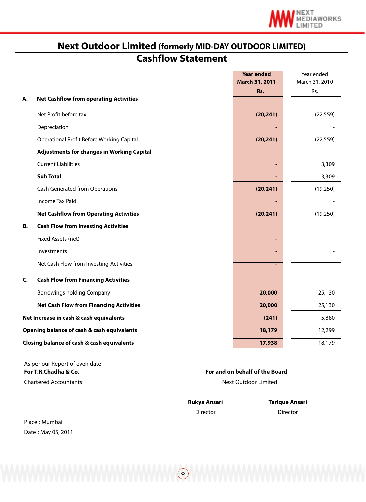

# **Next Outdoor Limited (formerly MID-DAY OUTDOOR LIMITED) Cashflow Statement**

| Rs.<br>Rs.<br><b>Net Cashflow from operating Activities</b><br>А.<br>Net Profit before tax<br>(20, 241)<br>(22, 559)<br>Depreciation<br>Operational Profit Before Working Capital<br>(20, 241)<br>(22, 559)<br><b>Adjustments for changes in Working Capital</b><br><b>Current Liabilities</b><br>3,309<br><b>Sub Total</b><br>3,309<br>۰<br><b>Cash Generated from Operations</b><br>(20, 241)<br>(19,250)<br><b>Income Tax Paid</b><br><b>Net Cashflow from Operating Activities</b><br>(20, 241)<br>(19,250)<br><b>Cash Flow from Investing Activities</b><br>В.<br>Fixed Assets (net)<br>Investments<br>Net Cash Flow from Investing Activities<br><b>Cash Flow from Financing Activities</b><br>C.<br><b>Borrowings holding Company</b><br>20,000<br>25,130<br><b>Net Cash Flow from Financing Activities</b><br>25,130<br>20,000<br>Net Increase in cash & cash equivalents<br>5,880<br>(241)<br>Opening balance of cash & cash equivalents<br>18,179<br>12,299<br>18,179<br><b>Closing balance of cash &amp; cash equivalents</b><br>17,938 |  | <b>Year ended</b> | Year ended     |
|----------------------------------------------------------------------------------------------------------------------------------------------------------------------------------------------------------------------------------------------------------------------------------------------------------------------------------------------------------------------------------------------------------------------------------------------------------------------------------------------------------------------------------------------------------------------------------------------------------------------------------------------------------------------------------------------------------------------------------------------------------------------------------------------------------------------------------------------------------------------------------------------------------------------------------------------------------------------------------------------------------------------------------------------------|--|-------------------|----------------|
|                                                                                                                                                                                                                                                                                                                                                                                                                                                                                                                                                                                                                                                                                                                                                                                                                                                                                                                                                                                                                                                    |  | March 31, 2011    | March 31, 2010 |
|                                                                                                                                                                                                                                                                                                                                                                                                                                                                                                                                                                                                                                                                                                                                                                                                                                                                                                                                                                                                                                                    |  |                   |                |
|                                                                                                                                                                                                                                                                                                                                                                                                                                                                                                                                                                                                                                                                                                                                                                                                                                                                                                                                                                                                                                                    |  |                   |                |
|                                                                                                                                                                                                                                                                                                                                                                                                                                                                                                                                                                                                                                                                                                                                                                                                                                                                                                                                                                                                                                                    |  |                   |                |
|                                                                                                                                                                                                                                                                                                                                                                                                                                                                                                                                                                                                                                                                                                                                                                                                                                                                                                                                                                                                                                                    |  |                   |                |
|                                                                                                                                                                                                                                                                                                                                                                                                                                                                                                                                                                                                                                                                                                                                                                                                                                                                                                                                                                                                                                                    |  |                   |                |
|                                                                                                                                                                                                                                                                                                                                                                                                                                                                                                                                                                                                                                                                                                                                                                                                                                                                                                                                                                                                                                                    |  |                   |                |
|                                                                                                                                                                                                                                                                                                                                                                                                                                                                                                                                                                                                                                                                                                                                                                                                                                                                                                                                                                                                                                                    |  |                   |                |
|                                                                                                                                                                                                                                                                                                                                                                                                                                                                                                                                                                                                                                                                                                                                                                                                                                                                                                                                                                                                                                                    |  |                   |                |
|                                                                                                                                                                                                                                                                                                                                                                                                                                                                                                                                                                                                                                                                                                                                                                                                                                                                                                                                                                                                                                                    |  |                   |                |
|                                                                                                                                                                                                                                                                                                                                                                                                                                                                                                                                                                                                                                                                                                                                                                                                                                                                                                                                                                                                                                                    |  |                   |                |
|                                                                                                                                                                                                                                                                                                                                                                                                                                                                                                                                                                                                                                                                                                                                                                                                                                                                                                                                                                                                                                                    |  |                   |                |
|                                                                                                                                                                                                                                                                                                                                                                                                                                                                                                                                                                                                                                                                                                                                                                                                                                                                                                                                                                                                                                                    |  |                   |                |
|                                                                                                                                                                                                                                                                                                                                                                                                                                                                                                                                                                                                                                                                                                                                                                                                                                                                                                                                                                                                                                                    |  |                   |                |
|                                                                                                                                                                                                                                                                                                                                                                                                                                                                                                                                                                                                                                                                                                                                                                                                                                                                                                                                                                                                                                                    |  |                   |                |
|                                                                                                                                                                                                                                                                                                                                                                                                                                                                                                                                                                                                                                                                                                                                                                                                                                                                                                                                                                                                                                                    |  |                   |                |
|                                                                                                                                                                                                                                                                                                                                                                                                                                                                                                                                                                                                                                                                                                                                                                                                                                                                                                                                                                                                                                                    |  |                   |                |
|                                                                                                                                                                                                                                                                                                                                                                                                                                                                                                                                                                                                                                                                                                                                                                                                                                                                                                                                                                                                                                                    |  |                   |                |
|                                                                                                                                                                                                                                                                                                                                                                                                                                                                                                                                                                                                                                                                                                                                                                                                                                                                                                                                                                                                                                                    |  |                   |                |
|                                                                                                                                                                                                                                                                                                                                                                                                                                                                                                                                                                                                                                                                                                                                                                                                                                                                                                                                                                                                                                                    |  |                   |                |
|                                                                                                                                                                                                                                                                                                                                                                                                                                                                                                                                                                                                                                                                                                                                                                                                                                                                                                                                                                                                                                                    |  |                   |                |
|                                                                                                                                                                                                                                                                                                                                                                                                                                                                                                                                                                                                                                                                                                                                                                                                                                                                                                                                                                                                                                                    |  |                   |                |

As per our Report of even date Chartered Accountants Next Outdoor Limited

#### **For T.R.Chadha & Co. For and on behalf of the Board**

**Rukya Ansari Tarique Ansari**  Director **Director** Director

83

Place : Mumbai Date : May 05, 2011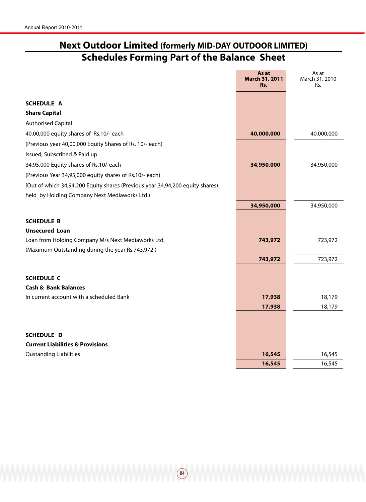# **Next Outdoor Limited (formerly MID-DAY OUTDOOR LIMITED) Schedules Forming Part of the Balance Sheet**

|                                                                               | As at<br>March 31, 2011<br>Rs. | As at<br>March 31, 2010<br>Rs. |
|-------------------------------------------------------------------------------|--------------------------------|--------------------------------|
| <b>SCHEDULE A</b>                                                             |                                |                                |
| <b>Share Capital</b>                                                          |                                |                                |
| <b>Authorised Capital</b>                                                     |                                |                                |
| 40,00,000 equity shares of Rs.10/- each                                       | 40,000,000                     | 40,000,000                     |
| (Previous year 40,00,000 Equity Shares of Rs. 10/- each)                      |                                |                                |
| Issued, Subscribed & Paid up                                                  |                                |                                |
| 34,95,000 Equity shares of Rs.10/-each                                        | 34,950,000                     | 34,950,000                     |
| (Previous Year 34,95,000 equity shares of Rs.10/- each)                       |                                |                                |
| [Out of which 34,94,200 Equity shares (Previous year 34,94,200 equity shares) |                                |                                |
| held by Holding Company Next Mediaworks Ltd.)                                 |                                |                                |
|                                                                               | 34,950,000                     | 34,950,000                     |
|                                                                               |                                |                                |
| <b>SCHEDULE B</b>                                                             |                                |                                |
| <b>Unsecured Loan</b>                                                         |                                |                                |
| Loan from Holding Company M/s Next Mediaworks Ltd.                            | 743,972                        | 723,972                        |
| (Maximum Outstanding during the year Rs.743,972)                              | 743,972                        | 723,972                        |
|                                                                               |                                |                                |
| <b>SCHEDULE C</b>                                                             |                                |                                |
| <b>Cash &amp; Bank Balances</b>                                               |                                |                                |
| In current account with a scheduled Bank                                      | 17,938                         | 18,179                         |
|                                                                               | 17,938                         | 18,179                         |
|                                                                               |                                |                                |
|                                                                               |                                |                                |
| SCHEDULE D                                                                    |                                |                                |
| <b>Current Liabilities &amp; Provisions</b>                                   |                                |                                |
| <b>Oustanding Liabilities</b>                                                 | 16,545                         | 16,545                         |
|                                                                               | 16,545                         | 16,545                         |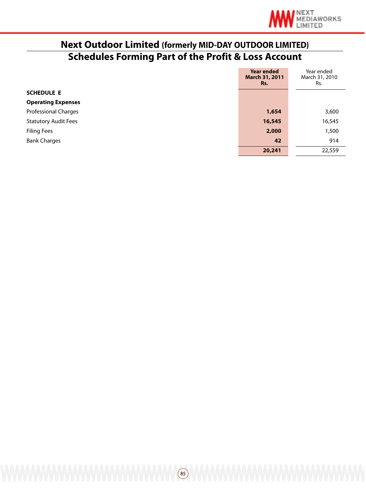

# **Next Outdoor Limited (formerly MID-DAY OUTDOOR LIMITED) Schedules Forming Part of the Profit & Loss Account**

|                             | <b>Year ended</b><br>March 31, 2011<br>Rs. | Year ended<br>March 31, 2010<br>Rs. |
|-----------------------------|--------------------------------------------|-------------------------------------|
| <b>SCHEDULE E</b>           |                                            |                                     |
| <b>Operating Expenses</b>   |                                            |                                     |
| <b>Professional Charges</b> | 1,654                                      | 3,600                               |
| <b>Statutory Audit Fees</b> | 16,545                                     | 16,545                              |
| <b>Filing Fees</b>          | 2,000                                      | 1,500                               |
| <b>Bank Charges</b>         | 42                                         | 914                                 |
|                             | 20,241                                     | 22,559                              |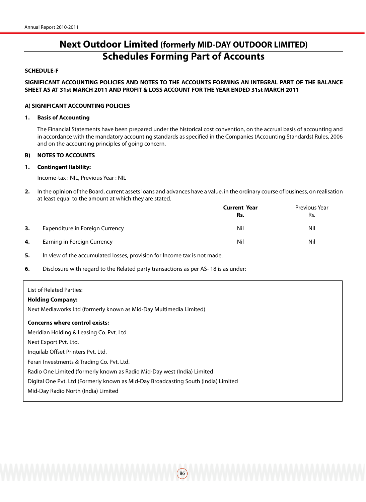# **Next Outdoor Limited (formerly MID-DAY OUTDOOR LIMITED) Schedules Forming Part of Accounts**

### **SCHEDULE-F**

### **SIGNIFICANT ACCOUNTING POLICIES AND NOTES TO THE ACCOUNTS FORMING AN INTEGRAL PART OF THE BALANCE SHEET AS AT 31st MARCH 2011 AND PROFIT & LOSS ACCOUNT FOR THE YEAR ENDED 31st MARCH 2011**

### **A) SIGNIFICANT ACCOUNTING POLICIES**

#### **1. Basis of Accounting**

The Financial Statements have been prepared under the historical cost convention, on the accrual basis of accounting and in accordance with the mandatory accounting standards as specified in the Companies (Accounting Standards) Rules, 2006 and on the accounting principles of going concern.

#### **B) NOTES TO ACCOUNTS**

#### **1. Contingent liability:**

Income-tax : NIL, Previous Year : NIL

**2.** In the opinion of the Board, current assets loans and advances have a value, in the ordinary course of business, on realisation at least equal to the amount at which they are stated.

|    |                                 | <b>Current Year</b> | Previous Year |  |
|----|---------------------------------|---------------------|---------------|--|
|    |                                 | Rs.                 | Rs.           |  |
| 3. | Expenditure in Foreign Currency | Nil                 | Nil           |  |
| 4. | Earning in Foreign Currency     | Nil                 | Nil           |  |

**5.** In view of the accumulated losses, provision for Income tax is not made.

**6.** Disclosure with regard to the Related party transactions as per AS-18 is as under:

| <b>List of Related Parties:</b>                                                    |
|------------------------------------------------------------------------------------|
| <b>Holding Company:</b>                                                            |
| Next Mediaworks Ltd (formerly known as Mid-Day Multimedia Limited)                 |
| <b>Concerns where control exists:</b>                                              |
| Meridian Holding & Leasing Co. Pvt. Ltd.                                           |
| Next Export Pyt. Ltd.                                                              |
| Inquilab Offset Printers Pvt. Ltd.                                                 |
| Ferari Investments & Trading Co. Pvt. Ltd.                                         |
| Radio One Limited (formerly known as Radio Mid-Day west (India) Limited            |
| Digital One Pyt. Ltd (Formerly known as Mid-Day Broadcasting South (India) Limited |
| Mid-Day Radio North (India) Limited                                                |
|                                                                                    |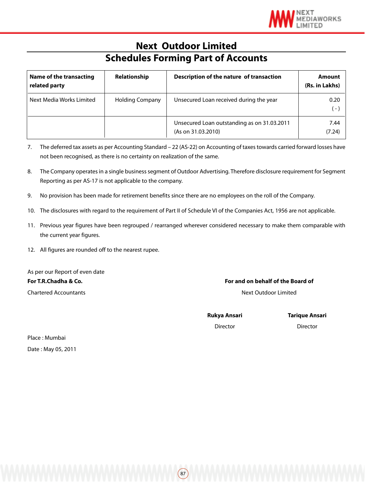

# **Next Outdoor Limited Schedules Forming Part of Accounts**

| Name of the transacting<br>related party | Relationship           | Description of the nature of transaction                          | Amount<br>(Rs. in Lakhs)  |
|------------------------------------------|------------------------|-------------------------------------------------------------------|---------------------------|
| Next Media Works Limited                 | <b>Holding Company</b> | Unsecured Loan received during the year                           | 0.20<br>$\left( -\right)$ |
|                                          |                        | Unsecured Loan outstanding as on 31.03.2011<br>(As on 31.03.2010) | 7.44<br>(7.24)            |

- 7. The deferred tax assets as per Accounting Standard 22 (AS-22) on Accounting of taxes towards carried forward losses have not been recognised, as there is no certainty on realization of the same.
- 8. The Company operates in a single business segment of Outdoor Advertising. Therefore disclosure requirement for Segment Reporting as per AS-17 is not applicable to the company.
- 9. No provision has been made for retirement benefits since there are no employees on the roll of the Company.
- 10. The disclosures with regard to the requirement of Part II of Schedule VI of the Companies Act, 1956 are not applicable.
- 11. Previous year figures have been regrouped / rearranged wherever considered necessary to make them comparable with the current year figures.
- 12. All figures are rounded off to the nearest rupee.

As per our Report of even date **For T.R.Chadha & Co. For and on behalf of the Board of**

Chartered Accountants Next Outdoor Limited

**Rukya Ansari Tarique Ansari** 

Director Director

Place : Mumbai Date : May 05, 2011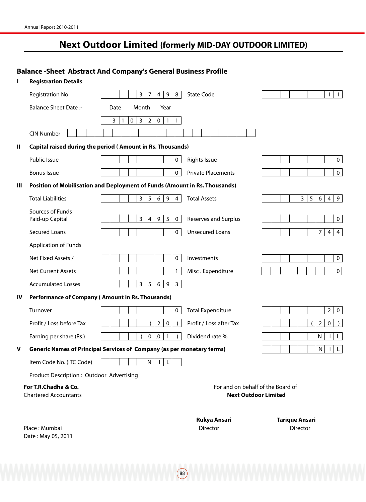# **Next Outdoor Limited (formerly MID-DAY OUTDOOR LIMITED)**

# **Balance -Sheet Abstract And Company's General Business Profile**

| п  | <b>Registration Details</b>                          |                                                                                                                   |                                                          |
|----|------------------------------------------------------|-------------------------------------------------------------------------------------------------------------------|----------------------------------------------------------|
|    | <b>Registration No</b>                               | 9<br>8<br>3<br>$\overline{7}$<br>$\overline{4}$<br><b>State Code</b>                                              | $\mathbf{1}$<br>$\mathbf{1}$                             |
|    | <b>Balance Sheet Date:-</b>                          | Year<br>Date<br>Month                                                                                             |                                                          |
|    |                                                      | $\overline{2}$<br>$\overline{3}$<br>$\mathbf{1}$<br>$\mathbf{1}$<br>$\pmb{0}$<br>$\mathbf 0$<br>3<br>$\mathbf{1}$ |                                                          |
|    | <b>CIN Number</b>                                    |                                                                                                                   |                                                          |
| Ш  |                                                      | Capital raised during the period (Amount in Rs. Thousands)                                                        |                                                          |
|    | Public Issue                                         | $\mathbf 0$<br><b>Rights Issue</b>                                                                                | $\mathbf 0$                                              |
|    | <b>Bonus Issue</b>                                   | $\mathbf 0$<br><b>Private Placements</b>                                                                          | $\mathbf{0}$                                             |
| Ш  |                                                      | Position of Mobilisation and Deployment of Funds (Amount in Rs. Thousands)                                        |                                                          |
|    | <b>Total Liabilities</b>                             | 5<br>$\overline{3}$<br>6<br>9<br>$\overline{4}$<br><b>Total Assets</b>                                            | 5<br>$\overline{3}$<br>$\sqrt{6}$<br>$\overline{4}$<br>9 |
|    | Sources of Funds                                     |                                                                                                                   |                                                          |
|    | Paid-up Capital                                      | $\overline{3}$<br>5<br>$\overline{4}$<br>9<br>$\mathbf 0$<br>Reserves and Surplus                                 | $\mathbf 0$                                              |
|    | <b>Secured Loans</b>                                 | <b>Unsecured Loans</b><br>$\mathbf 0$                                                                             | 7<br>$\overline{a}$<br>$\overline{4}$                    |
|    | <b>Application of Funds</b>                          |                                                                                                                   |                                                          |
|    | Net Fixed Assets /                                   | $\mathbf 0$<br>Investments                                                                                        | $\mathbf 0$                                              |
|    | <b>Net Current Assets</b>                            | $\mathbf{1}$<br>Misc. Expenditure                                                                                 | $\overline{0}$                                           |
|    | <b>Accumulated Losses</b>                            | $\overline{3}$<br>3<br>5<br>9<br>6                                                                                |                                                          |
| IV |                                                      | <b>Performance of Company (Amount in Rs. Thousands)</b>                                                           |                                                          |
|    | Turnover                                             | $\mathbf 0$<br><b>Total Expenditure</b>                                                                           | $\overline{2}$<br>$\mathbf 0$                            |
|    | Profit / Loss before Tax                             | $\overline{2}$<br>Profit / Loss after Tax<br>$\pmb{0}$                                                            | $\overline{2}$<br>$\pmb{0}$<br>$\lambda$                 |
|    | Earning per share (Rs.)                              | $\pmb{0}$<br>Dividend rate %<br>$\boldsymbol{0}$<br>1                                                             | ${\sf N}$<br>L                                           |
| v  |                                                      | Generic Names of Principal Services of Company (as per monetary terms)                                            | N<br>L                                                   |
|    | Item Code No. (ITC Code)                             |                                                                                                                   |                                                          |
|    | Product Description : Outdoor Advertising            |                                                                                                                   |                                                          |
|    | For T.R.Chadha & Co.<br><b>Chartered Accountants</b> | For and on behalf of the Board of<br><b>Next Outdoor Limited</b>                                                  |                                                          |
|    | Place: Mumbai<br>Date: May 05, 2011                  | Rukya Ansari<br>Director                                                                                          | <b>Tarique Ansari</b><br><b>Director</b>                 |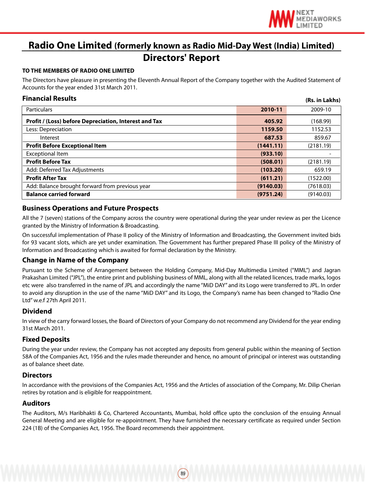**(Rs. in Lakhs)**

# **Radio One Limited (formerly known as Radio Mid-Day West (India) Limited) Directors' Report**

### **TO THE MEMBERS OF RADIO ONE LIMITED**

The Directors have pleasure in presenting the Eleventh Annual Report of the Company together with the Audited Statement of Accounts for the year ended 31st March 2011.

# **Financial Results**

| <b>Particulars</b>                                           | 2010-11   | 2009-10   |
|--------------------------------------------------------------|-----------|-----------|
| <b>Profit / (Loss) before Depreciation, Interest and Tax</b> | 405.92    | (168.99)  |
| Less: Depreciation                                           | 1159.50   | 1152.53   |
| Interest                                                     | 687.53    | 859.67    |
| <b>Profit Before Exceptional Item</b>                        | (1441.11) | (2181.19) |
| <b>Exceptional Item</b>                                      | (933.10)  |           |
| <b>Profit Before Tax</b>                                     | (508.01)  | (2181.19) |
| Add: Deferred Tax Adjustments                                | (103.20)  | 659.19    |
| <b>Profit After Tax</b>                                      | (611.21)  | (1522.00) |
| Add: Balance brought forward from previous year              | (9140.03) | (7618.03) |
| <b>Balance carried forward</b>                               | (9751.24) | (9140.03) |

# **Business Operations and Future Prospects**

All the 7 (seven) stations of the Company across the country were operational during the year under review as per the Licence granted by the Ministry of Information & Broadcasting.

On successful implementation of Phase II policy of the Ministry of Information and Broadcasting, the Government invited bids for 93 vacant slots, which are yet under examination. The Government has further prepared Phase III policy of the Ministry of Information and Broadcasting which is awaited for formal declaration by the Ministry.

# **Change in Name of the Company**

Pursuant to the Scheme of Arrangement between the Holding Company, Mid-Day Multimedia Limited ("MML") and Jagran Prakashan Limited ("JPL"), the entire print and publishing business of MML, along with all the related licences, trade marks, logos etc were also transferred in the name of JPL and accordingly the name "MiD DAY" and its Logo were transferred to JPL. In order to avoid any disruption in the use of the name "MiD DAY" and its Logo, the Company's name has been changed to "Radio One Ltd" w.e.f 27th April 2011.

# **Dividend**

In view of the carry forward losses, the Board of Directors of your Company do not recommend any Dividend for the year ending 31st March 2011.

# **Fixed Deposits**

During the year under review, the Company has not accepted any deposits from general public within the meaning of Section 58A of the Companies Act, 1956 and the rules made thereunder and hence, no amount of principal or interest was outstanding as of balance sheet date.

# **Directors**

In accordance with the provisions of the Companies Act, 1956 and the Articles of association of the Company, Mr. Dilip Cherian retires by rotation and is eligible for reappointment.

# **Auditors**

The Auditors, M/s Haribhakti & Co, Chartered Accountants, Mumbai, hold office upto the conclusion of the ensuing Annual General Meeting and are eligible for re-appointment. They have furnished the necessary certificate as required under Section 224 (1B) of the Companies Act, 1956. The Board recommends their appointment.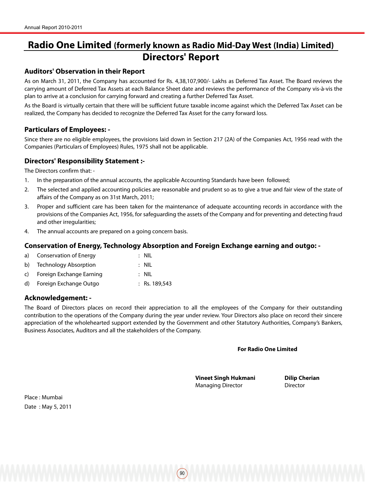# **Radio One Limited (formerly known as Radio Mid-Day West (India) Limited) Directors' Report**

### **Auditors' Observation in their Report**

As on March 31, 2011, the Company has accounted for Rs. 4,38,107,900/- Lakhs as Deferred Tax Asset. The Board reviews the carrying amount of Deferred Tax Assets at each Balance Sheet date and reviews the performance of the Company vis-à-vis the plan to arrive at a conclusion for carrying forward and creating a further Deferred Tax Asset.

As the Board is virtually certain that there will be sufficient future taxable income against which the Deferred Tax Asset can be realized, the Company has decided to recognize the Deferred Tax Asset for the carry forward loss.

# **Particulars of Employees: -**

Since there are no eligible employees, the provisions laid down in Section 217 (2A) of the Companies Act, 1956 read with the Companies (Particulars of Employees) Rules, 1975 shall not be applicable.

# **Directors' Responsibility Statement :-**

The Directors confirm that: -

- 1. In the preparation of the annual accounts, the applicable Accounting Standards have been followed;
- 2. The selected and applied accounting policies are reasonable and prudent so as to give a true and fair view of the state of affairs of the Company as on 31st March, 2011;
- 3. Proper and sufficient care has been taken for the maintenance of adequate accounting records in accordance with the provisions of the Companies Act, 1956, for safeguarding the assets of the Company and for preventing and detecting fraud and other irregularities;
- 4. The annual accounts are prepared on a going concern basis.

### **Conservation of Energy, Technology Absorption and Foreign Exchange earning and outgo: -**

| a) | Conservation of Energy | $:$ NIL |
|----|------------------------|---------|
|----|------------------------|---------|

- b) Technology Absorption : NIL
- c) Foreign Exchange Earning : NIL
- d) Foreign Exchange Outgo : Rs. 189,543

# **Acknowledgement: -**

The Board of Directors places on record their appreciation to all the employees of the Company for their outstanding contribution to the operations of the Company during the year under review. Your Directors also place on record their sincere appreciation of the wholehearted support extended by the Government and other Statutory Authorities, Company's Bankers, Business Associates, Auditors and all the stakeholders of the Company.

90

**For Radio One Limited**

**Vineet Singh Hukmani** Dilip Cherian Managing Director **Director** 

Place : Mumbai Date : May 5, 2011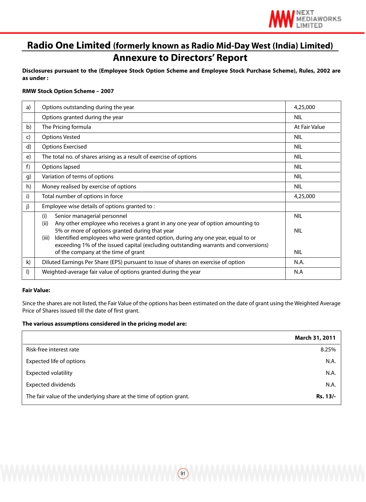

# **Radio One Limited (formerly known as Radio Mid-Day West (India) Limited) Annexure to Directors' Report**

**Disclosures pursuant to the (Employee Stock Option Scheme and Employee Stock Purchase Scheme), Rules, 2002 are as under :**

### **RMW Stock Option Scheme – 2007**

| a)           | Options outstanding during the year                                                                                                                                                                                                                                                                                        | 4,25,000      |
|--------------|----------------------------------------------------------------------------------------------------------------------------------------------------------------------------------------------------------------------------------------------------------------------------------------------------------------------------|---------------|
|              | Options granted during the year                                                                                                                                                                                                                                                                                            | <b>NIL</b>    |
| b)           | The Pricing formula                                                                                                                                                                                                                                                                                                        | At Fair Value |
| $\mathsf{C}$ | <b>Options Vested</b>                                                                                                                                                                                                                                                                                                      | <b>NIL</b>    |
| d)           | <b>Options Exercised</b>                                                                                                                                                                                                                                                                                                   | <b>NIL</b>    |
| e)           | The total no. of shares arising as a result of exercise of options                                                                                                                                                                                                                                                         | <b>NIL</b>    |
| f)           | Options lapsed                                                                                                                                                                                                                                                                                                             | <b>NIL</b>    |
| g)           | Variation of terms of options                                                                                                                                                                                                                                                                                              | NIL           |
| h)           | Money realised by exercise of options                                                                                                                                                                                                                                                                                      | <b>NIL</b>    |
| i)           | Total number of options in force                                                                                                                                                                                                                                                                                           | 4,25,000      |
| j)           | Employee wise details of options granted to:                                                                                                                                                                                                                                                                               |               |
|              | Senior managerial personnel<br>(i)                                                                                                                                                                                                                                                                                         | <b>NIL</b>    |
|              | Any other employee who receives a grant in any one year of option amounting to<br>(ii)<br>5% or more of options granted during that year<br>Identified employees who were granted option, during any one year, equal to or<br>(iii)<br>exceeding 1% of the issued capital (excluding outstanding warrants and conversions) | <b>NIL</b>    |
|              | of the company at the time of grant                                                                                                                                                                                                                                                                                        | <b>NIL</b>    |
| $\mathsf{k}$ | Diluted Earnings Per Share (EPS) pursuant to issue of shares on exercise of option                                                                                                                                                                                                                                         | N.A.          |
| $\vert$      | Weighted-average fair value of options granted during the year                                                                                                                                                                                                                                                             | N.A           |

# **Fair Value:**

Since the shares are not listed, the Fair Value of the options has been estimated on the date of grant using the Weighted Average Price of Shares issued till the date of first grant.

### **The various assumptions considered in the pricing model are:**

|                                                                     | March 31, 2011 |
|---------------------------------------------------------------------|----------------|
| Risk-free interest rate                                             | 8.25%          |
| Expected life of options                                            | N.A.           |
| <b>Expected volatility</b>                                          | N.A.           |
| <b>Expected dividends</b>                                           | N.A.           |
| The fair value of the underlying share at the time of option grant. | Rs. 13/-       |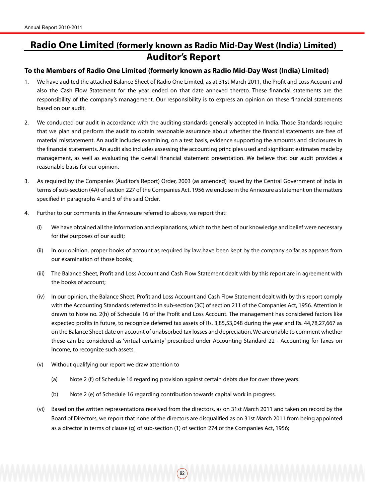# **Radio One Limited (formerly known as Radio Mid-Day West (India) Limited) Auditor's Report**

# **To the Members of Radio One Limited (formerly known as Radio Mid-Day West (India) Limited)**

- 1. We have audited the attached Balance Sheet of Radio One Limited, as at 31st March 2011, the Profit and Loss Account and also the Cash Flow Statement for the year ended on that date annexed thereto. These financial statements are the responsibility of the company's management. Our responsibility is to express an opinion on these financial statements based on our audit.
- 2. We conducted our audit in accordance with the auditing standards generally accepted in India. Those Standards require that we plan and perform the audit to obtain reasonable assurance about whether the financial statements are free of material misstatement. An audit includes examining, on a test basis, evidence supporting the amounts and disclosures in the financial statements. An audit also includes assessing the accounting principles used and significant estimates made by management, as well as evaluating the overall financial statement presentation. We believe that our audit provides a reasonable basis for our opinion.
- 3. As required by the Companies (Auditor's Report) Order, 2003 (as amended) issued by the Central Government of India in terms of sub-section (4A) of section 227 of the Companies Act. 1956 we enclose in the Annexure a statement on the matters specified in paragraphs 4 and 5 of the said Order.
- 4. Further to our comments in the Annexure referred to above, we report that:
	- (i) We have obtained all the information and explanations, which to the best of our knowledge and belief were necessary for the purposes of our audit;
	- (ii) In our opinion, proper books of account as required by law have been kept by the company so far as appears from our examination of those books;
	- (iii) The Balance Sheet, Profit and Loss Account and Cash Flow Statement dealt with by this report are in agreement with the books of account;
	- (iv) In our opinion, the Balance Sheet, Profit and Loss Account and Cash Flow Statement dealt with by this report comply with the Accounting Standards referred to in sub-section (3C) of section 211 of the Companies Act, 1956. Attention is drawn to Note no. 2(h) of Schedule 16 of the Profit and Loss Account. The management has considered factors like expected profits in future, to recognize deferred tax assets of Rs. 3,85,53,048 during the year and Rs. 44,78,27,667 as on the Balance Sheet date on account of unabsorbed tax losses and depreciation. We are unable to comment whether these can be considered as 'virtual certainty' prescribed under Accounting Standard 22 - Accounting for Taxes on Income, to recognize such assets.
	- (v) Without qualifying our report we draw attention to
		- (a) Note 2 (f) of Schedule 16 regarding provision against certain debts due for over three years.
		- (b) Note 2 (e) of Schedule 16 regarding contribution towards capital work in progress.
	- (vi) Based on the written representations received from the directors, as on 31st March 2011 and taken on record by the Board of Directors, we report that none of the directors are disqualified as on 31st March 2011 from being appointed as a director in terms of clause (g) of sub-section (1) of section 274 of the Companies Act, 1956;

 $(92)$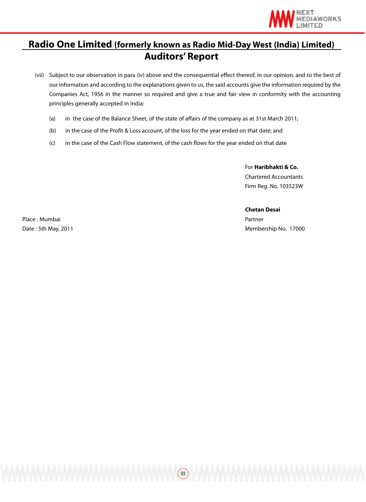

# **Radio One Limited (formerly known as Radio Mid-Day West (India) Limited) Auditors' Report**

- (vii) Subject to our observation in para (iv) above and the consequential effect thereof, in our opinion, and to the best of our information and according to the explanations given to us, the said accounts give the information required by the Companies Act, 1956 in the manner so required and give a true and fair view in conformity with the accounting principles generally accepted in India:
	- (a) in the case of the Balance Sheet, of the state of affairs of the company as at 31st March 2011;
	- (b) in the case of the Profit & Loss account, of the loss for the year ended on that date; and
	- (c) in the case of the Cash Flow statement, of the cash flows for the year ended on that date

For **Haribhakti & Co.** Chartered Accountants Firm Reg. No. 103523W

Place : Mumbai **Partner** Partner Partner Partner Partner Partner Partner Partner Partner Partner Partner Partner

**Chetan Desai** Date : 5th May, 2011 **Membership No. 17000** Date : 5th May, 2011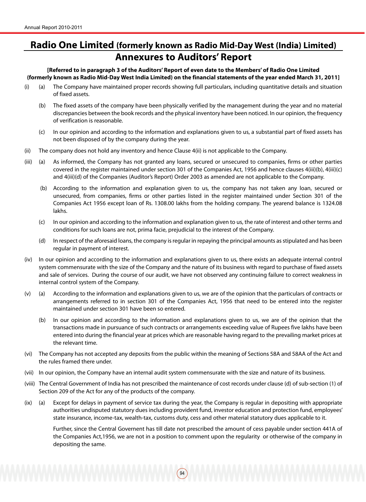# **Radio One Limited (formerly known as Radio Mid-Day West (India) Limited) Annexures to Auditors' Report**

**[Referred to in paragraph 3 of the Auditors' Report of even date to the Members' of Radio One Limited (formerly known as Radio Mid-Day West India Limited) on the financial statements of the year ended March 31, 2011]**

- (i) (a) The Company have maintained proper records showing full particulars, including quantitative details and situation of fixed assets.
	- (b) The fixed assets of the company have been physically verified by the management during the year and no material discrepancies between the book records and the physical inventory have been noticed. In our opinion, the frequency of verification is reasonable.
	- (c) In our opinion and according to the information and explanations given to us, a substantial part of fixed assets has not been disposed of by the company during the year.
- (ii) The company does not hold any inventory and hence Clause 4(ii) is not applicable to the Company.
- (iii) (a) As informed, the Company has not granted any loans, secured or unsecured to companies, firms or other parties covered in the register maintained under section 301 of the Companies Act, 1956 and hence clauses 4(iii)(b), 4(iii)(c) and 4(iii)(d) of the Companies (Auditor's Report) Order 2003 as amended are not applicable to the Company.
	- (b) According to the information and explanation given to us, the company has not taken any loan, secured or unsecured, from companies, firms or other parties listed in the register maintained under Section 301 of the Companies Act 1956 except loan of Rs. 1308.00 lakhs from the holding company. The yearend balance is 1324.08 lakhs.
	- (c) In our opinion and according to the information and explanation given to us, the rate of interest and other terms and conditions for such loans are not, prima facie, prejudicial to the interest of the Company.
	- (d) In respect of the aforesaid loans, the company is regular in repaying the principal amounts as stipulated and has been regular in payment of interest.
- (iv) In our opinion and according to the information and explanations given to us, there exists an adequate internal control system commensurate with the size of the Company and the nature of its business with regard to purchase of fixed assets and sale of services. During the course of our audit, we have not observed any continuing failure to correct weakness in internal control system of the Company.
- (v) (a) According to the information and explanations given to us, we are of the opinion that the particulars of contracts or arrangements referred to in section 301 of the Companies Act, 1956 that need to be entered into the register maintained under section 301 have been so entered.
	- (b) In our opinion and according to the information and explanations given to us, we are of the opinion that the transactions made in pursuance of such contracts or arrangements exceeding value of Rupees five lakhs have been entered into during the financial year at prices which are reasonable having regard to the prevailing market prices at the relevant time.
- (vi) The Company has not accepted any deposits from the public within the meaning of Sections 58A and 58AA of the Act and the rules framed there under.
- (vii) In our opinion, the Company have an internal audit system commensurate with the size and nature of its business.
- (viii) The Central Government of India has not prescribed the maintenance of cost records under clause (d) of sub-section (1) of Section 209 of the Act for any of the products of the company.
- (ix) (a) Except for delays in payment of service tax during the year, the Company is regular in depositing with appropriate authorities undisputed statutory dues including provident fund, investor education and protection fund, employees' state insurance, income-tax, wealth-tax, customs duty, cess and other material statutory dues applicable to it.

 $(94)$ 

Further, since the Central Governent has till date not prescribed the amount of cess payable under section 441A of the Companies Act,1956, we are not in a position to comment upon the regularity or otherwise of the company in depositing the same.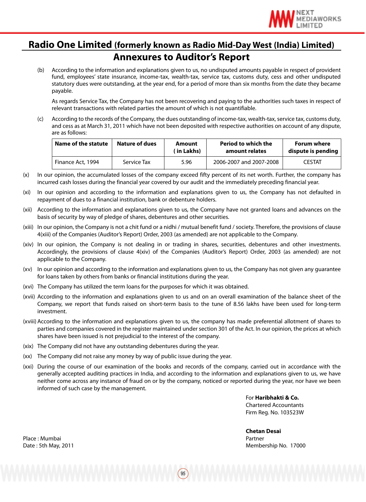

# **Radio One Limited (formerly known as Radio Mid-Day West (India) Limited) Annexures to Auditor's Report**

(b) According to the information and explanations given to us, no undisputed amounts payable in respect of provident fund, employees' state insurance, income-tax, wealth-tax, service tax, customs duty, cess and other undisputed statutory dues were outstanding, at the year end, for a period of more than six months from the date they became payable.

As regards Service Tax, the Company has not been recovering and paying to the authorities such taxes in respect of relevant transactions with related parties the amount of which is not quantifiable.

(c) According to the records of the Company, the dues outstanding of income-tax, wealth-tax, service tax, customs duty, and cess as at March 31, 2011 which have not been deposited with respective authorities on account of any dispute, are as follows:

| Name of the statute | Nature of dues | Amount<br>(in Lakhs) | Period to which the<br>amount relates | <b>Forum</b> where<br>dispute is pending |
|---------------------|----------------|----------------------|---------------------------------------|------------------------------------------|
| Finance Act, 1994   | Service Tax    | 5.96                 | 2006-2007 and 2007-2008               | <b>CESTAT</b>                            |

- (x) In our opinion, the accumulated losses of the company exceed fifty percent of its net worth. Further, the company has incurred cash losses during the financial year covered by our audit and the immediately preceding financial year.
- (xi) In our opinion and according to the information and explanations given to us, the Company has not defaulted in repayment of dues to a financial institution, bank or debenture holders.
- (xii) According to the information and explanations given to us, the Company have not granted loans and advances on the basis of security by way of pledge of shares, debentures and other securities.
- (xiii) In our opinion, the Company is not a chit fund or a nidhi / mutual benefit fund / society. Therefore, the provisions of clause 4(xiii) of the Companies (Auditor's Report) Order, 2003 (as amended) are not applicable to the Company.
- (xiv) In our opinion, the Company is not dealing in or trading in shares, securities, debentures and other investments. Accordingly, the provisions of clause 4(xiv) of the Companies (Auditor's Report) Order, 2003 (as amended) are not applicable to the Company.
- (xv) In our opinion and according to the information and explanations given to us, the Company has not given any guarantee for loans taken by others from banks or financial institutions during the year.
- (xvi) The Company has utilized the term loans for the purposes for which it was obtained.
- (xvii) According to the information and explanations given to us and on an overall examination of the balance sheet of the Company, we report that funds raised on short-term basis to the tune of 8.56 lakhs have been used for long-term investment.
- (xviii) According to the information and explanations given to us, the company has made preferential allotment of shares to parties and companies covered in the register maintained under section 301 of the Act. In our opinion, the prices at which shares have been issued is not prejudicial to the interest of the company.
- (xix) The Company did not have any outstanding debentures during the year.
- (xx) The Company did not raise any money by way of public issue during the year.
- (xxi) During the course of our examination of the books and records of the company, carried out in accordance with the generally accepted auditing practices in India, and according to the information and explanations given to us, we have neither come across any instance of fraud on or by the company, noticed or reported during the year, nor have we been informed of such case by the management.

95

For **Haribhakti & Co.** Chartered Accountants Firm Reg. No. 103523W

**Chetan Desai** Date : 5th May, 2011 **Membership No. 17000** Charles and Membership No. 17000

Place : Mumbai Partner New York 2012 19:00 19:00 19:00 19:00 19:00 19:00 19:00 19:00 19:00 19:00 19:00 19:00 1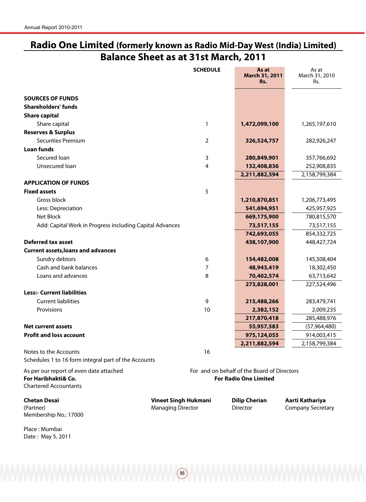# **Radio One Limited (formerly known as Radio Mid-Day West (India) Limited) Balance Sheet as at 31st March, 2011**

|                                                                               | <b>SCHEDULE</b>                                         | As at<br>March 31, 2011<br>Rs.              | As at<br>March 31, 2010<br>Rs.              |
|-------------------------------------------------------------------------------|---------------------------------------------------------|---------------------------------------------|---------------------------------------------|
| <b>SOURCES OF FUNDS</b>                                                       |                                                         |                                             |                                             |
| <b>Shareholders' funds</b>                                                    |                                                         |                                             |                                             |
| <b>Share capital</b>                                                          |                                                         |                                             |                                             |
| Share capital                                                                 | 1                                                       | 1,472,099,100                               | 1,265,197,610                               |
| <b>Reserves &amp; Surplus</b>                                                 |                                                         |                                             |                                             |
| <b>Securities Premium</b>                                                     | 2                                                       | 326,524,757                                 | 282,926,247                                 |
| <b>Loan funds</b>                                                             |                                                         |                                             |                                             |
| Secured loan                                                                  | 3                                                       | 280,849,901                                 | 357,766,692                                 |
| Unsecured loan                                                                | 4                                                       | 132,408,836                                 | 252,908,835                                 |
|                                                                               |                                                         | 2,211,882,594                               | 2,158,799,384                               |
| <b>APPLICATION OF FUNDS</b>                                                   |                                                         |                                             |                                             |
| <b>Fixed assets</b>                                                           | 5                                                       |                                             |                                             |
| Gross block                                                                   |                                                         | 1,210,870,851                               | 1,206,773,495                               |
| Less: Depreciation                                                            |                                                         | 541,694,951                                 | 425,957,925                                 |
| Net Block                                                                     |                                                         | 669,175,900                                 | 780,815,570                                 |
| Add: Capital Work in Progress including Capital Advances                      |                                                         | 73,517,155                                  | 73,517,155                                  |
|                                                                               |                                                         | 742,693,055                                 | 854,332,725                                 |
| <b>Deferred tax asset</b>                                                     |                                                         | 438,107,900                                 | 448,427,724                                 |
| <b>Current assets, loans and advances</b>                                     |                                                         |                                             |                                             |
| Sundry debtors                                                                | 6                                                       | 154,482,008                                 | 145,508,404                                 |
| Cash and bank balances                                                        | 7                                                       | 48,943,419                                  | 18,302,450                                  |
| Loans and advances                                                            | 8                                                       | 70,402,574                                  | 63,713,642                                  |
|                                                                               |                                                         | 273,828,001                                 | 227,524,496                                 |
| <b>Less:- Current liabilities</b>                                             |                                                         |                                             |                                             |
| <b>Current liabilities</b>                                                    | 9                                                       | 215,488,266                                 | 283,479,741                                 |
| Provisions                                                                    | 10                                                      | 2,382,152                                   | 2,009,235                                   |
|                                                                               |                                                         | 217,870,418                                 | 285,488,976                                 |
| <b>Net current assets</b>                                                     |                                                         | 55,957,583                                  | (57,964,480)                                |
| <b>Profit and loss account</b>                                                |                                                         | 975,124,055                                 | 914,003,415                                 |
|                                                                               |                                                         | 2,211,882,594                               | 2,158,799,384                               |
| Notes to the Accounts<br>Schedules 1 to 16 form integral part of the Accounts | 16                                                      |                                             |                                             |
| As per our report of even date attached                                       |                                                         | For and on behalf of the Board of Directors |                                             |
| For Haribhakti& Co.<br><b>Chartered Accountants</b>                           | <b>For Radio One Limited</b>                            |                                             |                                             |
| <b>Chetan Desai</b><br>(Partner)                                              | <b>Vineet Singh Hukmani</b><br><b>Managing Director</b> | <b>Dilip Cherian</b><br>Director            | Aarti Kathariya<br><b>Company Secretary</b> |

96

Membership No.: 17000

Place : Mumbai Date : May 5, 2011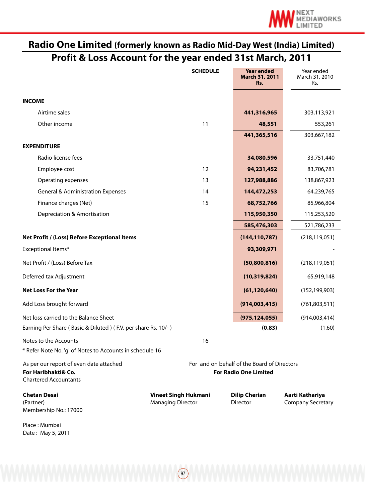

# **Radio One Limited (formerly known as Radio Mid-Day West (India) Limited) Profit & Loss Account for the year ended 31st March, 2011**

|                                                                                                | <b>SCHEDULE</b>                                         | <b>Year ended</b><br>March 31, 2011<br>Rs.                                  | Year ended<br>March 31, 2010<br>Rs.         |
|------------------------------------------------------------------------------------------------|---------------------------------------------------------|-----------------------------------------------------------------------------|---------------------------------------------|
| <b>INCOME</b>                                                                                  |                                                         |                                                                             |                                             |
| Airtime sales                                                                                  |                                                         | 441,316,965                                                                 | 303,113,921                                 |
| Other income                                                                                   | 11                                                      | 48,551                                                                      | 553,261                                     |
|                                                                                                |                                                         | 441,365,516                                                                 | 303,667,182                                 |
| <b>EXPENDITURE</b>                                                                             |                                                         |                                                                             |                                             |
| Radio license fees                                                                             |                                                         | 34,080,596                                                                  | 33,751,440                                  |
| Employee cost                                                                                  | 12                                                      | 94,231,452                                                                  | 83,706,781                                  |
| Operating expenses                                                                             | 13                                                      | 127,988,886                                                                 | 138,867,923                                 |
| <b>General &amp; Administration Expenses</b>                                                   | 14                                                      | 144,472,253                                                                 | 64,239,765                                  |
| Finance charges (Net)                                                                          | 15                                                      | 68,752,766                                                                  | 85,966,804                                  |
| Depreciation & Amortisation                                                                    |                                                         | 115,950,350                                                                 | 115,253,520                                 |
|                                                                                                |                                                         | 585,476,303                                                                 | 521,786,233                                 |
| Net Profit / (Loss) Before Exceptional Items                                                   |                                                         | (144, 110, 787)                                                             | (218, 119, 051)                             |
| Exceptional Items*                                                                             |                                                         | 93,309,971                                                                  |                                             |
| Net Profit / (Loss) Before Tax                                                                 |                                                         | (50,800,816)                                                                | (218, 119, 051)                             |
| Deferred tax Adjustment                                                                        |                                                         | (10, 319, 824)                                                              | 65,919,148                                  |
| <b>Net Loss For the Year</b>                                                                   |                                                         | (61, 120, 640)                                                              | (152, 199, 903)                             |
| Add Loss brought forward                                                                       |                                                         | (914,003,415)                                                               | (761, 803, 511)                             |
| Net loss carried to the Balance Sheet                                                          |                                                         | (975, 124, 055)                                                             | (914,003,414)                               |
| Earning Per Share (Basic & Diluted) (F.V. per share Rs. 10/-)                                  |                                                         | (0.83)                                                                      | (1.60)                                      |
| Notes to the Accounts                                                                          | 16                                                      |                                                                             |                                             |
| * Refer Note No. 'g' of Notes to Accounts in schedule 16                                       |                                                         |                                                                             |                                             |
| As per our report of even date attached<br>For Haribhakti& Co.<br><b>Chartered Accountants</b> |                                                         | For and on behalf of the Board of Directors<br><b>For Radio One Limited</b> |                                             |
| <b>Chetan Desai</b><br>(Partner)<br>Membership No.: 17000                                      | <b>Vineet Singh Hukmani</b><br><b>Managing Director</b> | <b>Dilip Cherian</b><br><b>Director</b>                                     | Aarti Kathariya<br><b>Company Secretary</b> |

Place : Mumbai Date : May 5, 2011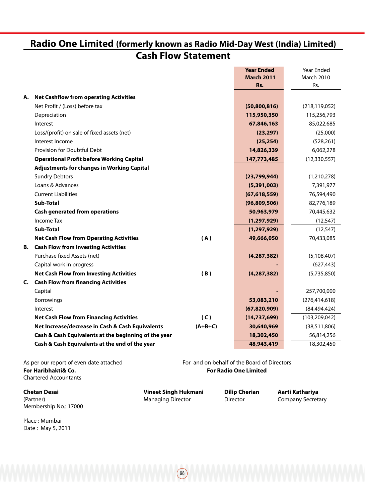# **Radio One Limited (formerly known as Radio Mid-Day West (India) Limited) Cash Flow Statement**

| <b>March 2011</b><br><b>March 2010</b><br>Rs.<br>Rs.<br><b>Net Cashflow from operating Activities</b><br>А.<br>Net Profit / (Loss) before tax<br>(50,800,816)<br>(218, 119, 052)<br>Depreciation<br>115,950,350<br>115,256,793<br>Interest<br>67,846,163<br>85,022,685<br>(23, 297)<br>Loss/(profit) on sale of fixed assets (net)<br>(25,000)<br>Interest Income<br>(25, 254)<br>(528, 261)<br>Provision for Doubtful Debt<br>14,826,339<br>6,062,278<br><b>Operational Profit before Working Capital</b><br>147,773,485<br>(12, 330, 557)<br><b>Adjustments for changes in Working Capital</b><br><b>Sundry Debtors</b><br>(23,799,944)<br>(1,210,278)<br>Loans & Advances<br>(5,391,003)<br>7,391,977<br><b>Current Liabilities</b><br>76,594,490<br>(67, 618, 559)<br>Sub-Total<br>82,776,189<br>(96,809,506)<br><b>Cash generated from operations</b><br>50,963,979<br>70,445,632<br><b>Income Tax</b><br>(1, 297, 929)<br>(12, 547)<br>Sub-Total<br>(1, 297, 929)<br>(12, 547)<br><b>Net Cash Flow from Operating Activities</b><br>(A)<br>70,433,085<br>49,666,050<br><b>Cash Flow from Investing Activities</b><br>В.<br>Purchase fixed Assets (net)<br>(5, 108, 407)<br>(4, 287, 382)<br>Capital work in progress<br>(627, 443)<br><b>Net Cash Flow from Investing Activities</b><br>(B)<br>(4, 287, 382)<br>(5,735,850)<br><b>Cash Flow from financing Activities</b><br>C.<br>Capital<br>257,700,000<br>Borrowings<br>53,083,210<br>(276, 414, 618)<br>Interest<br>(67, 820, 909)<br>(84, 494, 424)<br>(C)<br><b>Net Cash Flow from Financing Activities</b><br>(14, 737, 699)<br>(103, 209, 042)<br>Net Increase/decrease in Cash & Cash Equivalents<br>$(A+B+C)$<br>30,640,969<br>(38,511,806)<br>Cash & Cash Equivalents at the beginning of the year<br>18,302,450<br>56,814,256 |                                                | <b>Year Ended</b> | Year Ended |
|-------------------------------------------------------------------------------------------------------------------------------------------------------------------------------------------------------------------------------------------------------------------------------------------------------------------------------------------------------------------------------------------------------------------------------------------------------------------------------------------------------------------------------------------------------------------------------------------------------------------------------------------------------------------------------------------------------------------------------------------------------------------------------------------------------------------------------------------------------------------------------------------------------------------------------------------------------------------------------------------------------------------------------------------------------------------------------------------------------------------------------------------------------------------------------------------------------------------------------------------------------------------------------------------------------------------------------------------------------------------------------------------------------------------------------------------------------------------------------------------------------------------------------------------------------------------------------------------------------------------------------------------------------------------------------------------------------------------------------------------------------------------------------------------------|------------------------------------------------|-------------------|------------|
|                                                                                                                                                                                                                                                                                                                                                                                                                                                                                                                                                                                                                                                                                                                                                                                                                                                                                                                                                                                                                                                                                                                                                                                                                                                                                                                                                                                                                                                                                                                                                                                                                                                                                                                                                                                                 |                                                |                   |            |
|                                                                                                                                                                                                                                                                                                                                                                                                                                                                                                                                                                                                                                                                                                                                                                                                                                                                                                                                                                                                                                                                                                                                                                                                                                                                                                                                                                                                                                                                                                                                                                                                                                                                                                                                                                                                 |                                                |                   |            |
|                                                                                                                                                                                                                                                                                                                                                                                                                                                                                                                                                                                                                                                                                                                                                                                                                                                                                                                                                                                                                                                                                                                                                                                                                                                                                                                                                                                                                                                                                                                                                                                                                                                                                                                                                                                                 |                                                |                   |            |
|                                                                                                                                                                                                                                                                                                                                                                                                                                                                                                                                                                                                                                                                                                                                                                                                                                                                                                                                                                                                                                                                                                                                                                                                                                                                                                                                                                                                                                                                                                                                                                                                                                                                                                                                                                                                 |                                                |                   |            |
|                                                                                                                                                                                                                                                                                                                                                                                                                                                                                                                                                                                                                                                                                                                                                                                                                                                                                                                                                                                                                                                                                                                                                                                                                                                                                                                                                                                                                                                                                                                                                                                                                                                                                                                                                                                                 |                                                |                   |            |
|                                                                                                                                                                                                                                                                                                                                                                                                                                                                                                                                                                                                                                                                                                                                                                                                                                                                                                                                                                                                                                                                                                                                                                                                                                                                                                                                                                                                                                                                                                                                                                                                                                                                                                                                                                                                 |                                                |                   |            |
|                                                                                                                                                                                                                                                                                                                                                                                                                                                                                                                                                                                                                                                                                                                                                                                                                                                                                                                                                                                                                                                                                                                                                                                                                                                                                                                                                                                                                                                                                                                                                                                                                                                                                                                                                                                                 |                                                |                   |            |
|                                                                                                                                                                                                                                                                                                                                                                                                                                                                                                                                                                                                                                                                                                                                                                                                                                                                                                                                                                                                                                                                                                                                                                                                                                                                                                                                                                                                                                                                                                                                                                                                                                                                                                                                                                                                 |                                                |                   |            |
|                                                                                                                                                                                                                                                                                                                                                                                                                                                                                                                                                                                                                                                                                                                                                                                                                                                                                                                                                                                                                                                                                                                                                                                                                                                                                                                                                                                                                                                                                                                                                                                                                                                                                                                                                                                                 |                                                |                   |            |
|                                                                                                                                                                                                                                                                                                                                                                                                                                                                                                                                                                                                                                                                                                                                                                                                                                                                                                                                                                                                                                                                                                                                                                                                                                                                                                                                                                                                                                                                                                                                                                                                                                                                                                                                                                                                 |                                                |                   |            |
|                                                                                                                                                                                                                                                                                                                                                                                                                                                                                                                                                                                                                                                                                                                                                                                                                                                                                                                                                                                                                                                                                                                                                                                                                                                                                                                                                                                                                                                                                                                                                                                                                                                                                                                                                                                                 |                                                |                   |            |
|                                                                                                                                                                                                                                                                                                                                                                                                                                                                                                                                                                                                                                                                                                                                                                                                                                                                                                                                                                                                                                                                                                                                                                                                                                                                                                                                                                                                                                                                                                                                                                                                                                                                                                                                                                                                 |                                                |                   |            |
|                                                                                                                                                                                                                                                                                                                                                                                                                                                                                                                                                                                                                                                                                                                                                                                                                                                                                                                                                                                                                                                                                                                                                                                                                                                                                                                                                                                                                                                                                                                                                                                                                                                                                                                                                                                                 |                                                |                   |            |
|                                                                                                                                                                                                                                                                                                                                                                                                                                                                                                                                                                                                                                                                                                                                                                                                                                                                                                                                                                                                                                                                                                                                                                                                                                                                                                                                                                                                                                                                                                                                                                                                                                                                                                                                                                                                 |                                                |                   |            |
|                                                                                                                                                                                                                                                                                                                                                                                                                                                                                                                                                                                                                                                                                                                                                                                                                                                                                                                                                                                                                                                                                                                                                                                                                                                                                                                                                                                                                                                                                                                                                                                                                                                                                                                                                                                                 |                                                |                   |            |
|                                                                                                                                                                                                                                                                                                                                                                                                                                                                                                                                                                                                                                                                                                                                                                                                                                                                                                                                                                                                                                                                                                                                                                                                                                                                                                                                                                                                                                                                                                                                                                                                                                                                                                                                                                                                 |                                                |                   |            |
|                                                                                                                                                                                                                                                                                                                                                                                                                                                                                                                                                                                                                                                                                                                                                                                                                                                                                                                                                                                                                                                                                                                                                                                                                                                                                                                                                                                                                                                                                                                                                                                                                                                                                                                                                                                                 |                                                |                   |            |
|                                                                                                                                                                                                                                                                                                                                                                                                                                                                                                                                                                                                                                                                                                                                                                                                                                                                                                                                                                                                                                                                                                                                                                                                                                                                                                                                                                                                                                                                                                                                                                                                                                                                                                                                                                                                 |                                                |                   |            |
|                                                                                                                                                                                                                                                                                                                                                                                                                                                                                                                                                                                                                                                                                                                                                                                                                                                                                                                                                                                                                                                                                                                                                                                                                                                                                                                                                                                                                                                                                                                                                                                                                                                                                                                                                                                                 |                                                |                   |            |
|                                                                                                                                                                                                                                                                                                                                                                                                                                                                                                                                                                                                                                                                                                                                                                                                                                                                                                                                                                                                                                                                                                                                                                                                                                                                                                                                                                                                                                                                                                                                                                                                                                                                                                                                                                                                 |                                                |                   |            |
|                                                                                                                                                                                                                                                                                                                                                                                                                                                                                                                                                                                                                                                                                                                                                                                                                                                                                                                                                                                                                                                                                                                                                                                                                                                                                                                                                                                                                                                                                                                                                                                                                                                                                                                                                                                                 |                                                |                   |            |
|                                                                                                                                                                                                                                                                                                                                                                                                                                                                                                                                                                                                                                                                                                                                                                                                                                                                                                                                                                                                                                                                                                                                                                                                                                                                                                                                                                                                                                                                                                                                                                                                                                                                                                                                                                                                 |                                                |                   |            |
|                                                                                                                                                                                                                                                                                                                                                                                                                                                                                                                                                                                                                                                                                                                                                                                                                                                                                                                                                                                                                                                                                                                                                                                                                                                                                                                                                                                                                                                                                                                                                                                                                                                                                                                                                                                                 |                                                |                   |            |
|                                                                                                                                                                                                                                                                                                                                                                                                                                                                                                                                                                                                                                                                                                                                                                                                                                                                                                                                                                                                                                                                                                                                                                                                                                                                                                                                                                                                                                                                                                                                                                                                                                                                                                                                                                                                 |                                                |                   |            |
|                                                                                                                                                                                                                                                                                                                                                                                                                                                                                                                                                                                                                                                                                                                                                                                                                                                                                                                                                                                                                                                                                                                                                                                                                                                                                                                                                                                                                                                                                                                                                                                                                                                                                                                                                                                                 |                                                |                   |            |
|                                                                                                                                                                                                                                                                                                                                                                                                                                                                                                                                                                                                                                                                                                                                                                                                                                                                                                                                                                                                                                                                                                                                                                                                                                                                                                                                                                                                                                                                                                                                                                                                                                                                                                                                                                                                 |                                                |                   |            |
|                                                                                                                                                                                                                                                                                                                                                                                                                                                                                                                                                                                                                                                                                                                                                                                                                                                                                                                                                                                                                                                                                                                                                                                                                                                                                                                                                                                                                                                                                                                                                                                                                                                                                                                                                                                                 |                                                |                   |            |
|                                                                                                                                                                                                                                                                                                                                                                                                                                                                                                                                                                                                                                                                                                                                                                                                                                                                                                                                                                                                                                                                                                                                                                                                                                                                                                                                                                                                                                                                                                                                                                                                                                                                                                                                                                                                 |                                                |                   |            |
|                                                                                                                                                                                                                                                                                                                                                                                                                                                                                                                                                                                                                                                                                                                                                                                                                                                                                                                                                                                                                                                                                                                                                                                                                                                                                                                                                                                                                                                                                                                                                                                                                                                                                                                                                                                                 |                                                |                   |            |
|                                                                                                                                                                                                                                                                                                                                                                                                                                                                                                                                                                                                                                                                                                                                                                                                                                                                                                                                                                                                                                                                                                                                                                                                                                                                                                                                                                                                                                                                                                                                                                                                                                                                                                                                                                                                 |                                                |                   |            |
|                                                                                                                                                                                                                                                                                                                                                                                                                                                                                                                                                                                                                                                                                                                                                                                                                                                                                                                                                                                                                                                                                                                                                                                                                                                                                                                                                                                                                                                                                                                                                                                                                                                                                                                                                                                                 | Cash & Cash Equivalents at the end of the year | 48,943,419        | 18,302,450 |

For Haribhakti& Co. **For Haribhakti& Co. For Radio One Limited** Chartered Accountants

As per our report of even date attached For and on behalf of the Board of Directors

| Chetan Desai          | <b>Vineet Singh Hukmani</b> | <b>Dilip Cherian</b> | Aarti Kathariya   |
|-----------------------|-----------------------------|----------------------|-------------------|
| (Partner)             | <b>Managing Director</b>    | Director             | Company Secretary |
| Membership No.: 17000 |                             |                      |                   |

98

Place : Mumbai Date : May 5, 2011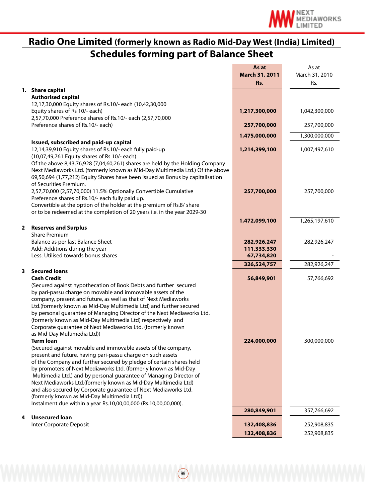

# **Radio One Limited (formerly known as Radio Mid-Day West (India) Limited) Schedules forming part of Balance Sheet**

|   |                                                                                                                                | As at<br><b>March 31, 2011</b><br>Rs. | As at<br>March 31, 2010<br>Rs. |
|---|--------------------------------------------------------------------------------------------------------------------------------|---------------------------------------|--------------------------------|
|   | 1. Share capital                                                                                                               |                                       |                                |
|   | <b>Authorised capital</b>                                                                                                      |                                       |                                |
|   | 12,17,30,000 Equity shares of Rs.10/- each (10,42,30,000                                                                       |                                       |                                |
|   | Equity shares of Rs 10/- each)                                                                                                 | 1,217,300,000                         | 1,042,300,000                  |
|   | 2,57,70,000 Preference shares of Rs.10/- each (2,57,70,000                                                                     |                                       |                                |
|   | Preference shares of Rs.10/- each)                                                                                             | 257,700,000                           | 257,700,000                    |
|   |                                                                                                                                | 1,475,000,000                         | 1,300,000,000                  |
|   | Issued, subscribed and paid-up capital                                                                                         |                                       |                                |
|   | 12,14,39,910 Equity shares of Rs.10/- each fully paid-up<br>(10,07,49,761 Equity shares of Rs 10/- each)                       | 1,214,399,100                         | 1,007,497,610                  |
|   | Of the above 8,43,76,928 (7,04,60,261) shares are held by the Holding Company                                                  |                                       |                                |
|   | Next Mediaworks Ltd. (formerly known as Mid-Day Multimedia Ltd.) Of the above                                                  |                                       |                                |
|   | 69,50,694 (1,77,212) Equity Shares have been issued as Bonus by capitalisation                                                 |                                       |                                |
|   | of Securities Premium.                                                                                                         |                                       |                                |
|   | 2,57,70,000 (2,57,70,000) 11.5% Optionally Convertible Cumulative                                                              | 257,700,000                           | 257,700,000                    |
|   | Preference shares of Rs.10/- each fully paid up.                                                                               |                                       |                                |
|   | Convertible at the option of the holder at the premium of Rs.8/ share                                                          |                                       |                                |
|   | or to be redeemed at the completion of 20 years i.e. in the year 2029-30                                                       |                                       |                                |
|   |                                                                                                                                | 1,472,099,100                         | 1,265,197,610                  |
| 2 | <b>Reserves and Surplus</b><br><b>Share Premium</b>                                                                            |                                       |                                |
|   | Balance as per last Balance Sheet                                                                                              | 282,926,247                           | 282,926,247                    |
|   | Add: Additions during the year                                                                                                 | 111,333,330                           |                                |
|   | Less: Utilised towards bonus shares                                                                                            | 67,734,820                            |                                |
|   |                                                                                                                                | 326,524,757                           | 282,926,247                    |
| 3 | <b>Secured loans</b>                                                                                                           |                                       |                                |
|   | <b>Cash Credit</b>                                                                                                             | 56,849,901                            | 57,766,692                     |
|   | (Secured against hypothecation of Book Debts and further secured                                                               |                                       |                                |
|   | by pari-passu charge on movable and immovable assets of the<br>company, present and future, as well as that of Next Mediaworks |                                       |                                |
|   | Ltd.(formerly known as Mid-Day Multimedia Ltd) and further secured                                                             |                                       |                                |
|   | by personal guarantee of Managing Director of the Next Mediaworks Ltd.                                                         |                                       |                                |
|   | (formerly known as Mid-Day Multimedia Ltd) respectively and                                                                    |                                       |                                |
|   | Corporate guarantee of Next Mediaworks Ltd. (formerly known                                                                    |                                       |                                |
|   | as Mid-Day Multimedia Ltd))                                                                                                    |                                       |                                |
|   | <b>Term loan</b>                                                                                                               | 224,000,000                           | 300,000,000                    |
|   | (Secured against movable and immovable assets of the company,<br>present and future, having pari-passu charge on such assets   |                                       |                                |
|   | of the Company and further secured by pledge of certain shares held                                                            |                                       |                                |
|   | by promoters of Next Mediaworks Ltd. (formerly known as Mid-Day                                                                |                                       |                                |
|   | Multimedia Ltd.) and by personal quarantee of Managing Director of                                                             |                                       |                                |
|   | Next Mediaworks Ltd.(formerly known as Mid-Day Multimedia Ltd)                                                                 |                                       |                                |
|   | and also secured by Corporate guarantee of Next Mediaworks Ltd.                                                                |                                       |                                |
|   | (formerly known as Mid-Day Multimedia Ltd))                                                                                    |                                       |                                |
|   | Instalment due within a year Rs.10,00,00,000 (Rs.10,00,00,000).                                                                | 280,849,901                           | 357,766,692                    |
| 4 | <b>Unsecured loan</b>                                                                                                          |                                       |                                |
|   | Inter Corporate Deposit                                                                                                        | 132,408,836                           | 252,908,835                    |
|   |                                                                                                                                | 132,408,836                           | 252,908,835                    |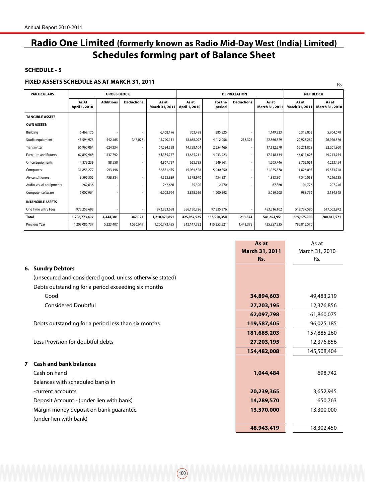# **Radio One Limited (formerly known as Radio Mid-Day West (India) Limited) Schedules forming part of Balance Sheet**

**SCHEDULE - 5**

# **FIXED ASSETS SCHEDULE AS AT MARCH 31, 2011** RS.

| <b>PARTICULARS</b>       | <b>GROSS BLOCK</b>     |                  | <b>DEPRECIATION</b> |                         |                        | <b>NET BLOCK</b>  |                   |                         |                         |                         |
|--------------------------|------------------------|------------------|---------------------|-------------------------|------------------------|-------------------|-------------------|-------------------------|-------------------------|-------------------------|
|                          | As At<br>April 1, 2010 | <b>Additions</b> | <b>Deductions</b>   | As at<br>March 31, 2011 | As at<br>April 1, 2010 | For the<br>period | <b>Deductions</b> | As at<br>March 31, 2011 | As at<br>March 31, 2011 | As at<br>March 31, 2010 |
| <b>TANGIBLE ASSETS</b>   |                        |                  |                     |                         |                        |                   |                   |                         |                         |                         |
| <b>OWN ASSETS:</b>       |                        |                  |                     |                         |                        |                   |                   |                         |                         |                         |
| Building                 | 6,468,176              |                  |                     | 6,468,176               | 763,498                | 385,825           |                   | 1,149,323               | 5,318,853               | 5,704,678               |
| Studio equipment         | 45,594,973             | 542,165          | 347,027             | 45,790,111              | 18,668,097             | 4,412,056         | 213,324           | 22,866,829              | 22,923,282              | 26,926,876              |
| Transmitter              | 66,960,064             | 624,334          |                     | 67,584,398              | 14,758,104             | 2,554,466         |                   | 17,312,570              | 50,271,828              | 52,201,960              |
| Furniture and fixtures   | 62,897,965             | 1,437,792        |                     | 64,335,757              | 13,684,211             | 4,033,923         |                   | 17,718,134              | 46,617,623              | 49,213,754              |
| <b>Office Equipments</b> | 4,879,239              | 88,558           |                     | 4,967,797               | 655,785                | 549,961           |                   | 1,205,746               | 3,762,051               | 4,223,454               |
| Computers                | 31,858,277             | 993,198          |                     | 32,851,475              | 15,984,528             | 5,040,850         |                   | 21,025,378              | 11,826,097              | 15,873,748              |
| Air-conditioners         | 8,595,505              | 758,334          |                     | 9,353,839               | 1,378,970              | 434,831           |                   | 1,813,801               | 7,540,038               | 7,216,535               |
| Audio-visual equipments  | 262,636                |                  |                     | 262,636                 | 55,390                 | 12,470            |                   | 67,860                  | 194,776                 | 207,246                 |
| Computer software        | 6,002,964              |                  |                     | 6,002,964               | 3,818,616              | 1,200,592         |                   | 5,019,208               | 983,756                 | 2,184,348               |
| <b>INTANGIBLE ASSETS</b> |                        |                  |                     |                         |                        |                   |                   |                         |                         |                         |
| One Time Entry Fees      | 973,253,698            |                  |                     | 973,253,698             | 356,190,726            | 97,325,376        |                   | 453,516,102             | 519,737,596             | 617,062,972             |
| <b>Total</b>             | 1,206,773,497          | 4,444,381        | 347,027             | 1,210,870,851           | 425,957,925            | 115,950,350       | 213,324           | 541,694,951             | 669,175,900             | 780,815,571             |
| Previous Year            | 1,203,086,737          | 5,223,407        | 1,536,649           | 1,206,773,495           | 312,147,782            | 115,253,521       | 1,443,378         | 425,957,925             | 780,815,570             |                         |

|                                                          | As at          | As at          |
|----------------------------------------------------------|----------------|----------------|
|                                                          | March 31, 2011 | March 31, 2010 |
|                                                          | Rs.            | Rs.            |
| 6. Sundry Debtors                                        |                |                |
| (unsecured and considered good, unless otherwise stated) |                |                |
| Debts outstanding for a period exceeding six months      |                |                |
| Good                                                     | 34,894,603     | 49,483,219     |
| <b>Considered Doubtful</b>                               | 27,203,195     | 12,376,856     |
|                                                          | 62,097,798     | 61,860,075     |
| Debts outstanding for a period less than six months      | 119,587,405    | 96,025,185     |
|                                                          | 181,685,203    | 157,885,260    |
| Less Provision for doubtful debts                        | 27,203,195     | 12,376,856     |
|                                                          | 154,482,008    | 145,508,404    |
| <b>Cash and bank balances</b><br>7                       |                |                |
| Cash on hand                                             | 1,044,484      | 698,742        |
| Balances with scheduled banks in                         |                |                |
| -current accounts                                        | 20,239,365     | 3,652,945      |
| Deposit Account - (under lien with bank)                 | 14,289,570     | 650,763        |
| Margin money deposit on bank guarantee                   | 13,370,000     | 13,300,000     |
| (under lien with bank)                                   |                |                |
|                                                          | 48,943,419     | 18,302,450     |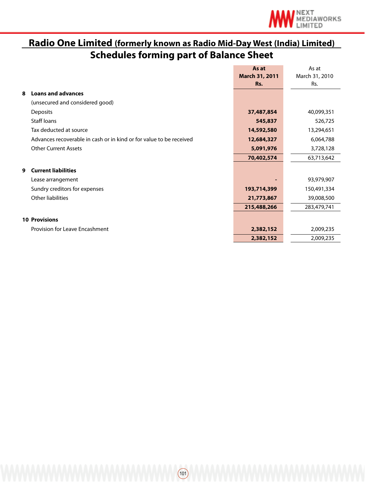

# **Radio One Limited (formerly known as Radio Mid-Day West (India) Limited) Schedules forming part of Balance Sheet**

|   |                                                                     | As at          | As at          |
|---|---------------------------------------------------------------------|----------------|----------------|
|   |                                                                     | March 31, 2011 | March 31, 2010 |
|   |                                                                     | Rs.            | Rs.            |
| 8 | <b>Loans and advances</b>                                           |                |                |
|   | (unsecured and considered good)                                     |                |                |
|   | Deposits                                                            | 37,487,854     | 40,099,351     |
|   | Staff loans                                                         | 545,837        | 526,725        |
|   | Tax deducted at source                                              | 14,592,580     | 13,294,651     |
|   | Advances recoverable in cash or in kind or for value to be received | 12,684,327     | 6,064,788      |
|   | <b>Other Current Assets</b>                                         | 5,091,976      | 3,728,128      |
|   |                                                                     | 70,402,574     | 63,713,642     |
| 9 | <b>Current liabilities</b>                                          |                |                |
|   | Lease arrangement                                                   |                | 93,979,907     |
|   | Sundry creditors for expenses                                       | 193,714,399    | 150,491,334    |
|   | <b>Other liabilities</b>                                            | 21,773,867     | 39,008,500     |
|   |                                                                     | 215,488,266    | 283,479,741    |
|   | <b>10 Provisions</b>                                                |                |                |
|   | Provision for Leave Encashment                                      | 2,382,152      | 2,009,235      |
|   |                                                                     | 2,382,152      | 2,009,235      |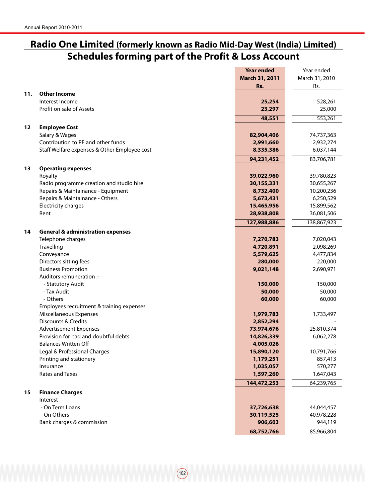# **Radio One Limited (formerly known as Radio Mid-Day West (India) Limited) Schedules forming part of the Profit & Loss Account**

| March 31, 2011<br>March 31, 2010<br>Rs.<br>Rs.<br><b>Other Income</b><br>11.<br>Interest Income<br>528,261<br>25,254<br>Profit on sale of Assets<br>23,297<br>25,000<br>48,551<br>553,261<br>12<br><b>Employee Cost</b><br>Salary & Wages<br>74,737,363<br>82,904,406<br>Contribution to PF and other funds<br>2,991,660<br>2,932,274<br>Staff Welfare expenses & Other Employee cost<br>8,335,386<br>6,037,144<br>83,706,781<br>94,231,452<br>13<br><b>Operating expenses</b><br>Royalty<br>39,022,960<br>39,780,823<br>Radio programme creation and studio hire<br>30,155,331<br>30,655,267<br>Repairs & Maintainance - Equipment<br>8,732,400<br>10,200,236<br>Repairs & Maintainance - Others<br>6,250,529<br>5,673,431<br>Electricity charges<br>15,899,562<br>15,465,956<br>Rent<br>28,938,808<br>36,081,506<br>138,867,923<br>127,988,886<br>14<br><b>General &amp; administration expenses</b><br>Telephone charges<br>7,270,783<br>7,020,043<br>Travelling<br>4,720,891<br>2,098,269<br>Conveyance<br>5,579,625<br>4,477,834<br>Directors sitting fees<br>280,000<br>220,000<br><b>Business Promotion</b><br>9,021,148<br>2,690,971<br>Auditors remuneration :-<br>- Statutory Audit<br>150,000<br>150,000<br>- Tax Audit<br>50,000<br>50,000<br>- Others<br>60,000<br>60,000<br>Employees recruitment & training expenses<br>Miscellaneous Expenses<br>1,979,783<br>1,733,497<br>Discounts & Credits<br>2,852,294<br><b>Advertisement Expenses</b><br>73,974,676<br>25,810,374<br>Provision for bad and doubtful debts<br>14,826,339<br>6,062,278<br><b>Balances Written Off</b><br>4,005,026<br>Legal & Professional Charges<br>15,890,120<br>10,791,766<br>Printing and stationery<br>1,179,251<br>857,413<br>Insurance<br>1,035,057<br>570,277<br>Rates and Taxes<br>1,647,043<br>1,597,260<br>64,239,765<br>144,472,253<br><b>Finance Charges</b><br>15<br>Interest<br>- On Term Loans<br>37,726,638<br>44,044,457<br>- On Others<br>30,119,525<br>40,978,228<br>Bank charges & commission<br>906,603<br>944,119 |  | <b>Year ended</b> | Year ended |
|--------------------------------------------------------------------------------------------------------------------------------------------------------------------------------------------------------------------------------------------------------------------------------------------------------------------------------------------------------------------------------------------------------------------------------------------------------------------------------------------------------------------------------------------------------------------------------------------------------------------------------------------------------------------------------------------------------------------------------------------------------------------------------------------------------------------------------------------------------------------------------------------------------------------------------------------------------------------------------------------------------------------------------------------------------------------------------------------------------------------------------------------------------------------------------------------------------------------------------------------------------------------------------------------------------------------------------------------------------------------------------------------------------------------------------------------------------------------------------------------------------------------------------------------------------------------------------------------------------------------------------------------------------------------------------------------------------------------------------------------------------------------------------------------------------------------------------------------------------------------------------------------------------------------------------------------------------------------------------------------------------------------------------|--|-------------------|------------|
|                                                                                                                                                                                                                                                                                                                                                                                                                                                                                                                                                                                                                                                                                                                                                                                                                                                                                                                                                                                                                                                                                                                                                                                                                                                                                                                                                                                                                                                                                                                                                                                                                                                                                                                                                                                                                                                                                                                                                                                                                                |  |                   |            |
|                                                                                                                                                                                                                                                                                                                                                                                                                                                                                                                                                                                                                                                                                                                                                                                                                                                                                                                                                                                                                                                                                                                                                                                                                                                                                                                                                                                                                                                                                                                                                                                                                                                                                                                                                                                                                                                                                                                                                                                                                                |  |                   |            |
|                                                                                                                                                                                                                                                                                                                                                                                                                                                                                                                                                                                                                                                                                                                                                                                                                                                                                                                                                                                                                                                                                                                                                                                                                                                                                                                                                                                                                                                                                                                                                                                                                                                                                                                                                                                                                                                                                                                                                                                                                                |  |                   |            |
|                                                                                                                                                                                                                                                                                                                                                                                                                                                                                                                                                                                                                                                                                                                                                                                                                                                                                                                                                                                                                                                                                                                                                                                                                                                                                                                                                                                                                                                                                                                                                                                                                                                                                                                                                                                                                                                                                                                                                                                                                                |  |                   |            |
|                                                                                                                                                                                                                                                                                                                                                                                                                                                                                                                                                                                                                                                                                                                                                                                                                                                                                                                                                                                                                                                                                                                                                                                                                                                                                                                                                                                                                                                                                                                                                                                                                                                                                                                                                                                                                                                                                                                                                                                                                                |  |                   |            |
|                                                                                                                                                                                                                                                                                                                                                                                                                                                                                                                                                                                                                                                                                                                                                                                                                                                                                                                                                                                                                                                                                                                                                                                                                                                                                                                                                                                                                                                                                                                                                                                                                                                                                                                                                                                                                                                                                                                                                                                                                                |  |                   |            |
|                                                                                                                                                                                                                                                                                                                                                                                                                                                                                                                                                                                                                                                                                                                                                                                                                                                                                                                                                                                                                                                                                                                                                                                                                                                                                                                                                                                                                                                                                                                                                                                                                                                                                                                                                                                                                                                                                                                                                                                                                                |  |                   |            |
|                                                                                                                                                                                                                                                                                                                                                                                                                                                                                                                                                                                                                                                                                                                                                                                                                                                                                                                                                                                                                                                                                                                                                                                                                                                                                                                                                                                                                                                                                                                                                                                                                                                                                                                                                                                                                                                                                                                                                                                                                                |  |                   |            |
|                                                                                                                                                                                                                                                                                                                                                                                                                                                                                                                                                                                                                                                                                                                                                                                                                                                                                                                                                                                                                                                                                                                                                                                                                                                                                                                                                                                                                                                                                                                                                                                                                                                                                                                                                                                                                                                                                                                                                                                                                                |  |                   |            |
|                                                                                                                                                                                                                                                                                                                                                                                                                                                                                                                                                                                                                                                                                                                                                                                                                                                                                                                                                                                                                                                                                                                                                                                                                                                                                                                                                                                                                                                                                                                                                                                                                                                                                                                                                                                                                                                                                                                                                                                                                                |  |                   |            |
|                                                                                                                                                                                                                                                                                                                                                                                                                                                                                                                                                                                                                                                                                                                                                                                                                                                                                                                                                                                                                                                                                                                                                                                                                                                                                                                                                                                                                                                                                                                                                                                                                                                                                                                                                                                                                                                                                                                                                                                                                                |  |                   |            |
|                                                                                                                                                                                                                                                                                                                                                                                                                                                                                                                                                                                                                                                                                                                                                                                                                                                                                                                                                                                                                                                                                                                                                                                                                                                                                                                                                                                                                                                                                                                                                                                                                                                                                                                                                                                                                                                                                                                                                                                                                                |  |                   |            |
|                                                                                                                                                                                                                                                                                                                                                                                                                                                                                                                                                                                                                                                                                                                                                                                                                                                                                                                                                                                                                                                                                                                                                                                                                                                                                                                                                                                                                                                                                                                                                                                                                                                                                                                                                                                                                                                                                                                                                                                                                                |  |                   |            |
|                                                                                                                                                                                                                                                                                                                                                                                                                                                                                                                                                                                                                                                                                                                                                                                                                                                                                                                                                                                                                                                                                                                                                                                                                                                                                                                                                                                                                                                                                                                                                                                                                                                                                                                                                                                                                                                                                                                                                                                                                                |  |                   |            |
|                                                                                                                                                                                                                                                                                                                                                                                                                                                                                                                                                                                                                                                                                                                                                                                                                                                                                                                                                                                                                                                                                                                                                                                                                                                                                                                                                                                                                                                                                                                                                                                                                                                                                                                                                                                                                                                                                                                                                                                                                                |  |                   |            |
|                                                                                                                                                                                                                                                                                                                                                                                                                                                                                                                                                                                                                                                                                                                                                                                                                                                                                                                                                                                                                                                                                                                                                                                                                                                                                                                                                                                                                                                                                                                                                                                                                                                                                                                                                                                                                                                                                                                                                                                                                                |  |                   |            |
|                                                                                                                                                                                                                                                                                                                                                                                                                                                                                                                                                                                                                                                                                                                                                                                                                                                                                                                                                                                                                                                                                                                                                                                                                                                                                                                                                                                                                                                                                                                                                                                                                                                                                                                                                                                                                                                                                                                                                                                                                                |  |                   |            |
|                                                                                                                                                                                                                                                                                                                                                                                                                                                                                                                                                                                                                                                                                                                                                                                                                                                                                                                                                                                                                                                                                                                                                                                                                                                                                                                                                                                                                                                                                                                                                                                                                                                                                                                                                                                                                                                                                                                                                                                                                                |  |                   |            |
|                                                                                                                                                                                                                                                                                                                                                                                                                                                                                                                                                                                                                                                                                                                                                                                                                                                                                                                                                                                                                                                                                                                                                                                                                                                                                                                                                                                                                                                                                                                                                                                                                                                                                                                                                                                                                                                                                                                                                                                                                                |  |                   |            |
|                                                                                                                                                                                                                                                                                                                                                                                                                                                                                                                                                                                                                                                                                                                                                                                                                                                                                                                                                                                                                                                                                                                                                                                                                                                                                                                                                                                                                                                                                                                                                                                                                                                                                                                                                                                                                                                                                                                                                                                                                                |  |                   |            |
|                                                                                                                                                                                                                                                                                                                                                                                                                                                                                                                                                                                                                                                                                                                                                                                                                                                                                                                                                                                                                                                                                                                                                                                                                                                                                                                                                                                                                                                                                                                                                                                                                                                                                                                                                                                                                                                                                                                                                                                                                                |  |                   |            |
|                                                                                                                                                                                                                                                                                                                                                                                                                                                                                                                                                                                                                                                                                                                                                                                                                                                                                                                                                                                                                                                                                                                                                                                                                                                                                                                                                                                                                                                                                                                                                                                                                                                                                                                                                                                                                                                                                                                                                                                                                                |  |                   |            |
|                                                                                                                                                                                                                                                                                                                                                                                                                                                                                                                                                                                                                                                                                                                                                                                                                                                                                                                                                                                                                                                                                                                                                                                                                                                                                                                                                                                                                                                                                                                                                                                                                                                                                                                                                                                                                                                                                                                                                                                                                                |  |                   |            |
|                                                                                                                                                                                                                                                                                                                                                                                                                                                                                                                                                                                                                                                                                                                                                                                                                                                                                                                                                                                                                                                                                                                                                                                                                                                                                                                                                                                                                                                                                                                                                                                                                                                                                                                                                                                                                                                                                                                                                                                                                                |  |                   |            |
|                                                                                                                                                                                                                                                                                                                                                                                                                                                                                                                                                                                                                                                                                                                                                                                                                                                                                                                                                                                                                                                                                                                                                                                                                                                                                                                                                                                                                                                                                                                                                                                                                                                                                                                                                                                                                                                                                                                                                                                                                                |  |                   |            |
|                                                                                                                                                                                                                                                                                                                                                                                                                                                                                                                                                                                                                                                                                                                                                                                                                                                                                                                                                                                                                                                                                                                                                                                                                                                                                                                                                                                                                                                                                                                                                                                                                                                                                                                                                                                                                                                                                                                                                                                                                                |  |                   |            |
|                                                                                                                                                                                                                                                                                                                                                                                                                                                                                                                                                                                                                                                                                                                                                                                                                                                                                                                                                                                                                                                                                                                                                                                                                                                                                                                                                                                                                                                                                                                                                                                                                                                                                                                                                                                                                                                                                                                                                                                                                                |  |                   |            |
|                                                                                                                                                                                                                                                                                                                                                                                                                                                                                                                                                                                                                                                                                                                                                                                                                                                                                                                                                                                                                                                                                                                                                                                                                                                                                                                                                                                                                                                                                                                                                                                                                                                                                                                                                                                                                                                                                                                                                                                                                                |  |                   |            |
|                                                                                                                                                                                                                                                                                                                                                                                                                                                                                                                                                                                                                                                                                                                                                                                                                                                                                                                                                                                                                                                                                                                                                                                                                                                                                                                                                                                                                                                                                                                                                                                                                                                                                                                                                                                                                                                                                                                                                                                                                                |  |                   |            |
|                                                                                                                                                                                                                                                                                                                                                                                                                                                                                                                                                                                                                                                                                                                                                                                                                                                                                                                                                                                                                                                                                                                                                                                                                                                                                                                                                                                                                                                                                                                                                                                                                                                                                                                                                                                                                                                                                                                                                                                                                                |  |                   |            |
|                                                                                                                                                                                                                                                                                                                                                                                                                                                                                                                                                                                                                                                                                                                                                                                                                                                                                                                                                                                                                                                                                                                                                                                                                                                                                                                                                                                                                                                                                                                                                                                                                                                                                                                                                                                                                                                                                                                                                                                                                                |  |                   |            |
|                                                                                                                                                                                                                                                                                                                                                                                                                                                                                                                                                                                                                                                                                                                                                                                                                                                                                                                                                                                                                                                                                                                                                                                                                                                                                                                                                                                                                                                                                                                                                                                                                                                                                                                                                                                                                                                                                                                                                                                                                                |  |                   |            |
|                                                                                                                                                                                                                                                                                                                                                                                                                                                                                                                                                                                                                                                                                                                                                                                                                                                                                                                                                                                                                                                                                                                                                                                                                                                                                                                                                                                                                                                                                                                                                                                                                                                                                                                                                                                                                                                                                                                                                                                                                                |  |                   |            |
|                                                                                                                                                                                                                                                                                                                                                                                                                                                                                                                                                                                                                                                                                                                                                                                                                                                                                                                                                                                                                                                                                                                                                                                                                                                                                                                                                                                                                                                                                                                                                                                                                                                                                                                                                                                                                                                                                                                                                                                                                                |  |                   |            |
|                                                                                                                                                                                                                                                                                                                                                                                                                                                                                                                                                                                                                                                                                                                                                                                                                                                                                                                                                                                                                                                                                                                                                                                                                                                                                                                                                                                                                                                                                                                                                                                                                                                                                                                                                                                                                                                                                                                                                                                                                                |  |                   |            |
|                                                                                                                                                                                                                                                                                                                                                                                                                                                                                                                                                                                                                                                                                                                                                                                                                                                                                                                                                                                                                                                                                                                                                                                                                                                                                                                                                                                                                                                                                                                                                                                                                                                                                                                                                                                                                                                                                                                                                                                                                                |  |                   |            |
|                                                                                                                                                                                                                                                                                                                                                                                                                                                                                                                                                                                                                                                                                                                                                                                                                                                                                                                                                                                                                                                                                                                                                                                                                                                                                                                                                                                                                                                                                                                                                                                                                                                                                                                                                                                                                                                                                                                                                                                                                                |  |                   |            |
|                                                                                                                                                                                                                                                                                                                                                                                                                                                                                                                                                                                                                                                                                                                                                                                                                                                                                                                                                                                                                                                                                                                                                                                                                                                                                                                                                                                                                                                                                                                                                                                                                                                                                                                                                                                                                                                                                                                                                                                                                                |  |                   |            |
|                                                                                                                                                                                                                                                                                                                                                                                                                                                                                                                                                                                                                                                                                                                                                                                                                                                                                                                                                                                                                                                                                                                                                                                                                                                                                                                                                                                                                                                                                                                                                                                                                                                                                                                                                                                                                                                                                                                                                                                                                                |  |                   |            |
|                                                                                                                                                                                                                                                                                                                                                                                                                                                                                                                                                                                                                                                                                                                                                                                                                                                                                                                                                                                                                                                                                                                                                                                                                                                                                                                                                                                                                                                                                                                                                                                                                                                                                                                                                                                                                                                                                                                                                                                                                                |  |                   |            |
|                                                                                                                                                                                                                                                                                                                                                                                                                                                                                                                                                                                                                                                                                                                                                                                                                                                                                                                                                                                                                                                                                                                                                                                                                                                                                                                                                                                                                                                                                                                                                                                                                                                                                                                                                                                                                                                                                                                                                                                                                                |  |                   |            |
|                                                                                                                                                                                                                                                                                                                                                                                                                                                                                                                                                                                                                                                                                                                                                                                                                                                                                                                                                                                                                                                                                                                                                                                                                                                                                                                                                                                                                                                                                                                                                                                                                                                                                                                                                                                                                                                                                                                                                                                                                                |  |                   |            |
|                                                                                                                                                                                                                                                                                                                                                                                                                                                                                                                                                                                                                                                                                                                                                                                                                                                                                                                                                                                                                                                                                                                                                                                                                                                                                                                                                                                                                                                                                                                                                                                                                                                                                                                                                                                                                                                                                                                                                                                                                                |  |                   |            |
|                                                                                                                                                                                                                                                                                                                                                                                                                                                                                                                                                                                                                                                                                                                                                                                                                                                                                                                                                                                                                                                                                                                                                                                                                                                                                                                                                                                                                                                                                                                                                                                                                                                                                                                                                                                                                                                                                                                                                                                                                                |  |                   |            |
|                                                                                                                                                                                                                                                                                                                                                                                                                                                                                                                                                                                                                                                                                                                                                                                                                                                                                                                                                                                                                                                                                                                                                                                                                                                                                                                                                                                                                                                                                                                                                                                                                                                                                                                                                                                                                                                                                                                                                                                                                                |  |                   |            |
|                                                                                                                                                                                                                                                                                                                                                                                                                                                                                                                                                                                                                                                                                                                                                                                                                                                                                                                                                                                                                                                                                                                                                                                                                                                                                                                                                                                                                                                                                                                                                                                                                                                                                                                                                                                                                                                                                                                                                                                                                                |  |                   |            |
|                                                                                                                                                                                                                                                                                                                                                                                                                                                                                                                                                                                                                                                                                                                                                                                                                                                                                                                                                                                                                                                                                                                                                                                                                                                                                                                                                                                                                                                                                                                                                                                                                                                                                                                                                                                                                                                                                                                                                                                                                                |  | 68,752,766        | 85,966,804 |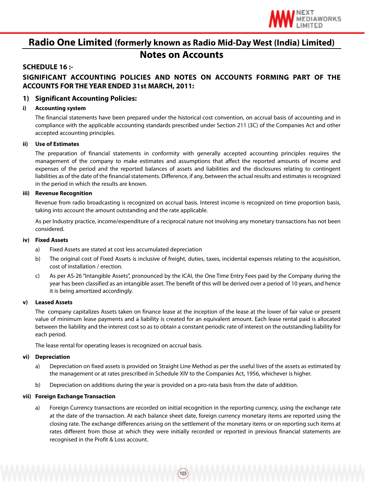

# **SCHEDULE 16 :-**

# **SIGNIFICANT ACCOUNTING POLICIES AND NOTES ON ACCOUNTS FORMING PART OF THE ACCOUNTS FOR THE YEAR ENDED 31st MARCH, 2011:**

# **1) Significant Accounting Policies:**

### **i) Accounting system**

The financial statements have been prepared under the historical cost convention, on accrual basis of accounting and in compliance with the applicable accounting standards prescribed under Section 211 (3C) of the Companies Act and other accepted accounting principles.

### **ii) Use of Estimates**

The preparation of financial statements in conformity with generally accepted accounting principles requires the management of the company to make estimates and assumptions that affect the reported amounts of income and expenses of the period and the reported balances of assets and liabilities and the disclosures relating to contingent liabilities as of the date of the financial statements. Difference, if any, between the actual results and estimates is recognized in the period in which the results are known.

### **iii) Revenue Recognition**

Revenue from radio broadcasting is recognized on accrual basis. Interest income is recognized on time proportion basis, taking into account the amount outstanding and the rate applicable.

As per Industry practice, income/expenditure of a reciprocal nature not involving any monetary transactions has not been considered.

### **iv) Fixed Assets**

- a) Fixed Assets are stated at cost less accumulated depreciation
- b) The original cost of Fixed Assets is inclusive of freight, duties, taxes, incidental expenses relating to the acquisition, cost of installation / erection.
- c) As per AS-26 "Intangible Assets", pronounced by the ICAI, the One Time Entry Fees paid by the Company during the year has been classified as an intangible asset. The benefit of this will be derived over a period of 10 years, and hence it is being amortized accordingly.

### **v) Leased Assets**

The company capitalizes Assets taken on finance lease at the inception of the lease at the lower of fair value or present value of minimum lease payments and a liability is created for an equivalent amount. Each lease rental paid is allocated between the liability and the interest cost so as to obtain a constant periodic rate of interest on the outstanding liability for each period.

The lease rental for operating leases is recognized on accrual basis.

#### **vi) Depreciation**

- a) Depreciation on fixed assets is provided on Straight Line Method as per the useful lives of the assets as estimated by the management or at rates prescribed in Schedule XIV to the Companies Act, 1956, whichever is higher.
- b) Depreciation on additions during the year is provided on a pro-rata basis from the date of addition.

#### **vii) Foreign Exchange Transaction**

a) Foreign Currency transactions are recorded on initial recognition in the reporting currency, using the exchange rate at the date of the transaction. At each balance sheet date, foreign currency monetary items are reported using the closing rate. The exchange differences arising on the settlement of the monetary items or on reporting such items at rates different from those at which they were initially recorded or reported in previous financial statements are recognised in the Profit & Loss account.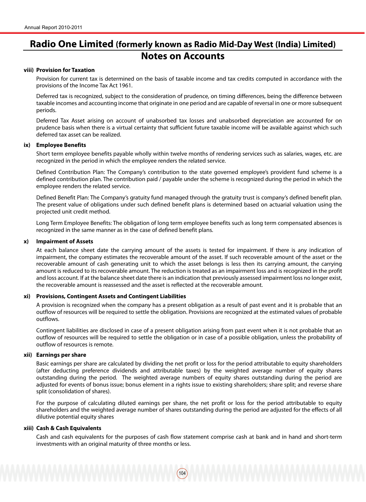#### **viii) Provision for Taxation**

Provision for current tax is determined on the basis of taxable income and tax credits computed in accordance with the provisions of the Income Tax Act 1961.

Deferred tax is recognized, subject to the consideration of prudence, on timing differences, being the difference between taxable incomes and accounting income that originate in one period and are capable of reversal in one or more subsequent periods.

Deferred Tax Asset arising on account of unabsorbed tax losses and unabsorbed depreciation are accounted for on prudence basis when there is a virtual certainty that sufficient future taxable income will be available against which such deferred tax asset can be realized.

#### **ix) Employee Benefits**

Short term employee benefits payable wholly within twelve months of rendering services such as salaries, wages, etc. are recognized in the period in which the employee renders the related service.

Defined Contribution Plan: The Company's contribution to the state governed employee's provident fund scheme is a defined contribution plan. The contribution paid / payable under the scheme is recognized during the period in which the employee renders the related service.

Defined Benefit Plan: The Company's gratuity fund managed through the gratuity trust is company's defined benefit plan. The present value of obligations under such defined benefit plans is determined based on actuarial valuation using the projected unit credit method.

Long Term Employee Benefits: The obligation of long term employee benefits such as long term compensated absences is recognized in the same manner as in the case of defined benefit plans.

#### **x) Impairment of Assets**

At each balance sheet date the carrying amount of the assets is tested for impairment. If there is any indication of impairment, the company estimates the recoverable amount of the asset. If such recoverable amount of the asset or the recoverable amount of cash generating unit to which the asset belongs is less then its carrying amount, the carrying amount is reduced to its recoverable amount. The reduction is treated as an impairment loss and is recognized in the profit and loss account. If at the balance sheet date there is an indication that previously assessed impairment loss no longer exist, the recoverable amount is reassessed and the asset is reflected at the recoverable amount.

#### **xi) Provisions, Contingent Assets and Contingent Liabilities**

A provision is recognized when the company has a present obligation as a result of past event and it is probable that an outflow of resources will be required to settle the obligation. Provisions are recognized at the estimated values of probable outflows.

Contingent liabilities are disclosed in case of a present obligation arising from past event when it is not probable that an outflow of resources will be required to settle the obligation or in case of a possible obligation, unless the probability of outflow of resources is remote.

#### **xii) Earnings per share**

Basic earnings per share are calculated by dividing the net profit or loss for the period attributable to equity shareholders (after deducting preference dividends and attributable taxes) by the weighted average number of equity shares outstanding during the period. The weighted average numbers of equity shares outstanding during the period are adjusted for events of bonus issue; bonus element in a rights issue to existing shareholders; share split; and reverse share split (consolidation of shares).

For the purpose of calculating diluted earnings per share, the net profit or loss for the period attributable to equity shareholders and the weighted average number of shares outstanding during the period are adjusted for the effects of all dilutive potential equity shares

#### **xiii) Cash & Cash Equivalents**

Cash and cash equivalents for the purposes of cash flow statement comprise cash at bank and in hand and short-term investments with an original maturity of three months or less.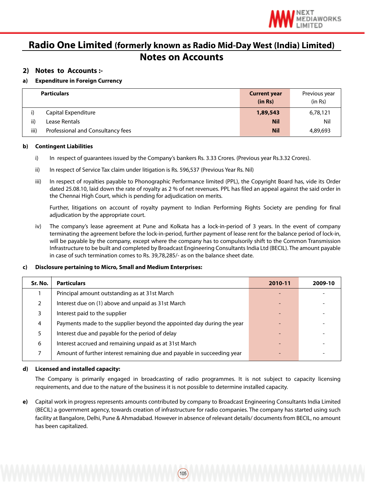

### **2) Notes to Accounts :-**

### **a) Expenditure in Foreign Currency**

|      | <b>Particulars</b>                | <b>Current year</b> | Previous year |
|------|-----------------------------------|---------------------|---------------|
|      |                                   | (in Rs)             | (in Rs)       |
|      | Capital Expenditure               | 1,89,543            | 6,78,121      |
| ii)  | Lease Rentals                     | <b>Nil</b>          | Nil           |
| iii) | Professional and Consultancy fees | <b>Nil</b>          | 4,89,693      |

#### **b) Contingent Liabilities**

- i) In respect of guarantees issued by the Company's bankers Rs. 3.33 Crores. (Previous year Rs.3.32 Crores).
- ii) In respect of Service Tax claim under litigation is Rs. 596,537 (Previous Year Rs. Nil)
- iii) In respect of royalties payable to Phonographic Performance limited (PPL), the Copyright Board has, vide its Order dated 25.08.10, laid down the rate of royalty as 2 % of net revenues. PPL has filed an appeal against the said order in the Chennai High Court, which is pending for adjudication on merits.

Further, litigations on account of royalty payment to Indian Performing Rights Society are pending for final adjudication by the appropriate court.

iv) The company's lease agreement at Pune and Kolkata has a lock-in-period of 3 years. In the event of company terminating the agreement before the lock-in-period, further payment of lease rent for the balance period of lock-in, will be payable by the company, except where the company has to compulsorily shift to the Common Transmission Infrastructure to be built and completed by Broadcast Engineering Consultants India Ltd (BECIL). The amount payable in case of such termination comes to Rs. 39,78,285/- as on the balance sheet date.

#### **c) Disclosure pertaining to Micro, Small and Medium Enterprises:**

| <b>Particulars</b>                                                      | 2010-11 | 2009-10 |
|-------------------------------------------------------------------------|---------|---------|
| Principal amount outstanding as at 31st March                           |         |         |
| Interest due on (1) above and unpaid as 31st March                      |         |         |
| Interest paid to the supplier                                           |         |         |
| Payments made to the supplier beyond the appointed day during the year  |         |         |
| Interest due and payable for the period of delay                        |         |         |
| Interest accrued and remaining unpaid as at 31st March                  |         |         |
| Amount of further interest remaining due and payable in succeeding year |         |         |
|                                                                         |         |         |

#### **d) Licensed and installed capacity:**

The Company is primarily engaged in broadcasting of radio programmes. It is not subject to capacity licensing requirements, and due to the nature of the business it is not possible to determine installed capacity.

**e)** Capital work in progress represents amounts contributed by company to Broadcast Engineering Consultants India Limited (BECIL) a government agency, towards creation of infrastructure for radio companies. The company has started using such facility at Bangalore, Delhi, Pune & Ahmadabad. However in absence of relevant details/ documents from BECIL, no amount has been capitalized.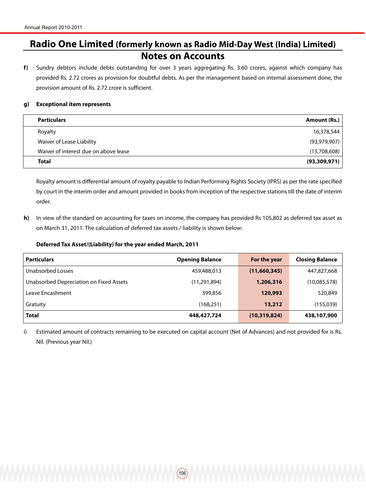**f)** Sundry debtors include debts outstanding for over 3 years aggregating Rs. 3.60 crores, against which company has provided Rs. 2.72 crores as provision for doubtful debts. As per the management based on internal assessment done, the provision amount of Rs. 2.72 crore is sufficient.

### **g) Exceptional item represents**

| <b>Particulars</b>                    | Amount (Rs.) |
|---------------------------------------|--------------|
| Royalty                               | 16,378,544   |
| Waiver of Lease Liability             | (93,979,907) |
| Waiver of interest due on above lease | (15,708,608) |
| <b>Total</b>                          | (93,309,971) |

Royalty amount is differential amount of royalty payable to Indian Performing Rights Society (IPRS) as per the rate specified by court in the interim order and amount provided in books from inception of the respective stations till the date of interim order.

**h)** In view of the standard on accounting for taxes on income, the company has provided Rs 105,802 as deferred tax asset as on March 31, 2011. The calculation of deferred tax assets / liability is shown below:

### **Deferred Tax Asset/(Liability) for the year ended March, 2011**

| <b>Particulars</b>                      | <b>Opening Balance</b> | For the year   | <b>Closing Balance</b> |
|-----------------------------------------|------------------------|----------------|------------------------|
| Unabsorbed Losses                       | 459,488,013            | (11,660,345)   | 447,827,668            |
| Unabsorbed Depreciation on Fixed Assets | (11, 291, 894)         | 1,206,316      | (10,085,578)           |
| Leave Encashment                        | 399,856                | 120,993        | 520,849                |
| Gratuity                                | (168, 251)             | 13,212         | (155,039)              |
| <b>Total</b>                            | 448,427,724            | (10, 319, 824) | 438,107,900            |

i) Estimated amount of contracts remaining to be executed on capital account (Net of Advances) and not provided for is Rs. Nil. (Previous year Nil.)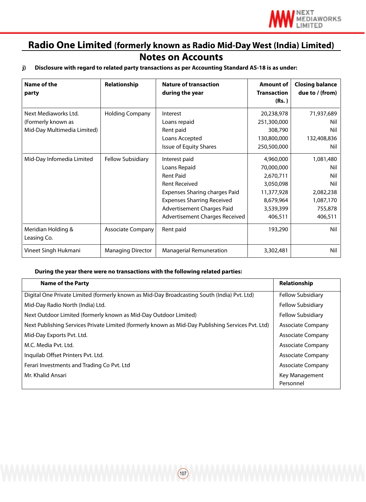

# **Radio One Limited (formerly known as Radio Mid-Day West (India) Limited)**

## **Notes on Accounts**

### **j) Disclosure with regard to related party transactions as per Accounting Standard AS-18 is as under:**

| Name of the<br>party              | Relationship             | <b>Nature of transaction</b><br>during the year | <b>Amount of</b><br><b>Transaction</b><br>(Rs.) | <b>Closing balance</b><br>due to / (from) |
|-----------------------------------|--------------------------|-------------------------------------------------|-------------------------------------------------|-------------------------------------------|
| Next Mediaworks Ltd.              | <b>Holding Company</b>   | Interest                                        | 20,238,978                                      | 71,937,689                                |
| (Formerly known as                |                          | Loans repaid                                    | 251,300,000                                     | Nil                                       |
| Mid-Day Multimedia Limited)       |                          | Rent paid                                       | 308,790                                         | Nil                                       |
|                                   |                          | Loans Accepted                                  | 130,800,000                                     | 132,408,836                               |
|                                   |                          | Issue of Equity Shares                          | 250,500,000                                     | Nil                                       |
| Mid-Day Infomedia Limited         | <b>Fellow Subsidiary</b> | Interest paid                                   | 4,960,000                                       | 1,081,480                                 |
|                                   |                          | Loans Repaid                                    | 70,000,000                                      | Nil                                       |
|                                   |                          | <b>Rent Paid</b>                                | 2,670,711                                       | Nil                                       |
|                                   |                          | <b>Rent Received</b>                            | 3,050,098                                       | Nil                                       |
|                                   |                          | Expenses Sharing charges Paid                   | 11,377,928                                      | 2,082,238                                 |
|                                   |                          | <b>Expenses Sharring Received</b>               | 8,679,964                                       | 1,087,170                                 |
|                                   |                          | Advertisement Charges Paid                      | 3,539,399                                       | 755,878                                   |
|                                   |                          | Advertisement Charges Received                  | 406,511                                         | 406,511                                   |
| Meridian Holding &<br>Leasing Co. | <b>Associate Company</b> | Rent paid                                       | 193,290                                         | Nil                                       |
| Vineet Singh Hukmani              | <b>Managing Director</b> | <b>Managerial Remuneration</b>                  | 3,302,481                                       | Nil                                       |

### **During the year there were no transactions with the following related parties:**

| <b>Name of the Party</b>                                                                          | Relationship                |
|---------------------------------------------------------------------------------------------------|-----------------------------|
| Digital One Private Limited (formerly known as Mid-Day Broadcasting South (India) Pvt. Ltd)       | <b>Fellow Subsidiary</b>    |
| Mid-Day Radio North (India) Ltd.                                                                  | <b>Fellow Subsidiary</b>    |
| Next Outdoor Limited (formerly known as Mid-Day Outdoor Limited)                                  | Fellow Subsidiary           |
| Next Publishing Services Private Limited (formerly known as Mid-Day Publishing Services Pvt. Ltd) | <b>Associate Company</b>    |
| Mid-Day Exports Pvt. Ltd.                                                                         | <b>Associate Company</b>    |
| M.C. Media Pyt. Ltd.                                                                              | <b>Associate Company</b>    |
| Inquilab Offset Printers Pvt. Ltd.                                                                | Associate Company           |
| Ferari Investments and Trading Co Pvt. Ltd                                                        | <b>Associate Company</b>    |
| Mr. Khalid Ansari                                                                                 | Key Management<br>Personnel |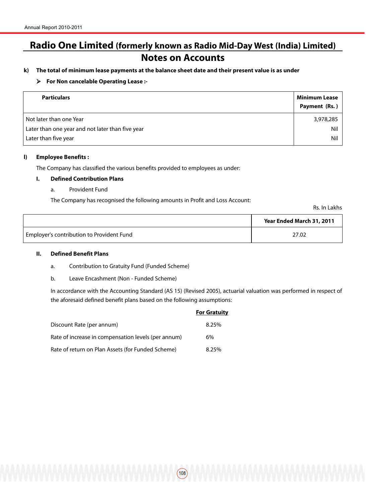### **k) The total of minimum lease payments at the balance sheet date and their present value is as under**

### **For Non cancelable Operating Lease :-**

| <b>Particulars</b>                               | <b>Minimum Lease</b><br>Payment (Rs.) |
|--------------------------------------------------|---------------------------------------|
| Not later than one Year                          | 3,978,285                             |
| Later than one year and not later than five year |                                       |
| Later than five year                             | Nil                                   |

#### **l) Employee Benefits :**

The Company has classified the various benefits provided to employees as under:

#### **I. Defined Contribution Plans**

a. Provident Fund

The Company has recognised the following amounts in Profit and Loss Account:

Rs. In Lakhs

|                                                  | Year Ended March 31, 2011 |
|--------------------------------------------------|---------------------------|
| <b>Employer's contribution to Provident Fund</b> | 27.02                     |

### **II. Defined Benefit Plans**

- a. Contribution to Gratuity Fund (Funded Scheme)
- b. Leave Encashment (Non Funded Scheme)

In accordance with the Accounting Standard (AS 15) (Revised 2005), actuarial valuation was performed in respect of the aforesaid defined benefit plans based on the following assumptions:

|                                                     | <b>For Gratuity</b> |
|-----------------------------------------------------|---------------------|
| Discount Rate (per annum)                           | 8.25%               |
| Rate of increase in compensation levels (per annum) | 6%                  |
| Rate of return on Plan Assets (for Funded Scheme)   | 8.25%               |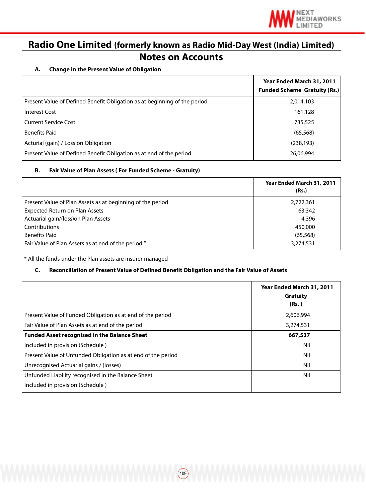

### **A. Change in the Present Value of Obligation**

|                                                                           | Year Ended March 31, 2011           |
|---------------------------------------------------------------------------|-------------------------------------|
|                                                                           | <b>Funded Scheme Gratuity (Rs.)</b> |
| Present Value of Defined Benefit Obligation as at beginning of the period | 2,014,103                           |
| Interest Cost                                                             | 161,128                             |
| <b>Current Service Cost</b>                                               | 735,525                             |
| <b>Benefits Paid</b>                                                      | (65, 568)                           |
| Acturial (gain) / Loss on Obligation                                      | (238, 193)                          |
| Present Value of Defined Benefir Obligation as at end of the period       | 26.06.994                           |

### **B. Fair Value of Plan Assets ( For Funded Scheme - Gratuity)**

|                                                            | Year Ended March 31, 2011<br>(Rs.) |
|------------------------------------------------------------|------------------------------------|
| Present Value of Plan Assets as at beginning of the period | 2,722,361                          |
| <b>Expected Return on Plan Assets</b>                      | 163,342                            |
| Actuarial gain/(loss) on Plan Assets                       | 4,396                              |
| Contributions                                              | 450,000                            |
| <b>Benefits Paid</b>                                       | (65, 568)                          |
| Fair Value of Plan Assets as at end of the period *        | 3,274,531                          |

\* All the funds under the Plan assets are insurer managed

### **C. Reconciliation of Present Value of Defined Benefit Obligation and the Fair Value of Assets**

|                                                              | Year Ended March 31, 2011<br><b>Gratuity</b><br>(Rs.) |
|--------------------------------------------------------------|-------------------------------------------------------|
| Present Value of Funded Obligation as at end of the period   | 2,606,994                                             |
| Fair Value of Plan Assets as at end of the period            | 3,274,531                                             |
| <b>Funded Asset recognised in the Balance Sheet</b>          | 667,537                                               |
| Included in provision (Schedule)                             | Nil                                                   |
| Present Value of Unfunded Obligation as at end of the period | Nil                                                   |
| Unrecognised Actuarial gains / (losses)                      | Nil                                                   |
| Unfunded Liability recognised in the Balance Sheet           | Nil                                                   |
| Included in provision (Schedule)                             |                                                       |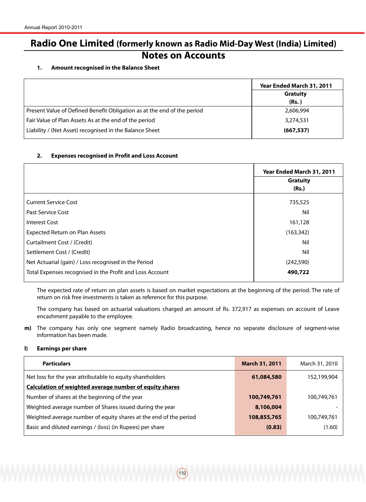### **1. Amount recognised in the Balance Sheet**

|                                                                         | Year Ended March 31, 2011 |
|-------------------------------------------------------------------------|---------------------------|
|                                                                         | <b>Gratuity</b><br>(Rs.)  |
| Present Value of Defined Benefit Obligation as at the end of the period | 2,606,994                 |
| Fair Value of Plan Assets As at the end of the period                   | 3,274,531                 |
| Liability / (Net Asset) recognised in the Balance Sheet                 | (667, 537)                |

### **2. Expenses recognised in Profit and Loss Account**

|                                                          | Year Ended March 31, 2011<br><b>Gratuity</b><br>(Rs.) |  |
|----------------------------------------------------------|-------------------------------------------------------|--|
| <b>Current Service Cost</b>                              | 735,525                                               |  |
| Past Service Cost                                        | Nil                                                   |  |
| Interest Cost                                            | 161,128                                               |  |
| <b>Expected Return on Plan Assets</b>                    | (163, 342)                                            |  |
| Curtailment Cost / (Credit)                              | Nil                                                   |  |
| Settlement Cost / (Credit)                               | Nil                                                   |  |
| Net Actuarial (gain) / Loss recognised in the Period     | (242, 590)                                            |  |
| Total Expenses recognised in the Profit and Loss Account | 490,722                                               |  |

The expected rate of return on plan assets is based on market expectations at the beginning of the period. The rate of return on risk free investments is taken as reference for this purpose.

The company has based on actuarial valuations charged an amount of Rs. 372,917 as expenses on account of Leave encashment payable to the employee.

**m)** The company has only one segment namely Radio broadcasting, hence no separate disclosure of segment-wise information has been made.

### **l) Earnings per share**

| <b>Particulars</b>                                                | <b>March 31, 2011</b> | March 31, 2010 |
|-------------------------------------------------------------------|-----------------------|----------------|
| Net loss for the year attributable to equity shareholders         | 61,084,580            | 152,199,904    |
| <b>Calculation of weighted average number of equity shares</b>    |                       |                |
| Number of shares at the beginning of the year                     | 100,749,761           | 100,749,761    |
| Weighted average number of Shares issued during the year          | 8,106,004             |                |
| Weighted average number of equity shares at the end of the period | 108,855,765           | 100,749,761    |
| Basic and diluted earnings / (loss) (in Rupees) per share         | (0.83)                | (1.60)         |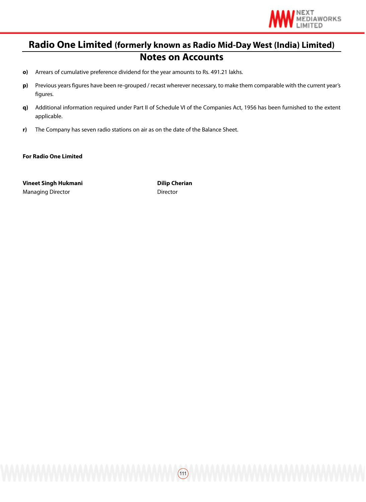

- **o)** Arrears of cumulative preference dividend for the year amounts to Rs. 491.21 lakhs.
- **p)** Previous years figures have been re-grouped / recast wherever necessary, to make them comparable with the current year's figures.
- **q)** Additional information required under Part II of Schedule VI of the Companies Act, 1956 has been furnished to the extent applicable.
- **r)** The Company has seven radio stations on air as on the date of the Balance Sheet.

**For Radio One Limited**

**Vineet Singh Hukmani Dilip Cherian** Managing Director **Director** Director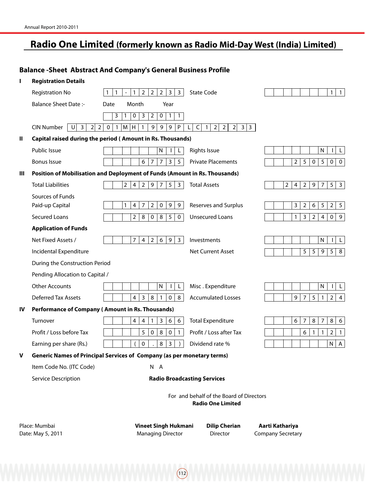# **Radio One Limited (formerly known as Radio Mid-Day West (India) Limited)**

### **Balance -Sheet Abstract And Company's General Business Profile**

| Т            | <b>Registration Details</b>                                                   |                                                                                                                                                    |                                                                          |                                                                                       |
|--------------|-------------------------------------------------------------------------------|----------------------------------------------------------------------------------------------------------------------------------------------------|--------------------------------------------------------------------------|---------------------------------------------------------------------------------------|
|              | <b>Registration No</b>                                                        | $\overline{3}$<br>$\overline{2}$<br>$\overline{2}$<br>$2^{\circ}$<br>$\mathbf{3}$<br>$\mathbf{1}$<br>$\mathbf{1}$<br>1<br>$\overline{\phantom{a}}$ | <b>State Code</b>                                                        | $\mathbf{1}$<br>1                                                                     |
|              | Balance Sheet Date :-                                                         | Month<br>Date<br>Year                                                                                                                              |                                                                          |                                                                                       |
|              |                                                                               | 3<br>0<br>3<br>2<br>0<br>1<br>$\mathbf{1}$<br>1                                                                                                    |                                                                          |                                                                                       |
|              | 2 <br>$\overline{2}$<br><b>CIN Number</b><br>U<br>$\mathbf{3}$                | M<br>H<br>9<br>9<br>P<br>$\pmb{0}$<br>$\mathbf{1}$<br>9<br>$\mathbf{1}$                                                                            | $\mathsf C$<br>2 3 3<br>$\mathbf{1}$<br>$\overline{2}$<br>$\overline{2}$ |                                                                                       |
| $\mathbf{u}$ | Capital raised during the period (Amount in Rs. Thousands)                    |                                                                                                                                                    |                                                                          |                                                                                       |
|              | Public Issue                                                                  | N                                                                                                                                                  | <b>Rights Issue</b>                                                      | N                                                                                     |
|              | <b>Bonus Issue</b>                                                            | 6<br>7<br>3<br>5<br>7                                                                                                                              | <b>Private Placements</b>                                                | $\overline{2}$<br>5<br>$\pmb{0}$<br>5<br>$\mathbf 0$<br>$\mathbf 0$                   |
| Ш            |                                                                               | Position of Mobilisation and Deployment of Funds (Amount in Rs. Thousands)                                                                         |                                                                          |                                                                                       |
|              | <b>Total Liabilities</b>                                                      | $\overline{2}$<br>$\overline{2}$<br>$\overline{4}$<br>9<br>$\overline{7}$<br>5<br>$\overline{3}$                                                   | <b>Total Assets</b>                                                      | $\overline{2}$<br>9<br>$\boldsymbol{7}$<br>5<br>$\overline{2}$<br>4<br>$\overline{3}$ |
|              | Sources of Funds<br>Paid-up Capital                                           | $\overline{\mathbf{4}}$<br>$\overline{7}$<br>$\mathbf 2$<br>$\pmb{0}$<br>9<br>9<br>1                                                               | Reserves and Surplus                                                     | 3<br>$\overline{2}$<br>6<br>$\sqrt{5}$<br>$\overline{2}$<br>5                         |
|              | <b>Secured Loans</b>                                                          | $\overline{2}$<br>8<br>8<br>5<br>$\mathbf 0$<br>$\mathbf 0$                                                                                        | <b>Unsecured Loans</b>                                                   | $\mathbf{1}$<br>$\mathbf{3}$<br>$\overline{2}$<br>9<br>$\overline{4}$<br>$\mathbf 0$  |
|              | <b>Application of Funds</b>                                                   |                                                                                                                                                    |                                                                          |                                                                                       |
|              | Net Fixed Assets /                                                            | $\mathbf 2$<br>6<br>$\overline{7}$<br>$\overline{4}$<br>9<br>$\overline{3}$                                                                        | Investments                                                              | ${\sf N}$<br>$\mathsf{L}$<br>$\mathbf{I}$                                             |
|              | Incidental Expenditure                                                        |                                                                                                                                                    | <b>Net Current Asset</b>                                                 | 5<br>5<br>9<br>5<br>8                                                                 |
|              | During the Construction Period                                                |                                                                                                                                                    |                                                                          |                                                                                       |
|              | Pending Allocation to Capital /                                               |                                                                                                                                                    |                                                                          |                                                                                       |
|              | <b>Other Accounts</b>                                                         | N<br>L                                                                                                                                             | Misc. Expenditure                                                        | N<br>$\mathsf{L}$                                                                     |
|              | <b>Deferred Tax Assets</b>                                                    | $\overline{4}$<br>3<br>8<br>8<br>$\mathbf{1}$<br>$\mathbf 0$                                                                                       | <b>Accumulated Losses</b>                                                | $\overline{7}$<br>5<br>9<br>$\overline{2}$<br>$\overline{4}$<br>$\mathbf{1}$          |
| IV           |                                                                               | <b>Performance of Company (Amount in Rs. Thousands)</b>                                                                                            |                                                                          |                                                                                       |
|              | Turnover                                                                      | 3<br>6<br>6<br>4<br>$\overline{a}$<br>$\mathbf{1}$                                                                                                 | <b>Total Expenditure</b>                                                 | 6<br>$\overline{7}$<br>8<br>$\overline{7}$<br>$\,8\,$<br>6                            |
|              | Profit / Loss before Tax                                                      | 5<br>8<br>0<br>0<br>1                                                                                                                              | Profit / Loss after Tax                                                  | $\overline{2}$<br>6<br>$\mathbf{1}$<br>$\mathbf{1}$<br>$\mathbf{1}$                   |
|              | Earning per share (Rs.)                                                       | 8<br>3<br>$\Omega$                                                                                                                                 | Dividend rate %                                                          | $\overline{A}$<br>N                                                                   |
| v            | <b>Generic Names of Principal Services of Company (as per monetary terms)</b> |                                                                                                                                                    |                                                                          |                                                                                       |
|              | Item Code No. (ITC Code)                                                      | N A                                                                                                                                                |                                                                          |                                                                                       |
|              | <b>Service Description</b>                                                    | <b>Radio Broadcasting Services</b>                                                                                                                 |                                                                          |                                                                                       |
|              |                                                                               |                                                                                                                                                    | For and behalf of the Board of Directors<br><b>Radio One Limited</b>     |                                                                                       |
|              | Place: Mumbai<br>Date: May 5, 2011                                            | <b>Vineet Singh Hukmani</b><br><b>Managing Director</b>                                                                                            | <b>Dilip Cherian</b><br>Director                                         | Aarti Kathariya<br><b>Company Secretary</b>                                           |

 $(112)$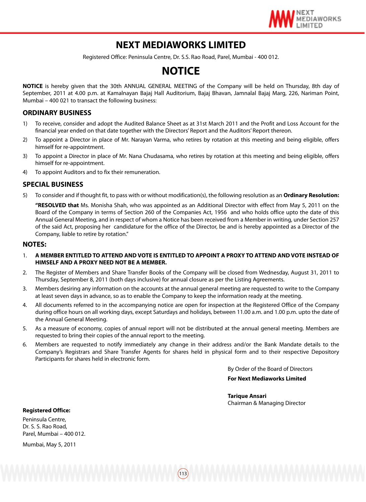

# **NEXT MEDIAWORKS LIMITED**

Registered Office: Peninsula Centre, Dr. S.S. Rao Road, Parel, Mumbai - 400 012.

# **NOTICE**

**NOTICE** is hereby given that the 30th ANNUAL GENERAL MEETING of the Company will be held on Thursday, 8th day of September, 2011 at 4.00 p.m. at Kamalnayan Bajaj Hall Auditorium, Bajaj Bhavan, Jamnalal Bajaj Marg, 226, Nariman Point, Mumbai – 400 021 to transact the following business:

### **ORDINARY BUSINESS**

- 1) To receive, consider and adopt the Audited Balance Sheet as at 31st March 2011 and the Profit and Loss Account for the financial year ended on that date together with the Directors' Report and the Auditors' Report thereon.
- 2) To appoint a Director in place of Mr. Narayan Varma, who retires by rotation at this meeting and being eligible, offers himself for re-appointment.
- 3) To appoint a Director in place of Mr. Nana Chudasama, who retires by rotation at this meeting and being eligible, offers himself for re-appointment.
- 4) To appoint Auditors and to fix their remuneration.

### **SPECIAL BUSINESS**

5) To consider and if thought fit, to pass with or without modification(s), the following resolution as an **Ordinary Resolution:**

**"RESOLVED that** Ms. Monisha Shah, who was appointed as an Additional Director with effect from May 5, 2011 on the Board of the Company in terms of Section 260 of the Companies Act, 1956 and who holds office upto the date of this Annual General Meeting, and in respect of whom a Notice has been received from a Member in writing, under Section 257 of the said Act, proposing her candidature for the office of the Director, be and is hereby appointed as a Director of the Company, liable to retire by rotation."

### **NOTES:**

- 1. **A MEMBER ENTITLED TO ATTEND AND VOTE IS ENTITLED TO APPOINT A PROXY TO ATTEND AND VOTE INSTEAD OF HIMSELF AND A PROXY NEED NOT BE A MEMBER.**
- 2. The Register of Members and Share Transfer Books of the Company will be closed from Wednesday, August 31, 2011 to Thursday, September 8, 2011 (both days inclusive) for annual closure as per the Listing Agreements.
- 3. Members desiring any information on the accounts at the annual general meeting are requested to write to the Company at least seven days in advance, so as to enable the Company to keep the information ready at the meeting.
- 4. All documents referred to in the accompanying notice are open for inspection at the Registered Office of the Company during office hours on all working days, except Saturdays and holidays, between 11.00 a.m. and 1.00 p.m. upto the date of the Annual General Meeting.
- 5. As a measure of economy, copies of annual report will not be distributed at the annual general meeting. Members are requested to bring their copies of the annual report to the meeting.
- 6. Members are requested to notify immediately any change in their address and/or the Bank Mandate details to the Company's Registrars and Share Transfer Agents for shares held in physical form and to their respective Depository Participants for shares held in electronic form.

By Order of the Board of Directors

**For Next Mediaworks Limited**

**Tarique Ansari**  Chairman & Managing Director

### **Registered Office:**

Peninsula Centre, Dr. S. S. Rao Road, Parel, Mumbai – 400 012.

Mumbai, May 5, 2011

113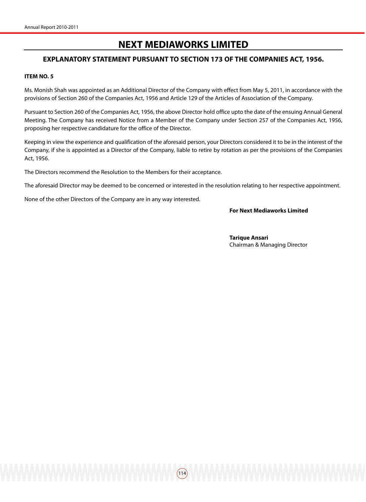## **NEXT MEDIAWORKS LIMITED**

### **EXPLANATORY STATEMENT PURSUANT TO SECTION 173 OF THE COMPANIES ACT, 1956.**

#### **ITEM NO. 5**

Ms. Monish Shah was appointed as an Additional Director of the Company with effect from May 5, 2011, in accordance with the provisions of Section 260 of the Companies Act, 1956 and Article 129 of the Articles of Association of the Company.

Pursuant to Section 260 of the Companies Act, 1956, the above Director hold office upto the date of the ensuing Annual General Meeting. The Company has received Notice from a Member of the Company under Section 257 of the Companies Act, 1956, proposing her respective candidature for the office of the Director.

Keeping in view the experience and qualification of the aforesaid person, your Directors considered it to be in the interest of the Company, if she is appointed as a Director of the Company, liable to retire by rotation as per the provisions of the Companies Act, 1956.

The Directors recommend the Resolution to the Members for their acceptance.

The aforesaid Director may be deemed to be concerned or interested in the resolution relating to her respective appointment.

None of the other Directors of the Company are in any way interested.

**For Next Mediaworks Limited**

**Tarique Ansari**  Chairman & Managing Director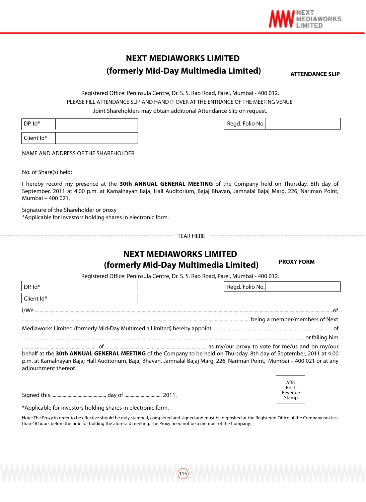

### **NEXT MEDIAWORKS LIMITED**

### **(formerly Mid-Day Multimedia Limited)**

**ATTENDANCE SLIP**

Registered Office: Peninsula Centre, Dr. S. S. Rao Road, Parel, Mumbai - 400 012. PLEASE FILL ATTENDANCE SLIP AND HAND IT OVER AT THE ENTRANCE OF THE MEETING VENUE.

Joint Shareholders may obtain additional Attendance Slip on request.

Regd. Folio No.

| $\overline{\phantom{a}}$ DP. Id* |  |
|----------------------------------|--|
| Client Id*                       |  |

NAME AND ADDRESS OF THE SHAREHOLDER

No. of Share(s) held:

I hereby record my presence at the **30th ANNUAL GENERAL MEETING** of the Company held on Thursday, 8th day of September, 2011 at 4.00 p.m. at Kamalnayan Bajaj Hall Auditorium, Bajaj Bhavan, Jamnalal Bajaj Marg, 226, Nariman Point, Mumbai – 400 021.

Signature of the Shareholder or proxy \*Applicable for investors holding shares in electronic form.

............... TEAR HERE ....

### **NEXT MEDIAWORKS LIMITED (formerly Mid-Day Multimedia Limited)**

**PROXY FORM**

Stamp

Registered Office: Peninsula Centre, Dr. S. S. Rao Road, Parel, Mumbai - 400 012.

| DP. Id*                                                                                                                                                                                                                                                                    |         |      | Regd. Folio No. |                           |  |  |
|----------------------------------------------------------------------------------------------------------------------------------------------------------------------------------------------------------------------------------------------------------------------------|---------|------|-----------------|---------------------------|--|--|
| Client Id*                                                                                                                                                                                                                                                                 |         |      |                 |                           |  |  |
| I/We.                                                                                                                                                                                                                                                                      |         |      |                 |                           |  |  |
|                                                                                                                                                                                                                                                                            |         |      |                 |                           |  |  |
|                                                                                                                                                                                                                                                                            |         |      |                 |                           |  |  |
|                                                                                                                                                                                                                                                                            |         |      |                 |                           |  |  |
|                                                                                                                                                                                                                                                                            |         |      |                 |                           |  |  |
| behalf at the 30th ANNUAL GENERAL MEETING of the Company to be held on Thursday, 8th day of September, 2011 at 4.00<br>p.m. at Kamalnayan Bajaj Hall Auditorium, Bajaj Bhavan, Jamnalal Bajaj Marg, 226, Nariman Point, Mumbai - 400 021 or at any<br>adjournment thereof. |         |      |                 |                           |  |  |
| المقطعة والمستحدثات                                                                                                                                                                                                                                                        | المصاما | ำการ |                 | Affix<br>Re. 1<br>Revenue |  |  |

Signed this ............................................ day of .............................. 2011.

\*Applicable for investors holding shares in electronic form.

Note: The Proxy in order to be effective should be duly stamped, completed and signed and must be deposited at the Registered Office of the Company not less than 48 hours before the time for holding the aforesaid meeting. The Proxy need not be a member of the Company.